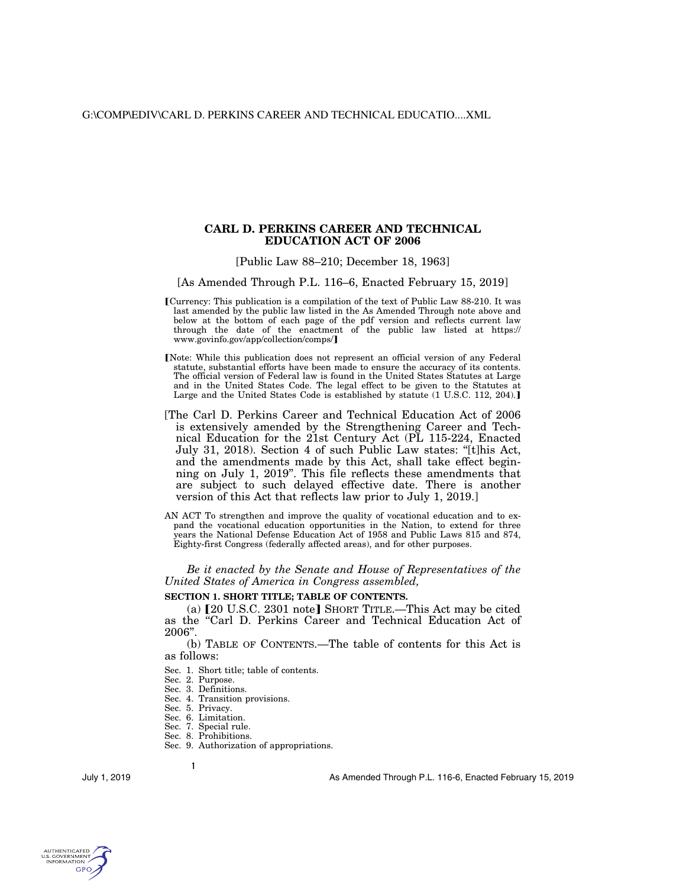# **CARL D. PERKINS CAREER AND TECHNICAL EDUCATION ACT OF 2006**

[Public Law 88–210; December 18, 1963]

[As Amended Through P.L. 116–6, Enacted February 15, 2019]

- [Currency: This publication is a compilation of the text of Public Law 88-210. It was last amended by the public law listed in the As Amended Through note above and below at the bottom of each page of the pdf version and reflects current law through the date of the enactment of the public law listed at https:// www.govinfo.gov/app/collection/comps/]
- [Note: While this publication does not represent an official version of any Federal statute, substantial efforts have been made to ensure the accuracy of its contents. The official version of Federal law is found in the United States Statutes at Large and in the United States Code. The legal effect to be given to the Statutes at Large and the United States Code is established by statute (1 U.S.C. 112, 204).]
- [The Carl D. Perkins Career and Technical Education Act of 2006 is extensively amended by the Strengthening Career and Technical Education for the 21st Century Act (PL 115-224, Enacted July 31, 2018). Section 4 of such Public Law states: ''[t]his Act, and the amendments made by this Act, shall take effect beginning on July 1, 2019". This file reflects these amendments that are subject to such delayed effective date. There is another version of this Act that reflects law prior to July 1, 2019.]
- AN ACT To strengthen and improve the quality of vocational education and to expand the vocational education opportunities in the Nation, to extend for three years the National Defense Education Act of 1958 and Public Laws 815 and 874, Eighty-first Congress (federally affected areas), and for other purposes.

*Be it enacted by the Senate and House of Representatives of the United States of America in Congress assembled,* 

# **SECTION 1. SHORT TITLE; TABLE OF CONTENTS.**

(a)  $[20 \text{ U.S.C. } 2301 \text{ note}]$  SHORT TITLE.—This Act may be cited as the ''Carl D. Perkins Career and Technical Education Act of 2006''.

(b) TABLE OF CONTENTS.—The table of contents for this Act is as follows:

- Sec. 1. Short title; table of contents.
- Sec. 2. Purpose.
- Sec. 3. Definitions.
- Sec. 4. Transition provisions.
- Sec. 5. Privacy.
- Sec. 6. Limitation.

**1** 

- Sec. 7. Special rule.
- Sec. 8. Prohibitions.
- Sec. 9. Authorization of appropriations.

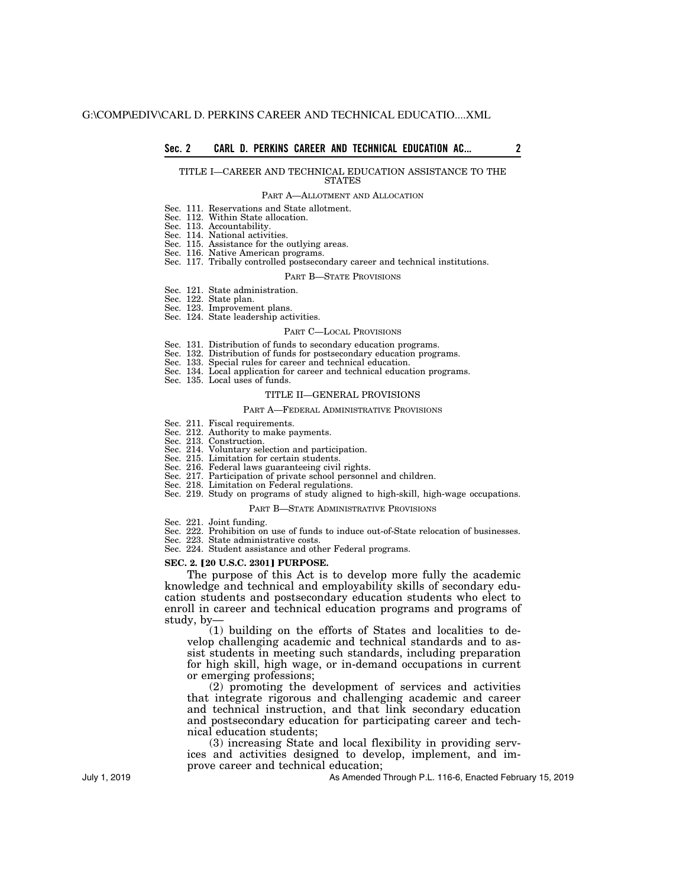# Sec. 2 CARL D. PERKINS CAREER AND TECHNICAL EDUCATION AC... 2

TITLE I—CAREER AND TECHNICAL EDUCATION ASSISTANCE TO THE STATES

### PART A—ALLOTMENT AND ALLOCATION

- Sec. 111. Reservations and State allotment.
- Sec. 112. Within State allocation.
- Sec. 113. Accountability.
- Sec. 114. National activities.
- Sec. 115. Assistance for the outlying areas.
- Sec. 116. Native American programs. Sec. 117. Tribally controlled postsecondary career and technical institutions.

#### PART B—STATE PROVISIONS

- 
- Sec. 121. State administration. Sec. 122. State plan.
- Sec. 123. Improvement plans.
- Sec. 124. State leadership activities.

#### PART C—LOCAL PROVISIONS

- Sec. 131. Distribution of funds to secondary education programs. Sec. 132. Distribution of funds for postsecondary education programs.
- 
- Sec. 133. Special rules for career and technical education.
- Sec. 134. Local application for career and technical education programs.
- Sec. 135. Local uses of funds.

# TITLE II—GENERAL PROVISIONS

### PART A—FEDERAL ADMINISTRATIVE PROVISIONS

- Sec. 211. Fiscal requirements.
- Sec. 212. Authority to make payments.
- 
- Sec. 213. Construction.<br>Sec. 214. Voluntary selection and participation. Sec. 214. Voluntary selection and participation. Sec. 215. Limitation for certain students.
- 
- Sec. 216. Federal laws guaranteeing civil rights. Sec. 217. Participation of private school personnel and children.
- Sec. 218. Limitation on Federal regulations.
- Sec. 219. Study on programs of study aligned to high-skill, high-wage occupations.

#### PART B—STATE ADMINISTRATIVE PROVISIONS

- 
- Sec. 221. Joint funding. Sec. 222. Prohibition on use of funds to induce out-of-State relocation of businesses.
- Sec. 223. State administrative costs.
- Sec. 224. Student assistance and other Federal programs.

#### **SEC. 2. [20 U.S.C. 23011 PURPOSE.**

The purpose of this Act is to develop more fully the academic knowledge and technical and employability skills of secondary education students and postsecondary education students who elect to enroll in career and technical education programs and programs of study, by—

(1) building on the efforts of States and localities to develop challenging academic and technical standards and to assist students in meeting such standards, including preparation for high skill, high wage, or in-demand occupations in current or emerging professions;

(2) promoting the development of services and activities that integrate rigorous and challenging academic and career and technical instruction, and that link secondary education and postsecondary education for participating career and technical education students;

(3) increasing State and local flexibility in providing services and activities designed to develop, implement, and improve career and technical education;

As Amended Through P.L. 116-6, Enacted February 15, 2019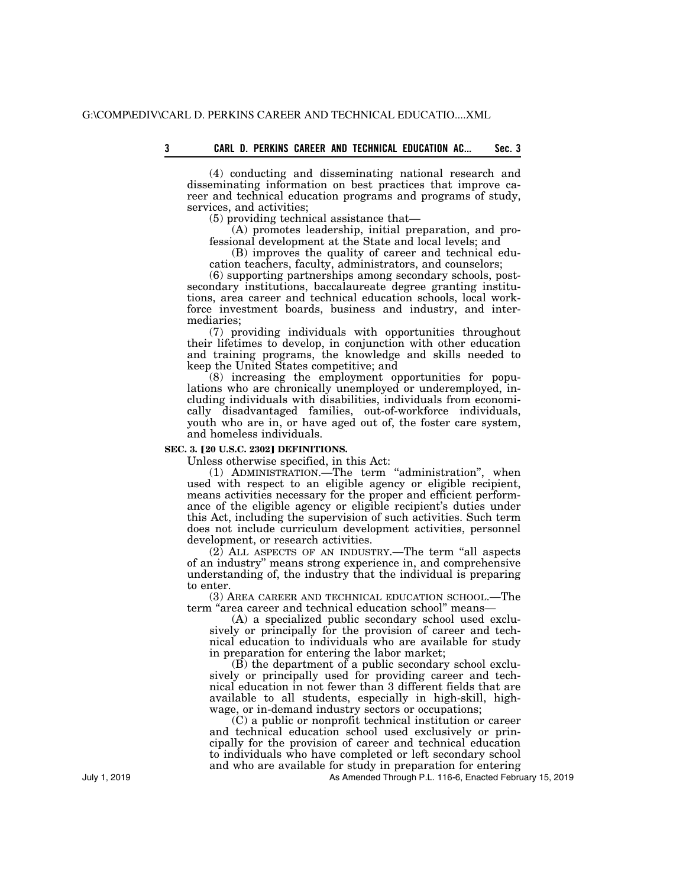(4) conducting and disseminating national research and disseminating information on best practices that improve career and technical education programs and programs of study, services, and activities;

(5) providing technical assistance that—

(A) promotes leadership, initial preparation, and professional development at the State and local levels; and

(B) improves the quality of career and technical education teachers, faculty, administrators, and counselors;

(6) supporting partnerships among secondary schools, postsecondary institutions, baccalaureate degree granting institutions, area career and technical education schools, local workforce investment boards, business and industry, and intermediaries;

(7) providing individuals with opportunities throughout their lifetimes to develop, in conjunction with other education and training programs, the knowledge and skills needed to keep the United States competitive; and

(8) increasing the employment opportunities for populations who are chronically unemployed or underemployed, including individuals with disabilities, individuals from economically disadvantaged families, out-of-workforce individuals, youth who are in, or have aged out of, the foster care system, and homeless individuals.

# **SEC. 3. [20 U.S.C. 2302] DEFINITIONS.**

Unless otherwise specified, in this Act:

(1) ADMINISTRATION.—The term ''administration'', when used with respect to an eligible agency or eligible recipient, means activities necessary for the proper and efficient performance of the eligible agency or eligible recipient's duties under this Act, including the supervision of such activities. Such term does not include curriculum development activities, personnel development, or research activities.

 $(2)$  ALL ASPECTS OF AN INDUSTRY.—The term "all aspects" of an industry'' means strong experience in, and comprehensive understanding of, the industry that the individual is preparing to enter.

(3) AREA CAREER AND TECHNICAL EDUCATION SCHOOL.—The term "area career and technical education school" means-

(A) a specialized public secondary school used exclusively or principally for the provision of career and technical education to individuals who are available for study in preparation for entering the labor market;

(B) the department of a public secondary school exclusively or principally used for providing career and technical education in not fewer than 3 different fields that are available to all students, especially in high-skill, highwage, or in-demand industry sectors or occupations;

 $(C)$  a public or nonprofit technical institution or career and technical education school used exclusively or principally for the provision of career and technical education to individuals who have completed or left secondary school and who are available for study in preparation for entering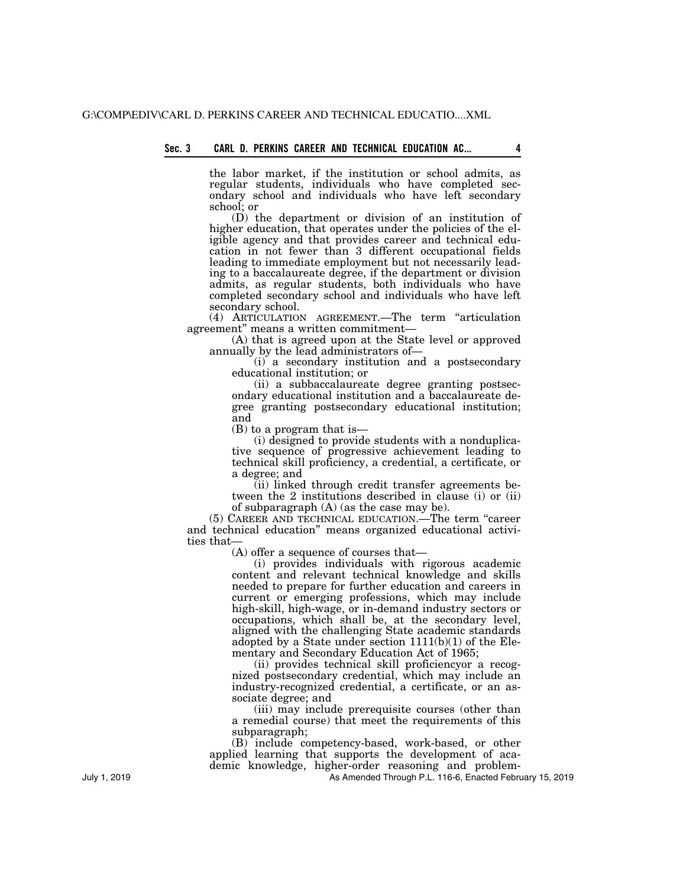# **Sec. 3 CARL D. PERKINS CAREER AND TECHNICAL EDUCATION AC... 4**

the labor market, if the institution or school admits, as regular students, individuals who have completed secondary school and individuals who have left secondary school; or

(D) the department or division of an institution of higher education, that operates under the policies of the eligible agency and that provides career and technical education in not fewer than 3 different occupational fields leading to immediate employment but not necessarily leading to a baccalaureate degree, if the department or division admits, as regular students, both individuals who have completed secondary school and individuals who have left secondary school.

(4) ARTICULATION AGREEMENT.—The term ''articulation agreement'' means a written commitment—

(A) that is agreed upon at the State level or approved annually by the lead administrators of—

(i) a secondary institution and a postsecondary educational institution; or

(ii) a subbaccalaureate degree granting postsecondary educational institution and a baccalaureate degree granting postsecondary educational institution; and

(B) to a program that is—

(i) designed to provide students with a nonduplicative sequence of progressive achievement leading to technical skill proficiency, a credential, a certificate, or a degree; and

(ii) linked through credit transfer agreements between the 2 institutions described in clause (i) or (ii) of subparagraph (A) (as the case may be).

(5) CAREER AND TECHNICAL EDUCATION.—The term ''career and technical education'' means organized educational activities that—

(A) offer a sequence of courses that—

(i) provides individuals with rigorous academic content and relevant technical knowledge and skills needed to prepare for further education and careers in current or emerging professions, which may include high-skill, high-wage, or in-demand industry sectors or occupations, which shall be, at the secondary level, aligned with the challenging State academic standards adopted by a State under section 1111(b)(1) of the Elementary and Secondary Education Act of 1965;

(ii) provides technical skill proficiencyor a recognized postsecondary credential, which may include an industry-recognized credential, a certificate, or an associate degree; and

(iii) may include prerequisite courses (other than a remedial course) that meet the requirements of this subparagraph;

(B) include competency-based, work-based, or other applied learning that supports the development of academic knowledge, higher-order reasoning and problem-

As Amended Through P.L. 116-6, Enacted February 15, 2019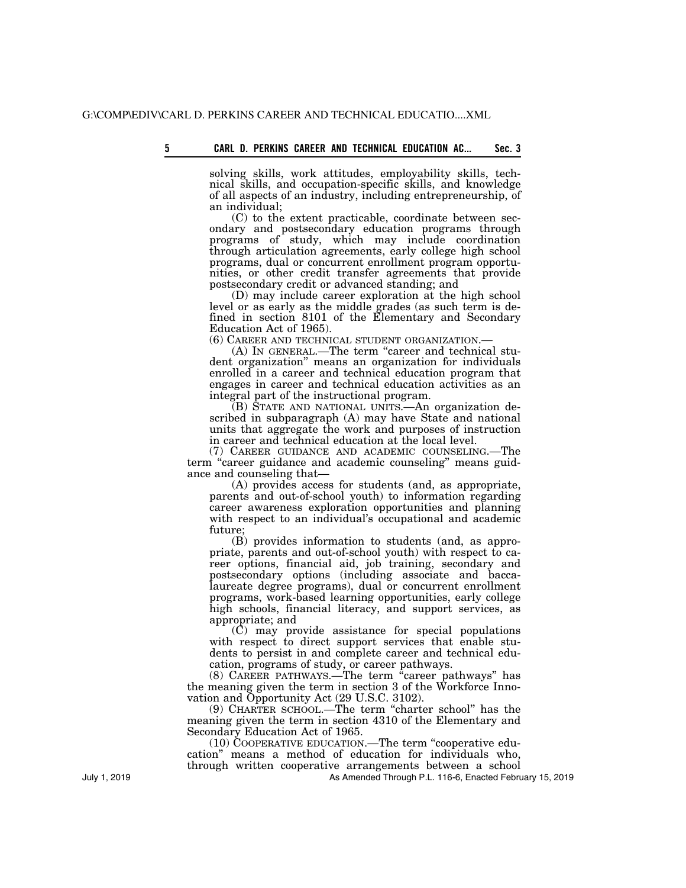solving skills, work attitudes, employability skills, technical skills, and occupation-specific skills, and knowledge of all aspects of an industry, including entrepreneurship, of an individual;

(C) to the extent practicable, coordinate between secondary and postsecondary education programs through programs of study, which may include coordination through articulation agreements, early college high school programs, dual or concurrent enrollment program opportunities, or other credit transfer agreements that provide postsecondary credit or advanced standing; and

(D) may include career exploration at the high school level or as early as the middle grades (as such term is defined in section 8101 of the Elementary and Secondary Education Act of 1965).<br>(6) CAREER AND TECHNICAL STUDENT ORGANIZATION.—

 $(A)$  In GENERAL.—The term "career and technical student organization'' means an organization for individuals enrolled in a career and technical education program that engages in career and technical education activities as an integral part of the instructional program.

(B) STATE AND NATIONAL UNITS.—An organization described in subparagraph (A) may have State and national units that aggregate the work and purposes of instruction in career and technical education at the local level.

(7) CAREER GUIDANCE AND ACADEMIC COUNSELING.—The term "career guidance and academic counseling" means guidance and counseling that—

(A) provides access for students (and, as appropriate, parents and out-of-school youth) to information regarding career awareness exploration opportunities and planning with respect to an individual's occupational and academic future;

(B) provides information to students (and, as appropriate, parents and out-of-school youth) with respect to career options, financial aid, job training, secondary and postsecondary options (including associate and baccalaureate degree programs), dual or concurrent enrollment programs, work-based learning opportunities, early college high schools, financial literacy, and support services, as appropriate; and

(C) may provide assistance for special populations with respect to direct support services that enable students to persist in and complete career and technical education, programs of study, or career pathways.

(8) CAREER PATHWAYS.—The term ''career pathways'' has the meaning given the term in section 3 of the Workforce Innovation and Opportunity Act (29 U.S.C. 3102).

(9) CHARTER SCHOOL.—The term ''charter school'' has the meaning given the term in section 4310 of the Elementary and Secondary Education Act of 1965.

(10) COOPERATIVE EDUCATION.—The term ''cooperative education'' means a method of education for individuals who, through written cooperative arrangements between a school

As Amended Through P.L. 116-6, Enacted February 15, 2019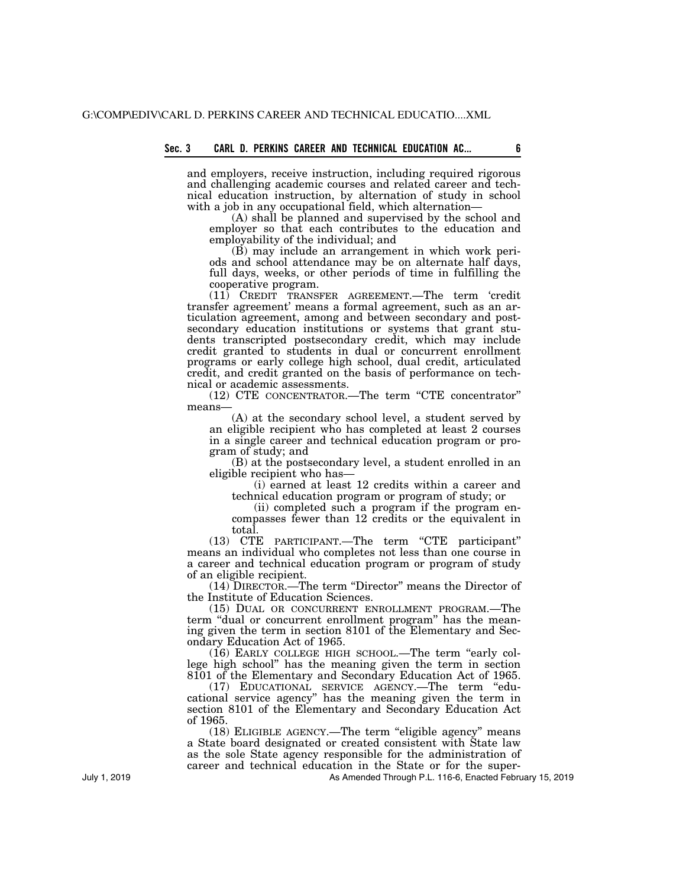### **Sec. 3 CARL D. PERKINS CAREER AND TECHNICAL EDUCATION AC... 6**

and employers, receive instruction, including required rigorous and challenging academic courses and related career and technical education instruction, by alternation of study in school with a job in any occupational field, which alternation—

(A) shall be planned and supervised by the school and employer so that each contributes to the education and employability of the individual; and

(B) may include an arrangement in which work periods and school attendance may be on alternate half days, full days, weeks, or other periods of time in fulfilling the cooperative program.

(11) CREDIT TRANSFER AGREEMENT.—The term 'credit transfer agreement' means a formal agreement, such as an articulation agreement, among and between secondary and postsecondary education institutions or systems that grant students transcripted postsecondary credit, which may include credit granted to students in dual or concurrent enrollment programs or early college high school, dual credit, articulated credit, and credit granted on the basis of performance on technical or academic assessments.

(12) CTE CONCENTRATOR.—The term ''CTE concentrator'' means—

(A) at the secondary school level, a student served by an eligible recipient who has completed at least 2 courses in a single career and technical education program or program of study; and

(B) at the postsecondary level, a student enrolled in an eligible recipient who has—

(i) earned at least 12 credits within a career and technical education program or program of study; or

(ii) completed such a program if the program encompasses fewer than 12 credits or the equivalent in total.

(13) CTE PARTICIPANT.—The term ''CTE participant'' means an individual who completes not less than one course in a career and technical education program or program of study of an eligible recipient.

(14) DIRECTOR.—The term ''Director'' means the Director of the Institute of Education Sciences.

(15) DUAL OR CONCURRENT ENROLLMENT PROGRAM.—The term "dual or concurrent enrollment program" has the meaning given the term in section 8101 of the Elementary and Secondary Education Act of 1965.

 $(16)$  EARLY COLLEGE HIGH SCHOOL.—The term "early college high school'' has the meaning given the term in section 8101 of the Elementary and Secondary Education Act of 1965.

(17) EDUCATIONAL SERVICE AGENCY.—The term ''educational service agency'' has the meaning given the term in section 8101 of the Elementary and Secondary Education Act of 1965.

(18) ELIGIBLE AGENCY.—The term ''eligible agency'' means a State board designated or created consistent with State law as the sole State agency responsible for the administration of career and technical education in the State or for the super-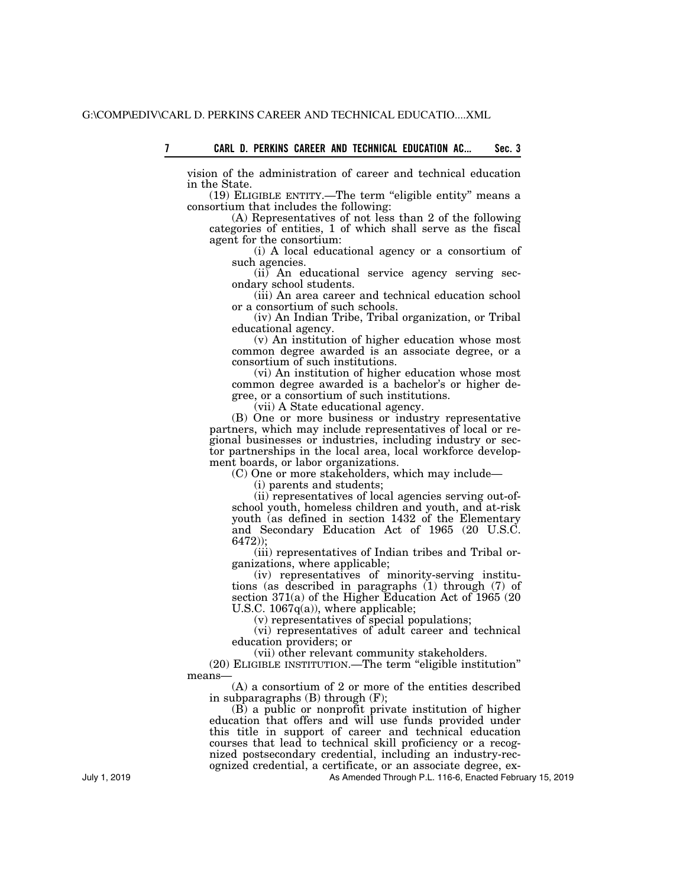vision of the administration of career and technical education in the State.

(19) ELIGIBLE ENTITY.—The term ''eligible entity'' means a consortium that includes the following:

(A) Representatives of not less than 2 of the following categories of entities, 1 of which shall serve as the fiscal agent for the consortium:

(i) A local educational agency or a consortium of such agencies.

(ii) An educational service agency serving secondary school students.

(iii) An area career and technical education school or a consortium of such schools.

(iv) An Indian Tribe, Tribal organization, or Tribal educational agency.

(v) An institution of higher education whose most common degree awarded is an associate degree, or a consortium of such institutions.

(vi) An institution of higher education whose most common degree awarded is a bachelor's or higher degree, or a consortium of such institutions.

(vii) A State educational agency.

(B) One or more business or industry representative partners, which may include representatives of local or regional businesses or industries, including industry or sector partnerships in the local area, local workforce development boards, or labor organizations.

(C) One or more stakeholders, which may include—

(i) parents and students;

(ii) representatives of local agencies serving out-ofschool youth, homeless children and youth, and at-risk youth (as defined in section 1432 of the Elementary and Secondary Education Act of 1965 (20 U.S.C. 6472));

(iii) representatives of Indian tribes and Tribal organizations, where applicable;

(iv) representatives of minority-serving institutions (as described in paragraphs (1) through (7) of section 371(a) of the Higher Education Act of 1965 (20 U.S.C. 1067q(a)), where applicable;

(v) representatives of special populations;

(vi) representatives of adult career and technical education providers; or

(vii) other relevant community stakeholders.

(20) ELIGIBLE INSTITUTION.—The term ''eligible institution'' means—

(A) a consortium of 2 or more of the entities described in subparagraphs (B) through (F);

(B) a public or nonprofit private institution of higher education that offers and will use funds provided under this title in support of career and technical education courses that lead to technical skill proficiency or a recognized postsecondary credential, including an industry-recognized credential, a certificate, or an associate degree, ex-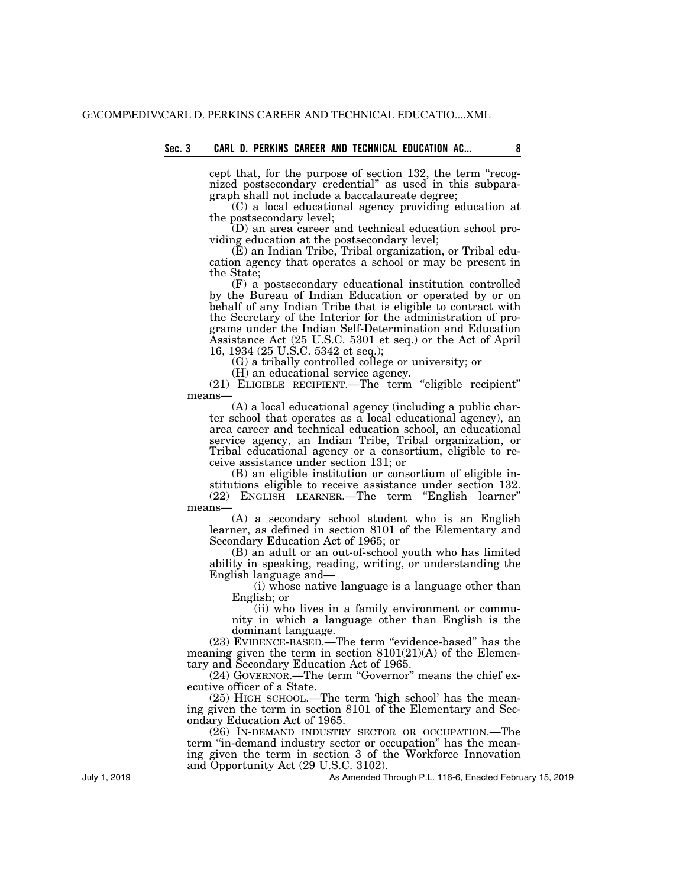cept that, for the purpose of section 132, the term ''recognized postsecondary credential'' as used in this subparagraph shall not include a baccalaureate degree;

(C) a local educational agency providing education at the postsecondary level;

(D) an area career and technical education school providing education at the postsecondary level;

(E) an Indian Tribe, Tribal organization, or Tribal education agency that operates a school or may be present in the State;

(F) a postsecondary educational institution controlled by the Bureau of Indian Education or operated by or on behalf of any Indian Tribe that is eligible to contract with the Secretary of the Interior for the administration of programs under the Indian Self-Determination and Education Assistance Act (25 U.S.C. 5301 et seq.) or the Act of April 16, 1934 (25 U.S.C. 5342 et seq.);

(G) a tribally controlled college or university; or

(H) an educational service agency.

(21) ELIGIBLE RECIPIENT.—The term ''eligible recipient'' means—

(A) a local educational agency (including a public charter school that operates as a local educational agency), an area career and technical education school, an educational service agency, an Indian Tribe, Tribal organization, or Tribal educational agency or a consortium, eligible to receive assistance under section 131; or

(B) an eligible institution or consortium of eligible institutions eligible to receive assistance under section 132. (22) ENGLISH LEARNER.—The term ''English learner'' means—

(A) a secondary school student who is an English learner, as defined in section 8101 of the Elementary and Secondary Education Act of 1965; or

(B) an adult or an out-of-school youth who has limited ability in speaking, reading, writing, or understanding the English language and—

(i) whose native language is a language other than English; or

(ii) who lives in a family environment or community in which a language other than English is the dominant language.

(23) EVIDENCE-BASED.—The term ''evidence-based'' has the meaning given the term in section  $8101(21)(A)$  of the Elementary and Secondary Education Act of 1965.

(24) GOVERNOR.—The term "Governor" means the chief executive officer of a State.

(25) HIGH SCHOOL.—The term 'high school' has the meaning given the term in section 8101 of the Elementary and Secondary Education Act of 1965.

 $(26)$  IN-DEMAND INDUSTRY SECTOR OR OCCUPATION.—The term ''in-demand industry sector or occupation'' has the meaning given the term in section 3 of the Workforce Innovation and Opportunity Act (29 U.S.C. 3102).

As Amended Through P.L. 116-6, Enacted February 15, 2019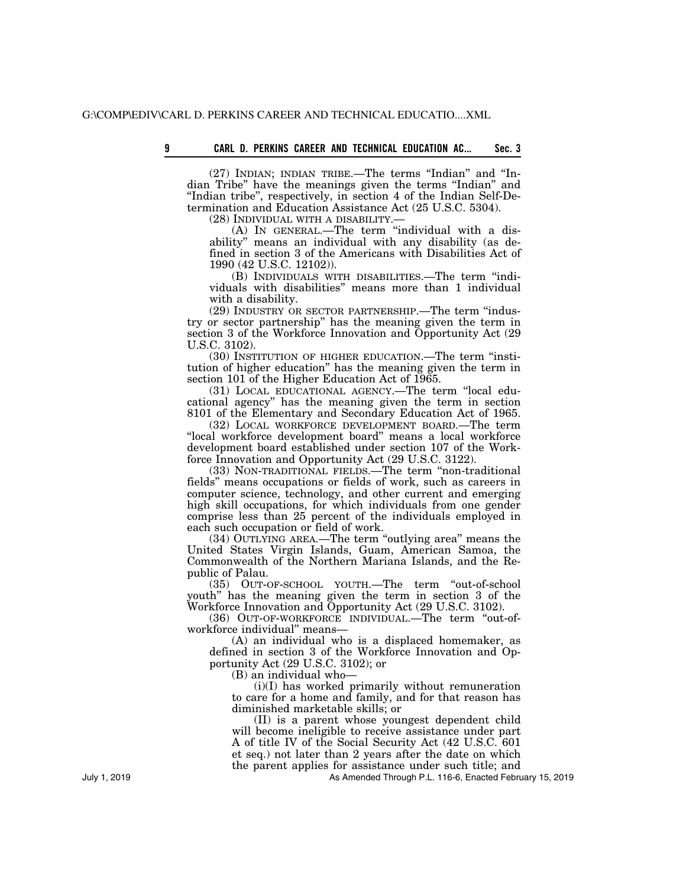(27) INDIAN; INDIAN TRIBE.—The terms ''Indian'' and ''Indian Tribe'' have the meanings given the terms ''Indian'' and "Indian tribe", respectively, in section 4 of the Indian Self-Determination and Education Assistance Act (25 U.S.C. 5304).

(28) INDIVIDUAL WITH A DISABILITY.—

(A) IN GENERAL.—The term ''individual with a disability'' means an individual with any disability (as defined in section 3 of the Americans with Disabilities Act of 1990 (42 U.S.C. 12102)).

(B) INDIVIDUALS WITH DISABILITIES.—The term ''individuals with disabilities'' means more than 1 individual with a disability.

(29) INDUSTRY OR SECTOR PARTNERSHIP.—The term ''industry or sector partnership'' has the meaning given the term in section 3 of the Workforce Innovation and Opportunity Act (29 U.S.C. 3102).

(30) INSTITUTION OF HIGHER EDUCATION.—The term ''institution of higher education'' has the meaning given the term in section 101 of the Higher Education Act of 1965.

(31) LOCAL EDUCATIONAL AGENCY.—The term ''local educational agency'' has the meaning given the term in section 8101 of the Elementary and Secondary Education Act of 1965.

(32) LOCAL WORKFORCE DEVELOPMENT BOARD.—The term "local workforce development board" means a local workforce development board established under section 107 of the Workforce Innovation and Opportunity Act (29 U.S.C. 3122).

(33) NON-TRADITIONAL FIELDS.—The term ''non-traditional fields'' means occupations or fields of work, such as careers in computer science, technology, and other current and emerging high skill occupations, for which individuals from one gender comprise less than 25 percent of the individuals employed in each such occupation or field of work.

(34) OUTLYING AREA.—The term ''outlying area'' means the United States Virgin Islands, Guam, American Samoa, the Commonwealth of the Northern Mariana Islands, and the Republic of Palau.

(35) OUT-OF-SCHOOL YOUTH.—The term ''out-of-school youth'' has the meaning given the term in section 3 of the Workforce Innovation and Opportunity Act (29 U.S.C. 3102).

(36) OUT-OF-WORKFORCE INDIVIDUAL.—The term ''out-ofworkforce individual'' means—

(A) an individual who is a displaced homemaker, as defined in section 3 of the Workforce Innovation and Opportunity Act (29 U.S.C. 3102); or

(B) an individual who—

(i)(I) has worked primarily without remuneration to care for a home and family, and for that reason has diminished marketable skills; or

(II) is a parent whose youngest dependent child will become ineligible to receive assistance under part A of title IV of the Social Security Act (42 U.S.C. 601 et seq.) not later than 2 years after the date on which the parent applies for assistance under such title; and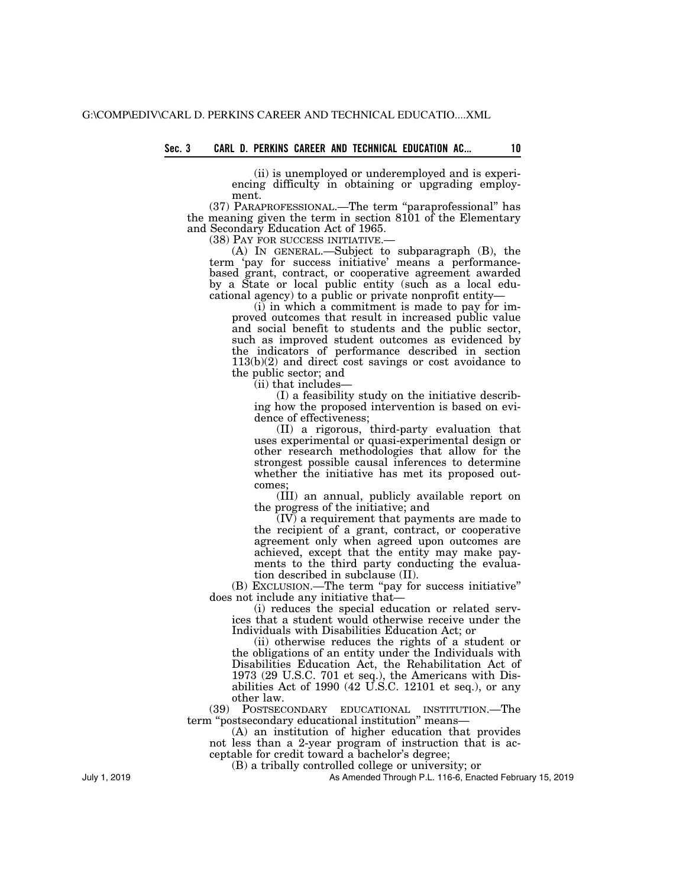# Sec. 3 CARL D. PERKINS CAREER AND TECHNICAL EDUCATION AC... **10**

(ii) is unemployed or underemployed and is experiencing difficulty in obtaining or upgrading employment.

(37) PARAPROFESSIONAL.—The term ''paraprofessional'' has the meaning given the term in section 8101 of the Elementary and Secondary Education Act of 1965.<br>(38) PAY FOR SUCCESS INITIATIVE.

 $(A)$  In GENERAL.—Subject to subparagraph  $(B)$ , the term 'pay for success initiative' means a performancebased grant, contract, or cooperative agreement awarded by a State or local public entity (such as a local educational agency) to a public or private nonprofit entity—

(i) in which a commitment is made to pay for improved outcomes that result in increased public value and social benefit to students and the public sector, such as improved student outcomes as evidenced by the indicators of performance described in section 113(b)(2) and direct cost savings or cost avoidance to the public sector; and

(ii) that includes—

(I) a feasibility study on the initiative describing how the proposed intervention is based on evidence of effectiveness;

(II) a rigorous, third-party evaluation that uses experimental or quasi-experimental design or other research methodologies that allow for the strongest possible causal inferences to determine whether the initiative has met its proposed outcomes;

(III) an annual, publicly available report on the progress of the initiative; and

 $\tilde{I}(IV)$  a requirement that payments are made to the recipient of a grant, contract, or cooperative agreement only when agreed upon outcomes are achieved, except that the entity may make payments to the third party conducting the evaluation described in subclause (II).

(B) EXCLUSION.—The term ''pay for success initiative'' does not include any initiative that—

(i) reduces the special education or related services that a student would otherwise receive under the Individuals with Disabilities Education Act; or

(ii) otherwise reduces the rights of a student or the obligations of an entity under the Individuals with Disabilities Education Act, the Rehabilitation Act of 1973 (29 U.S.C. 701 et seq.), the Americans with Disabilities Act of 1990 (42 U.S.C. 12101 et seq.), or any other law.

(39) POSTSECONDARY EDUCATIONAL INSTITUTION.—The term ''postsecondary educational institution'' means—

(A) an institution of higher education that provides not less than a 2-year program of instruction that is acceptable for credit toward a bachelor's degree;

(B) a tribally controlled college or university; or

As Amended Through P.L. 116-6, Enacted February 15, 2019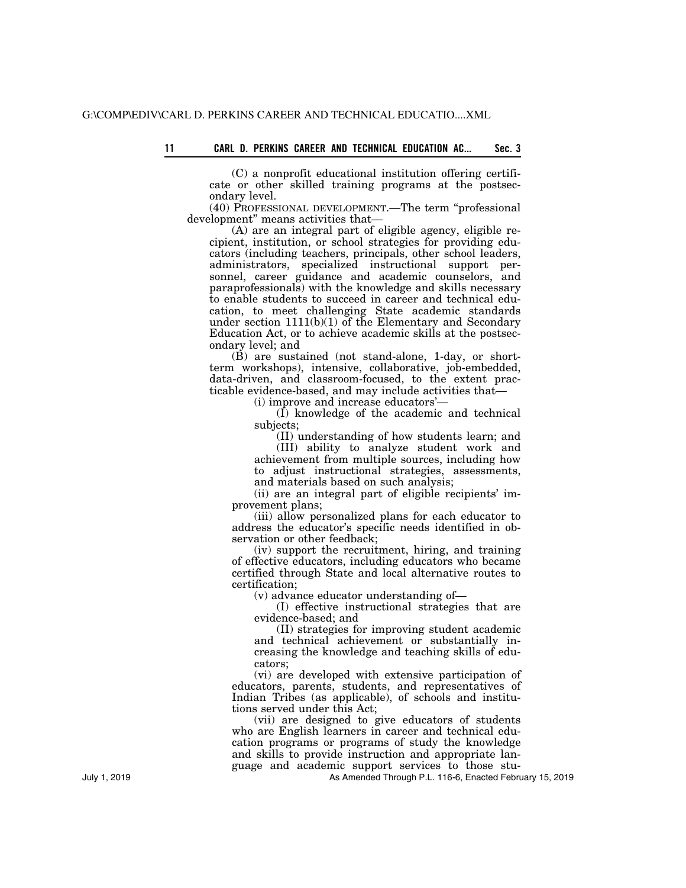| 11 |  |  |  | CARL D. PERKINS CAREER AND TECHNICAL EDUCATION AC | Sec. 3 |
|----|--|--|--|---------------------------------------------------|--------|
|    |  |  |  |                                                   |        |

(C) a nonprofit educational institution offering certificate or other skilled training programs at the postsecondary level.

(40) PROFESSIONAL DEVELOPMENT.—The term ''professional development'' means activities that—

(A) are an integral part of eligible agency, eligible recipient, institution, or school strategies for providing educators (including teachers, principals, other school leaders, administrators, specialized instructional support personnel, career guidance and academic counselors, and paraprofessionals) with the knowledge and skills necessary to enable students to succeed in career and technical education, to meet challenging State academic standards under section 1111(b)(1) of the Elementary and Secondary Education Act, or to achieve academic skills at the postsecondary level; and

(B) are sustained (not stand-alone, 1-day, or shortterm workshops), intensive, collaborative, job-embedded, data-driven, and classroom-focused, to the extent practicable evidence-based, and may include activities that—

(i) improve and increase educators'—

 $(I)$  knowledge of the academic and technical subjects;

(II) understanding of how students learn; and

(III) ability to analyze student work and achievement from multiple sources, including how to adjust instructional strategies, assessments, and materials based on such analysis;

(ii) are an integral part of eligible recipients' improvement plans;

(iii) allow personalized plans for each educator to address the educator's specific needs identified in observation or other feedback;

(iv) support the recruitment, hiring, and training of effective educators, including educators who became certified through State and local alternative routes to certification;

(v) advance educator understanding of—

(I) effective instructional strategies that are evidence-based; and

(II) strategies for improving student academic and technical achievement or substantially increasing the knowledge and teaching skills of educators;

(vi) are developed with extensive participation of educators, parents, students, and representatives of Indian Tribes (as applicable), of schools and institutions served under this Act;

(vii) are designed to give educators of students who are English learners in career and technical education programs or programs of study the knowledge and skills to provide instruction and appropriate language and academic support services to those stu-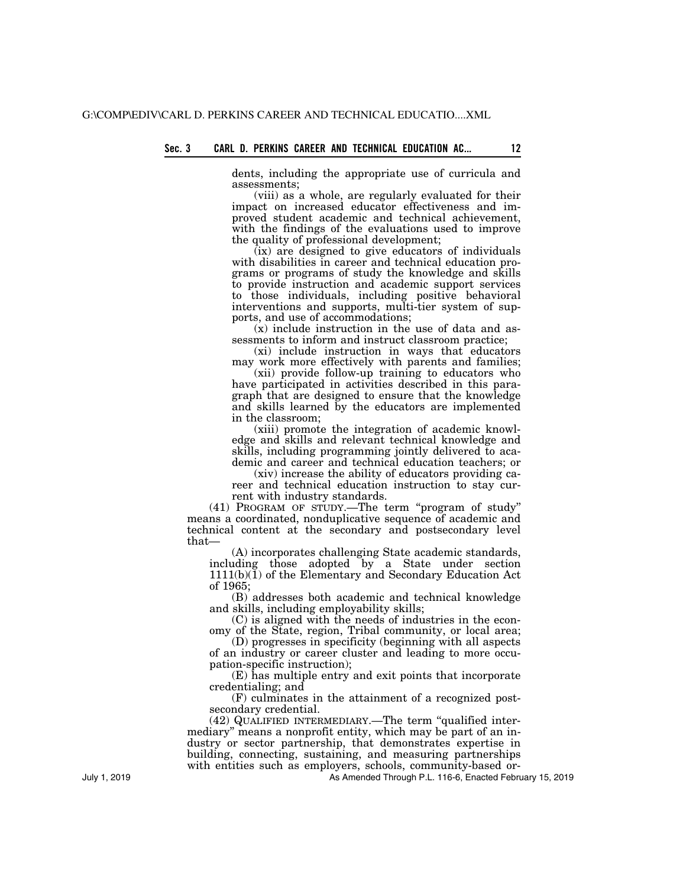dents, including the appropriate use of curricula and assessments;

(viii) as a whole, are regularly evaluated for their impact on increased educator effectiveness and improved student academic and technical achievement, with the findings of the evaluations used to improve the quality of professional development;

(ix) are designed to give educators of individuals with disabilities in career and technical education programs or programs of study the knowledge and skills to provide instruction and academic support services to those individuals, including positive behavioral interventions and supports, multi-tier system of supports, and use of accommodations;

 $(x)$  include instruction in the use of data and assessments to inform and instruct classroom practice;

(xi) include instruction in ways that educators may work more effectively with parents and families;

(xii) provide follow-up training to educators who have participated in activities described in this paragraph that are designed to ensure that the knowledge and skills learned by the educators are implemented in the classroom;

(xiii) promote the integration of academic knowledge and skills and relevant technical knowledge and skills, including programming jointly delivered to academic and career and technical education teachers; or

(xiv) increase the ability of educators providing career and technical education instruction to stay current with industry standards.

(41) PROGRAM OF STUDY.—The term ''program of study'' means a coordinated, nonduplicative sequence of academic and technical content at the secondary and postsecondary level that—

(A) incorporates challenging State academic standards, including those adopted by a State under section  $1111(b)(1)$  of the Elementary and Secondary Education Act of 1965;

(B) addresses both academic and technical knowledge and skills, including employability skills;

(C) is aligned with the needs of industries in the economy of the State, region, Tribal community, or local area;

(D) progresses in specificity (beginning with all aspects of an industry or career cluster and leading to more occupation-specific instruction);

(E) has multiple entry and exit points that incorporate credentialing; and

(F) culminates in the attainment of a recognized postsecondary credential.

(42) QUALIFIED INTERMEDIARY.—The term ''qualified intermediary'' means a nonprofit entity, which may be part of an industry or sector partnership, that demonstrates expertise in building, connecting, sustaining, and measuring partnerships with entities such as employers, schools, community-based or-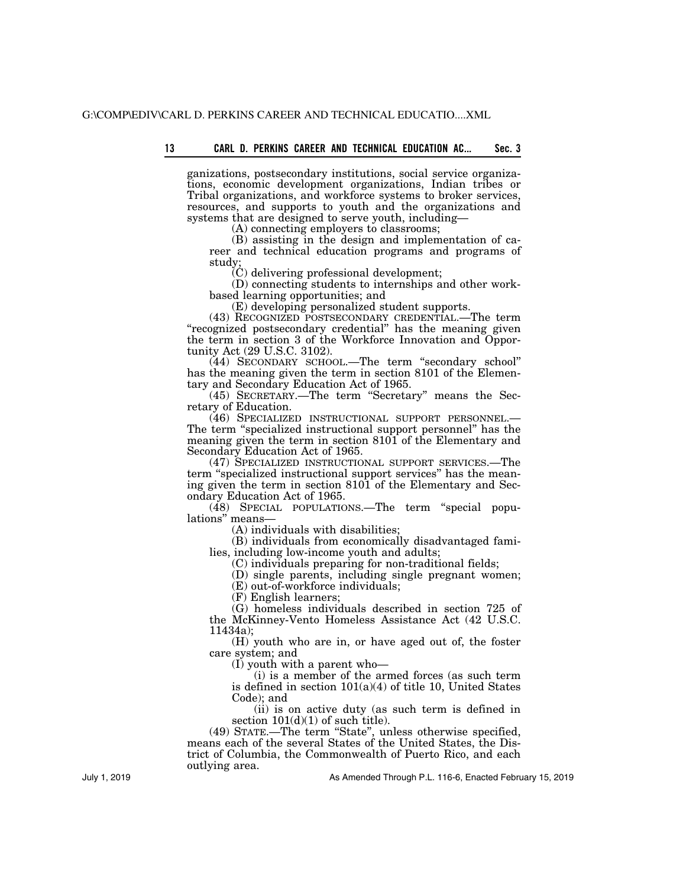ganizations, postsecondary institutions, social service organizations, economic development organizations, Indian tribes or Tribal organizations, and workforce systems to broker services, resources, and supports to youth and the organizations and systems that are designed to serve youth, including—

(A) connecting employers to classrooms;

(B) assisting in the design and implementation of career and technical education programs and programs of study;

(C) delivering professional development;

(D) connecting students to internships and other workbased learning opportunities; and

(E) developing personalized student supports.

(43) RECOGNIZED POSTSECONDARY CREDENTIAL.—The term ''recognized postsecondary credential'' has the meaning given the term in section 3 of the Workforce Innovation and Opportunity Act (29 U.S.C. 3102).

(44) SECONDARY SCHOOL.—The term ''secondary school'' has the meaning given the term in section 8101 of the Elementary and Secondary Education Act of 1965.

(45) SECRETARY.—The term ''Secretary'' means the Secretary of Education.<br>
(46) SPECIALIZED INSTRUCTIONAL SUPPORT PERSONNEL.—

The term "specialized instructional support personnel" has the meaning given the term in section 8101 of the Elementary and Secondary Education Act of 1965.

(47) SPECIALIZED INSTRUCTIONAL SUPPORT SERVICES.—The term "specialized instructional support services" has the meaning given the term in section 8101 of the Elementary and Secondary Education Act of 1965.

(48) SPECIAL POPULATIONS.—The term ''special populations" means-

(A) individuals with disabilities;

(B) individuals from economically disadvantaged families, including low-income youth and adults;

(C) individuals preparing for non-traditional fields;

(D) single parents, including single pregnant women;

(E) out-of-workforce individuals;

(F) English learners;

(G) homeless individuals described in section 725 of the McKinney-Vento Homeless Assistance Act (42 U.S.C. 11434a);

(H) youth who are in, or have aged out of, the foster care system; and

(I) youth with a parent who—

(i) is a member of the armed forces (as such term is defined in section  $101(a)(4)$  of title 10, United States Code); and

(ii) is on active duty (as such term is defined in section  $101(d)(1)$  of such title).

(49) STATE.—The term ''State'', unless otherwise specified, means each of the several States of the United States, the District of Columbia, the Commonwealth of Puerto Rico, and each outlying area.

As Amended Through P.L. 116-6, Enacted February 15, 2019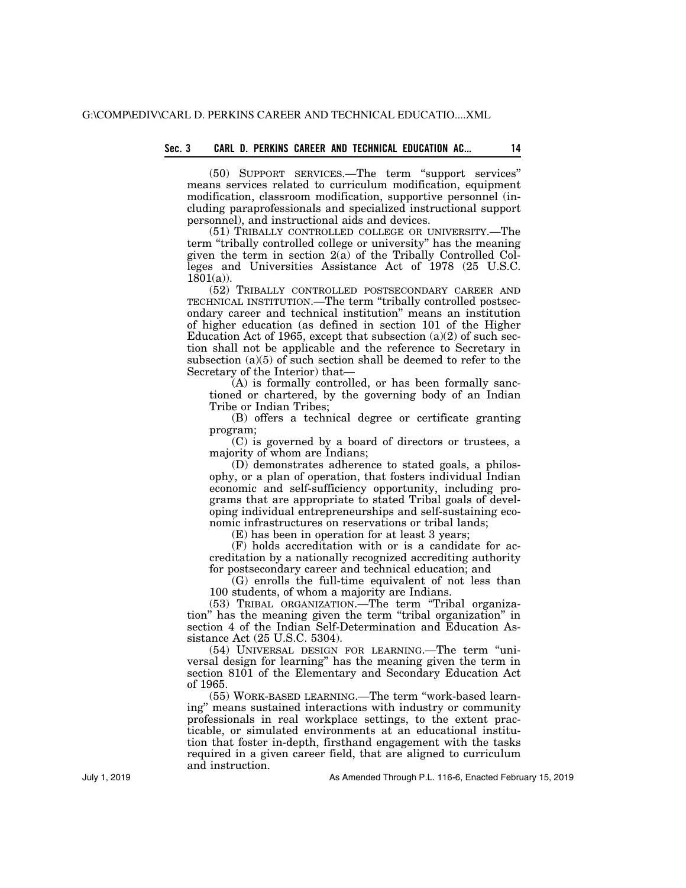### Sec. 3 CARL D. PERKINS CAREER AND TECHNICAL EDUCATION AC... 14

(50) SUPPORT SERVICES.—The term ''support services'' means services related to curriculum modification, equipment modification, classroom modification, supportive personnel (including paraprofessionals and specialized instructional support personnel), and instructional aids and devices.

(51) TRIBALLY CONTROLLED COLLEGE OR UNIVERSITY.—The term ''tribally controlled college or university'' has the meaning given the term in section 2(a) of the Tribally Controlled Colleges and Universities Assistance Act of 1978 (25 U.S.C.  $1801(a)$ ).

(52) TRIBALLY CONTROLLED POSTSECONDARY CAREER AND TECHNICAL INSTITUTION.—The term ''tribally controlled postsecondary career and technical institution'' means an institution of higher education (as defined in section 101 of the Higher Education Act of 1965, except that subsection  $(a)(2)$  of such section shall not be applicable and the reference to Secretary in subsection  $(a)(5)$  of such section shall be deemed to refer to the Secretary of the Interior) that—

(A) is formally controlled, or has been formally sanctioned or chartered, by the governing body of an Indian Tribe or Indian Tribes;

(B) offers a technical degree or certificate granting program;

(C) is governed by a board of directors or trustees, a majority of whom are Indians;

(D) demonstrates adherence to stated goals, a philosophy, or a plan of operation, that fosters individual Indian economic and self-sufficiency opportunity, including programs that are appropriate to stated Tribal goals of developing individual entrepreneurships and self-sustaining economic infrastructures on reservations or tribal lands;

(E) has been in operation for at least 3 years;

(F) holds accreditation with or is a candidate for accreditation by a nationally recognized accrediting authority for postsecondary career and technical education; and

(G) enrolls the full-time equivalent of not less than 100 students, of whom a majority are Indians.

(53) TRIBAL ORGANIZATION.—The term ''Tribal organization" has the meaning given the term "tribal organization" in section 4 of the Indian Self-Determination and Education Assistance Act (25 U.S.C. 5304).

(54) UNIVERSAL DESIGN FOR LEARNING.—The term ''universal design for learning'' has the meaning given the term in section 8101 of the Elementary and Secondary Education Act of 1965.

(55) WORK-BASED LEARNING.—The term ''work-based learning'' means sustained interactions with industry or community professionals in real workplace settings, to the extent practicable, or simulated environments at an educational institution that foster in-depth, firsthand engagement with the tasks required in a given career field, that are aligned to curriculum and instruction.

As Amended Through P.L. 116-6, Enacted February 15, 2019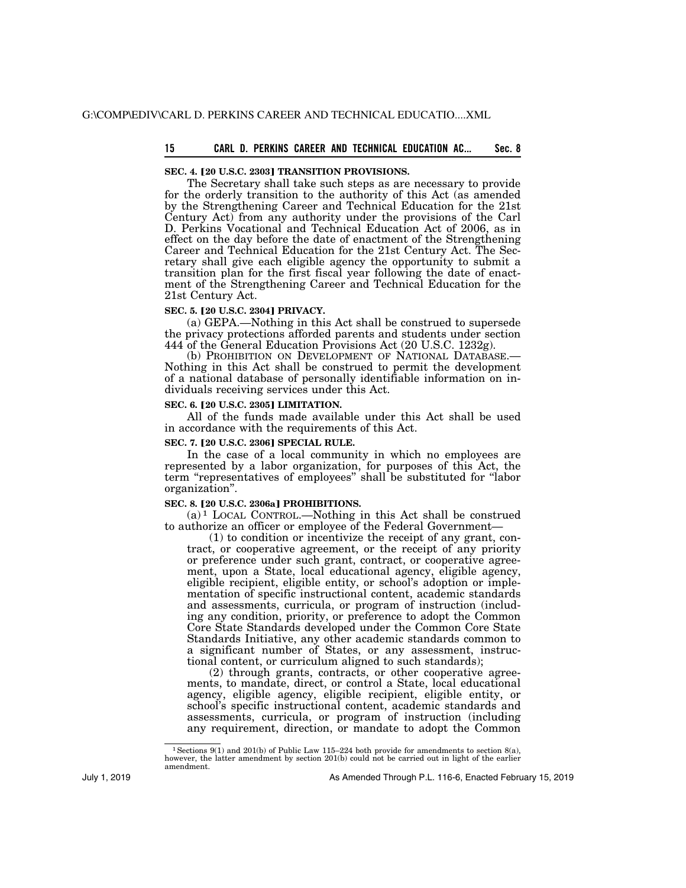### 15 CARL D. PERKINS CAREER AND TECHNICAL EDUCATION AC... Sec. 8

### **SEC. 4. [20 U.S.C. 2303] TRANSITION PROVISIONS.**

The Secretary shall take such steps as are necessary to provide for the orderly transition to the authority of this Act (as amended by the Strengthening Career and Technical Education for the 21st Century Act) from any authority under the provisions of the Carl D. Perkins Vocational and Technical Education Act of 2006, as in effect on the day before the date of enactment of the Strengthening Career and Technical Education for the 21st Century Act. The Secretary shall give each eligible agency the opportunity to submit a transition plan for the first fiscal year following the date of enactment of the Strengthening Career and Technical Education for the 21st Century Act.

### **SEC. 5. [20 U.S.C. 2304] PRIVACY.**

(a) GEPA.—Nothing in this Act shall be construed to supersede the privacy protections afforded parents and students under section 444 of the General Education Provisions Act (20 U.S.C. 1232g).

Nothing in this Act shall be construed to permit the development of a national database of personally identifiable information on individuals receiving services under this Act.

### **SEC. 6. [20 U.S.C. 2305] LIMITATION.**

All of the funds made available under this Act shall be used in accordance with the requirements of this Act.

# **SEC. 7. [20 U.S.C. 2306] SPECIAL RULE.**

In the case of a local community in which no employees are represented by a labor organization, for purposes of this Act, the term "representatives of employees" shall be substituted for "labor organization''.

#### **SEC. 8.** ø**20 U.S.C. 2306a**¿ **PROHIBITIONS.**

 $(a)$ <sup>1</sup> LOCAL CONTROL.—Nothing in this Act shall be construed to authorize an officer or employee of the Federal Government—

(1) to condition or incentivize the receipt of any grant, contract, or cooperative agreement, or the receipt of any priority or preference under such grant, contract, or cooperative agreement, upon a State, local educational agency, eligible agency, eligible recipient, eligible entity, or school's adoption or implementation of specific instructional content, academic standards and assessments, curricula, or program of instruction (including any condition, priority, or preference to adopt the Common Core State Standards developed under the Common Core State Standards Initiative, any other academic standards common to a significant number of States, or any assessment, instructional content, or curriculum aligned to such standards);

(2) through grants, contracts, or other cooperative agreements, to mandate, direct, or control a State, local educational agency, eligible agency, eligible recipient, eligible entity, or school's specific instructional content, academic standards and assessments, curricula, or program of instruction (including any requirement, direction, or mandate to adopt the Common

<sup>1</sup>Sections 9(1) and 201(b) of Public Law 115–224 both provide for amendments to section 8(a), however, the latter amendment by section 201(b) could not be carried out in light of the earlier amendment.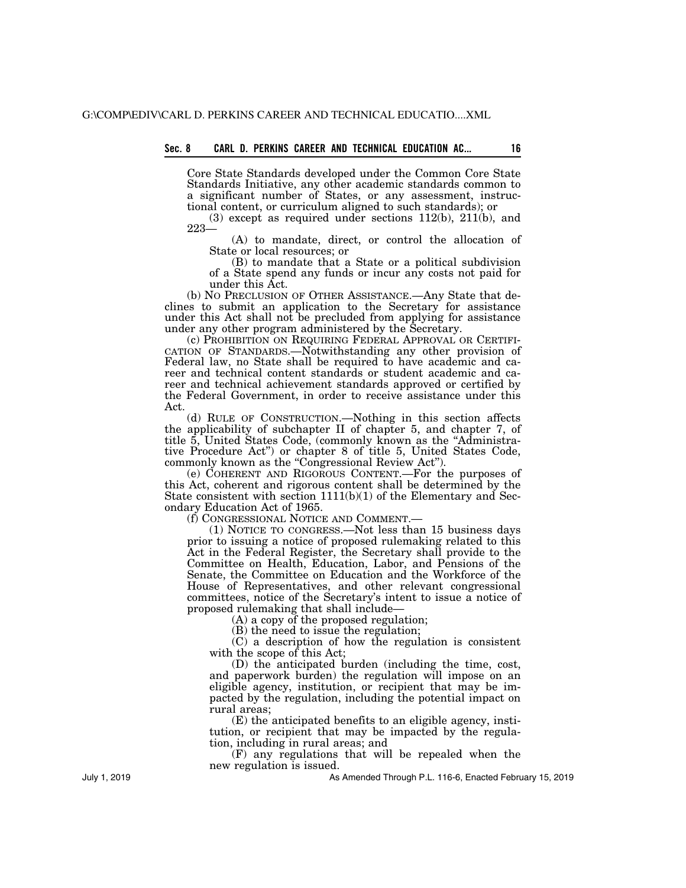### **Sec. 8 CARL D. PERKINS CAREER AND TECHNICAL EDUCATION AC... 16**

Core State Standards developed under the Common Core State Standards Initiative, any other academic standards common to a significant number of States, or any assessment, instructional content, or curriculum aligned to such standards); or

(3) except as required under sections 112(b), 211(b), and 223—

(A) to mandate, direct, or control the allocation of State or local resources; or

(B) to mandate that a State or a political subdivision of a State spend any funds or incur any costs not paid for under this Act.

(b) NO PRECLUSION OF OTHER ASSISTANCE.—Any State that declines to submit an application to the Secretary for assistance under this Act shall not be precluded from applying for assistance under any other program administered by the Secretary.

(c) PROHIBITION ON REQUIRING FEDERAL APPROVAL OR CERTIFI- CATION OF STANDARDS.—Notwithstanding any other provision of Federal law, no State shall be required to have academic and career and technical content standards or student academic and career and technical achievement standards approved or certified by the Federal Government, in order to receive assistance under this Act.

(d) RULE OF CONSTRUCTION.—Nothing in this section affects the applicability of subchapter II of chapter 5, and chapter 7, of title 5, United States Code, (commonly known as the ''Administrative Procedure Act'') or chapter 8 of title 5, United States Code, commonly known as the "Congressional Review Act").

(e) COHERENT AND RIGOROUS CONTENT.—For the purposes of this Act, coherent and rigorous content shall be determined by the State consistent with section  $1111(b)(1)$  of the Elementary and Secondary Education Act of 1965.

(f) CONGRESSIONAL NOTICE AND COMMENT.—

(1) NOTICE TO CONGRESS.—Not less than 15 business days prior to issuing a notice of proposed rulemaking related to this Act in the Federal Register, the Secretary shall provide to the Committee on Health, Education, Labor, and Pensions of the Senate, the Committee on Education and the Workforce of the House of Representatives, and other relevant congressional committees, notice of the Secretary's intent to issue a notice of proposed rulemaking that shall include—

(A) a copy of the proposed regulation;

(B) the need to issue the regulation;

(C) a description of how the regulation is consistent with the scope of this Act;

(D) the anticipated burden (including the time, cost, and paperwork burden) the regulation will impose on an eligible agency, institution, or recipient that may be impacted by the regulation, including the potential impact on rural areas;

(E) the anticipated benefits to an eligible agency, institution, or recipient that may be impacted by the regulation, including in rural areas; and

(F) any regulations that will be repealed when the new regulation is issued.

As Amended Through P.L. 116-6, Enacted February 15, 2019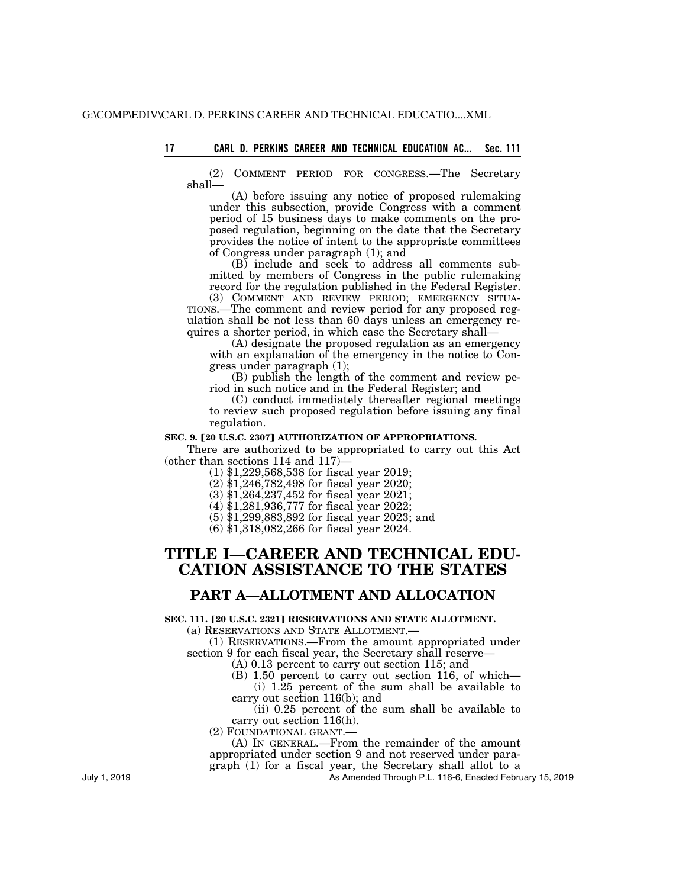| CARL D. PERKINS CAREER AND TECHNICAL EDUCATION AC<br>17 | Sec. 111 |  |  |  |  |  |  |  |
|---------------------------------------------------------|----------|--|--|--|--|--|--|--|
|---------------------------------------------------------|----------|--|--|--|--|--|--|--|

(2) COMMENT PERIOD FOR CONGRESS.—The Secretary shall—

(A) before issuing any notice of proposed rulemaking under this subsection, provide Congress with a comment period of 15 business days to make comments on the proposed regulation, beginning on the date that the Secretary provides the notice of intent to the appropriate committees of Congress under paragraph (1); and

(B) include and seek to address all comments submitted by members of Congress in the public rulemaking record for the regulation published in the Federal Register.

(3) COMMENT AND REVIEW PERIOD; EMERGENCY SITUA-TIONS.—The comment and review period for any proposed regulation shall be not less than 60 days unless an emergency requires a shorter period, in which case the Secretary shall—

(A) designate the proposed regulation as an emergency with an explanation of the emergency in the notice to Congress under paragraph (1);

(B) publish the length of the comment and review period in such notice and in the Federal Register; and

(C) conduct immediately thereafter regional meetings to review such proposed regulation before issuing any final regulation.

### **SEC. 9. [20 U.S.C. 2307] AUTHORIZATION OF APPROPRIATIONS.**

There are authorized to be appropriated to carry out this Act (other than sections 114 and 117)—

(1) \$1,229,568,538 for fiscal year 2019;

(2) \$1,246,782,498 for fiscal year 2020;

(3) \$1,264,237,452 for fiscal year 2021;

(4) \$1,281,936,777 for fiscal year 2022;

(5) \$1,299,883,892 for fiscal year 2023; and

(6) \$1,318,082,266 for fiscal year 2024.

# **TITLE I—CAREER AND TECHNICAL EDU-CATION ASSISTANCE TO THE STATES**

# **PART A—ALLOTMENT AND ALLOCATION**

# **SEC. 111. [20 U.S.C. 2321] RESERVATIONS AND STATE ALLOTMENT.**

(a) RESERVATIONS AND STATE ALLOTMENT.— (1) RESERVATIONS.—From the amount appropriated under section 9 for each fiscal year, the Secretary shall reserve—

(A) 0.13 percent to carry out section 115; and

(B) 1.50 percent to carry out section 116, of which— (i) 1.25 percent of the sum shall be available to

carry out section 116(b); and

(ii) 0.25 percent of the sum shall be available to carry out section 116(h).

(2) FOUNDATIONAL GRANT.—

(A) IN GENERAL.—From the remainder of the amount appropriated under section 9 and not reserved under para-

graph (1) for a fiscal year, the Secretary shall allot to a

As Amended Through P.L. 116-6, Enacted February 15, 2019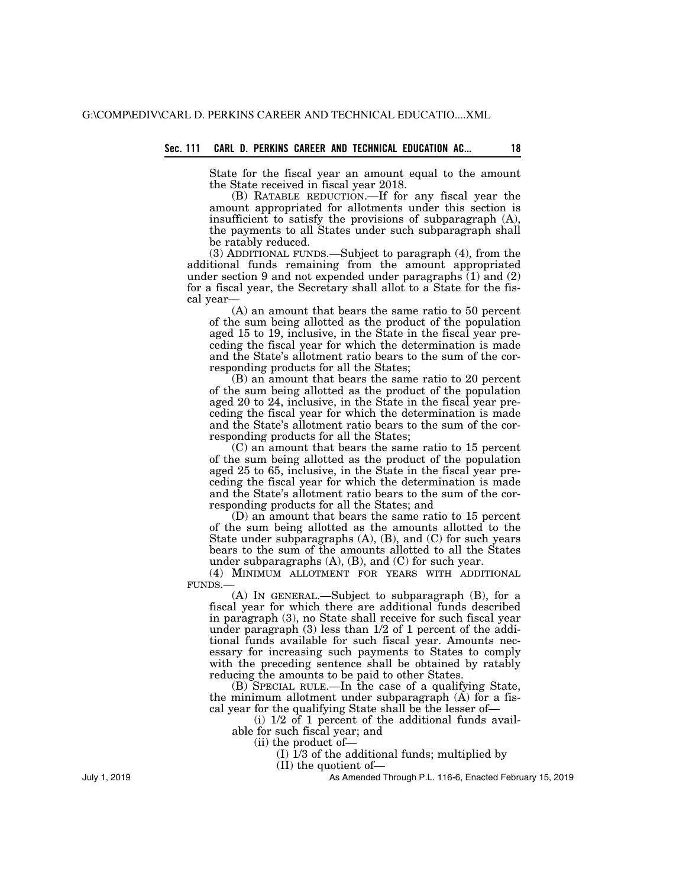# Sec. 111 CARL D. PERKINS CAREER AND TECHNICAL EDUCATION AC... **18**

State for the fiscal year an amount equal to the amount the State received in fiscal year 2018.

(B) RATABLE REDUCTION.—If for any fiscal year the amount appropriated for allotments under this section is insufficient to satisfy the provisions of subparagraph (A), the payments to all States under such subparagraph shall be ratably reduced.

(3) ADDITIONAL FUNDS.—Subject to paragraph (4), from the additional funds remaining from the amount appropriated under section 9 and not expended under paragraphs  $(1)$  and  $(2)$ for a fiscal year, the Secretary shall allot to a State for the fiscal year—

(A) an amount that bears the same ratio to 50 percent of the sum being allotted as the product of the population aged 15 to 19, inclusive, in the State in the fiscal year preceding the fiscal year for which the determination is made and the State's allotment ratio bears to the sum of the corresponding products for all the States;

(B) an amount that bears the same ratio to 20 percent of the sum being allotted as the product of the population aged 20 to 24, inclusive, in the State in the fiscal year preceding the fiscal year for which the determination is made and the State's allotment ratio bears to the sum of the corresponding products for all the States;

(C) an amount that bears the same ratio to 15 percent of the sum being allotted as the product of the population aged 25 to 65, inclusive, in the State in the fiscal year preceding the fiscal year for which the determination is made and the State's allotment ratio bears to the sum of the corresponding products for all the States; and

(D) an amount that bears the same ratio to 15 percent of the sum being allotted as the amounts allotted to the State under subparagraphs (A), (B), and (C) for such years bears to the sum of the amounts allotted to all the States under subparagraphs  $(A)$ ,  $(B)$ , and  $(C)$  for such year.

(4) MINIMUM ALLOTMENT FOR YEARS WITH ADDITIONAL FUNDS.—

(A) IN GENERAL.—Subject to subparagraph (B), for a fiscal year for which there are additional funds described in paragraph (3), no State shall receive for such fiscal year under paragraph (3) less than 1/2 of 1 percent of the additional funds available for such fiscal year. Amounts necessary for increasing such payments to States to comply with the preceding sentence shall be obtained by ratably reducing the amounts to be paid to other States.

(B) SPECIAL RULE.—In the case of a qualifying State, the minimum allotment under subparagraph  $(A)$  for a fiscal year for the qualifying State shall be the lesser of—

(i) 1/2 of 1 percent of the additional funds available for such fiscal year; and

(ii) the product of—

(I) 1/3 of the additional funds; multiplied by

(II) the quotient of—

As Amended Through P.L. 116-6, Enacted February 15, 2019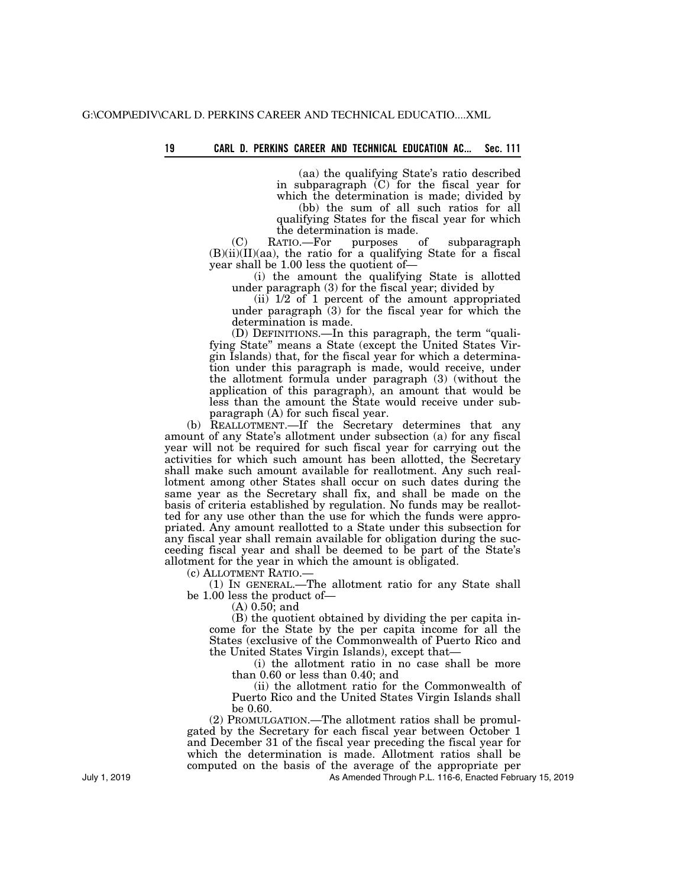(aa) the qualifying State's ratio described in subparagraph (C) for the fiscal year for which the determination is made; divided by

(bb) the sum of all such ratios for all qualifying States for the fiscal year for which the determination is made.<br>RATIO.—For purposes of

(C) RATIO.—For purposes of subparagraph  $(B)(ii)(II)(aa)$ , the ratio for a qualifying State for a fiscal year shall be 1.00 less the quotient of—

(i) the amount the qualifying State is allotted under paragraph (3) for the fiscal year; divided by

(ii) 1/2 of 1 percent of the amount appropriated under paragraph (3) for the fiscal year for which the determination is made.

(D) DEFINITIONS.—In this paragraph, the term ''qualifying State'' means a State (except the United States Virgin Islands) that, for the fiscal year for which a determination under this paragraph is made, would receive, under the allotment formula under paragraph (3) (without the application of this paragraph), an amount that would be less than the amount the State would receive under subparagraph (A) for such fiscal year.

(b) REALLOTMENT.—If the Secretary determines that any amount of any State's allotment under subsection (a) for any fiscal year will not be required for such fiscal year for carrying out the activities for which such amount has been allotted, the Secretary shall make such amount available for reallotment. Any such reallotment among other States shall occur on such dates during the same year as the Secretary shall fix, and shall be made on the basis of criteria established by regulation. No funds may be reallotted for any use other than the use for which the funds were appropriated. Any amount reallotted to a State under this subsection for any fiscal year shall remain available for obligation during the succeeding fiscal year and shall be deemed to be part of the State's allotment for the year in which the amount is obligated.

(c) ALLOTMENT RATIO.—

(1) IN GENERAL.—The allotment ratio for any State shall be 1.00 less the product of—

(A) 0.50; and

(B) the quotient obtained by dividing the per capita income for the State by the per capita income for all the States (exclusive of the Commonwealth of Puerto Rico and the United States Virgin Islands), except that—

(i) the allotment ratio in no case shall be more than 0.60 or less than 0.40; and

(ii) the allotment ratio for the Commonwealth of Puerto Rico and the United States Virgin Islands shall be 0.60.

(2) PROMULGATION.—The allotment ratios shall be promulgated by the Secretary for each fiscal year between October 1 and December 31 of the fiscal year preceding the fiscal year for which the determination is made. Allotment ratios shall be computed on the basis of the average of the appropriate per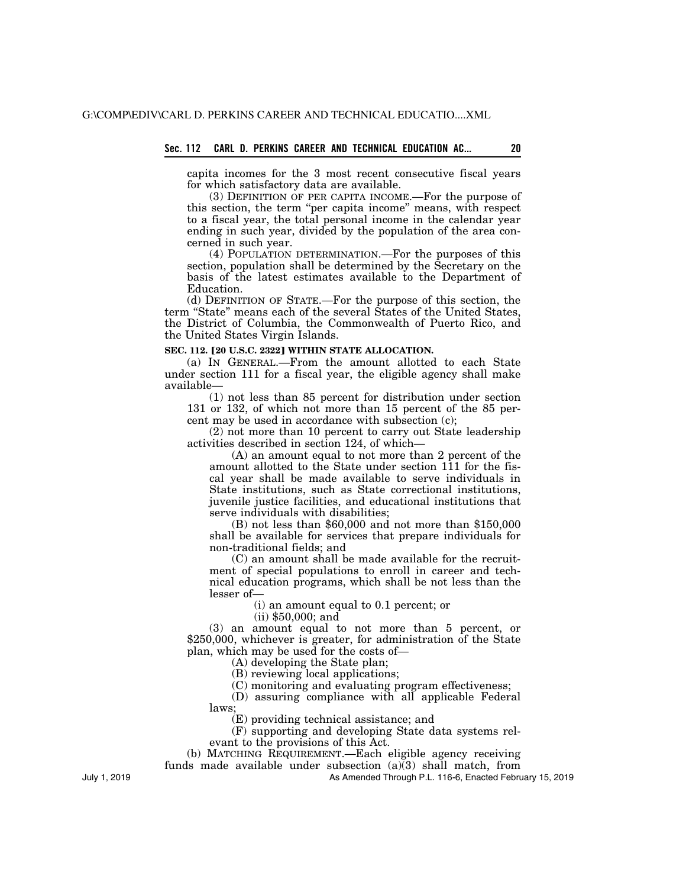# **Sec. 112 CARL D. PERKINS CAREER AND TECHNICAL EDUCATION AC... 20**

capita incomes for the 3 most recent consecutive fiscal years for which satisfactory data are available.

(3) DEFINITION OF PER CAPITA INCOME.—For the purpose of this section, the term "per capita income" means, with respect to a fiscal year, the total personal income in the calendar year ending in such year, divided by the population of the area concerned in such year.

(4) POPULATION DETERMINATION.—For the purposes of this section, population shall be determined by the Secretary on the basis of the latest estimates available to the Department of Education.

(d) DEFINITION OF STATE.—For the purpose of this section, the term ''State'' means each of the several States of the United States, the District of Columbia, the Commonwealth of Puerto Rico, and the United States Virgin Islands.

# **SEC. 112. [20 U.S.C. 2322] WITHIN STATE ALLOCATION.**

(a) IN GENERAL.—From the amount allotted to each State under section 111 for a fiscal year, the eligible agency shall make available—

(1) not less than 85 percent for distribution under section 131 or 132, of which not more than 15 percent of the 85 percent may be used in accordance with subsection (c);

(2) not more than 10 percent to carry out State leadership activities described in section 124, of which—

(A) an amount equal to not more than 2 percent of the amount allotted to the State under section 111 for the fiscal year shall be made available to serve individuals in State institutions, such as State correctional institutions, juvenile justice facilities, and educational institutions that serve individuals with disabilities;

(B) not less than \$60,000 and not more than \$150,000 shall be available for services that prepare individuals for non-traditional fields; and

(C) an amount shall be made available for the recruitment of special populations to enroll in career and technical education programs, which shall be not less than the lesser of—

(i) an amount equal to 0.1 percent; or

(ii) \$50,000; and

(3) an amount equal to not more than 5 percent, or \$250,000, whichever is greater, for administration of the State plan, which may be used for the costs of—

(A) developing the State plan;

(B) reviewing local applications;

(C) monitoring and evaluating program effectiveness;

(D) assuring compliance with all applicable Federal

laws;

(E) providing technical assistance; and

(F) supporting and developing State data systems relevant to the provisions of this Act.

(b) MATCHING REQUIREMENT.—Each eligible agency receiving

funds made available under subsection (a)(3) shall match, from

As Amended Through P.L. 116-6, Enacted February 15, 2019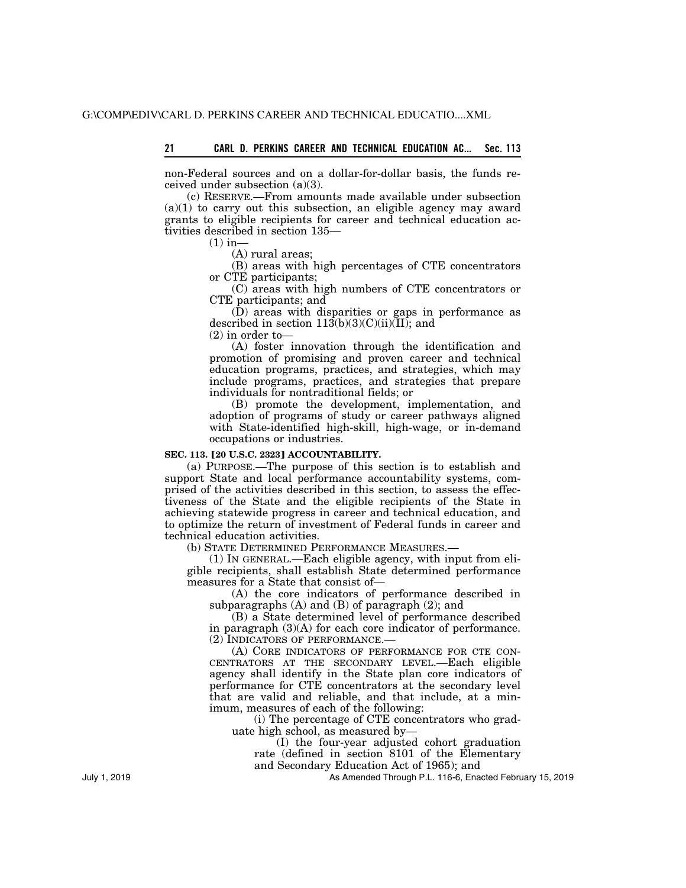non-Federal sources and on a dollar-for-dollar basis, the funds received under subsection (a)(3).

(c) RESERVE.—From amounts made available under subsection (a)(1) to carry out this subsection, an eligible agency may award grants to eligible recipients for career and technical education activities described in section 135—

 $(1)$  in-

(A) rural areas;

(B) areas with high percentages of CTE concentrators or CTE participants;

(C) areas with high numbers of CTE concentrators or CTE participants; and

(D) areas with disparities or gaps in performance as described in section  $113(b)(3)(C)(ii)(II)$ ; and

(2) in order to—

(A) foster innovation through the identification and promotion of promising and proven career and technical education programs, practices, and strategies, which may include programs, practices, and strategies that prepare individuals for nontraditional fields; or

(B) promote the development, implementation, and adoption of programs of study or career pathways aligned with State-identified high-skill, high-wage, or in-demand occupations or industries.

# **SEC. 113. [20 U.S.C. 2323] ACCOUNTABILITY.**

(a) PURPOSE.—The purpose of this section is to establish and support State and local performance accountability systems, comprised of the activities described in this section, to assess the effectiveness of the State and the eligible recipients of the State in achieving statewide progress in career and technical education, and to optimize the return of investment of Federal funds in career and technical education activities.

(b) STATE DETERMINED PERFORMANCE MEASURES.—

(1) IN GENERAL.—Each eligible agency, with input from eligible recipients, shall establish State determined performance measures for a State that consist of—

(A) the core indicators of performance described in subparagraphs (A) and (B) of paragraph (2); and

(B) a State determined level of performance described in paragraph (3)(A) for each core indicator of performance. (2) INDICATORS OF PERFORMANCE.—

(A) CORE INDICATORS OF PERFORMANCE FOR CTE CON-CENTRATORS AT THE SECONDARY LEVEL.—Each eligible agency shall identify in the State plan core indicators of performance for CTE concentrators at the secondary level that are valid and reliable, and that include, at a minimum, measures of each of the following:

(i) The percentage of CTE concentrators who graduate high school, as measured by—

(I) the four-year adjusted cohort graduation rate (defined in section 8101 of the Elementary and Secondary Education Act of 1965); and

As Amended Through P.L. 116-6, Enacted February 15, 2019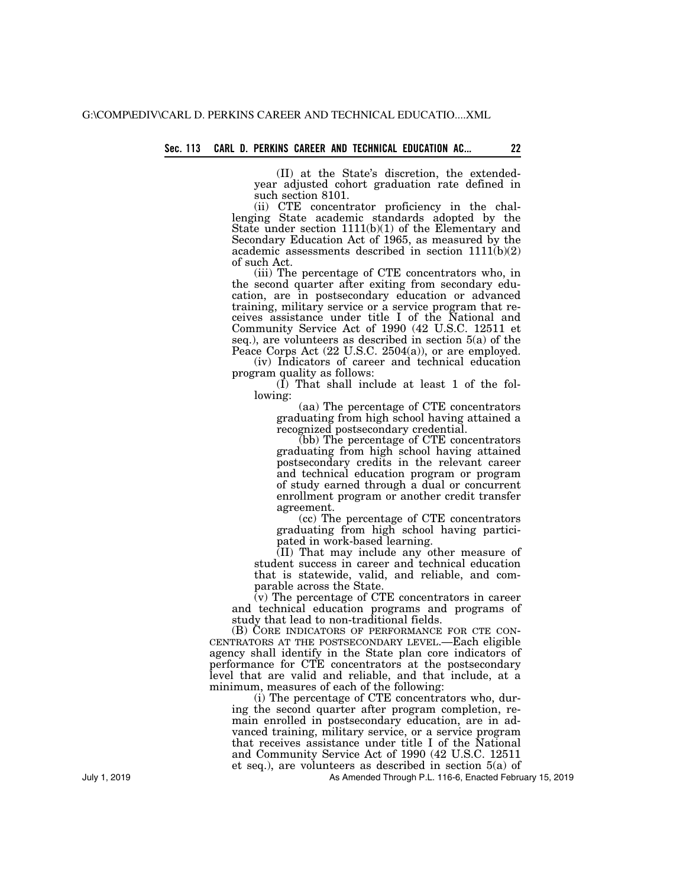# **Sec. 113 CARL D. PERKINS CAREER AND TECHNICAL EDUCATION AC... 22**

(II) at the State's discretion, the extendedyear adjusted cohort graduation rate defined in such section 8101.

(ii) CTE concentrator proficiency in the challenging State academic standards adopted by the State under section  $1111(b)(1)$  of the Elementary and Secondary Education Act of 1965, as measured by the academic assessments described in section 1111(b)(2) of such Act.

(iii) The percentage of CTE concentrators who, in the second quarter after exiting from secondary education, are in postsecondary education or advanced training, military service or a service program that receives assistance under title I of the National and Community Service Act of 1990 (42 U.S.C. 12511 et seq.), are volunteers as described in section 5(a) of the Peace Corps Act (22 U.S.C. 2504(a)), or are employed.

(iv) Indicators of career and technical education program quality as follows:

 $(I)$  That shall include at least 1 of the following:

(aa) The percentage of CTE concentrators graduating from high school having attained a recognized postsecondary credential.

(bb) The percentage of CTE concentrators graduating from high school having attained postsecondary credits in the relevant career and technical education program or program of study earned through a dual or concurrent enrollment program or another credit transfer agreement.

(cc) The percentage of CTE concentrators graduating from high school having participated in work-based learning.

(II) That may include any other measure of student success in career and technical education that is statewide, valid, and reliable, and comparable across the State.

(v) The percentage of CTE concentrators in career and technical education programs and programs of study that lead to non-traditional fields.

(B) CORE INDICATORS OF PERFORMANCE FOR CTE CON-CENTRATORS AT THE POSTSECONDARY LEVEL.—Each eligible agency shall identify in the State plan core indicators of performance for CTE concentrators at the postsecondary level that are valid and reliable, and that include, at a minimum, measures of each of the following:

(i) The percentage of CTE concentrators who, during the second quarter after program completion, remain enrolled in postsecondary education, are in advanced training, military service, or a service program that receives assistance under title I of the National and Community Service Act of 1990 (42 U.S.C. 12511 et seq.), are volunteers as described in section 5(a) of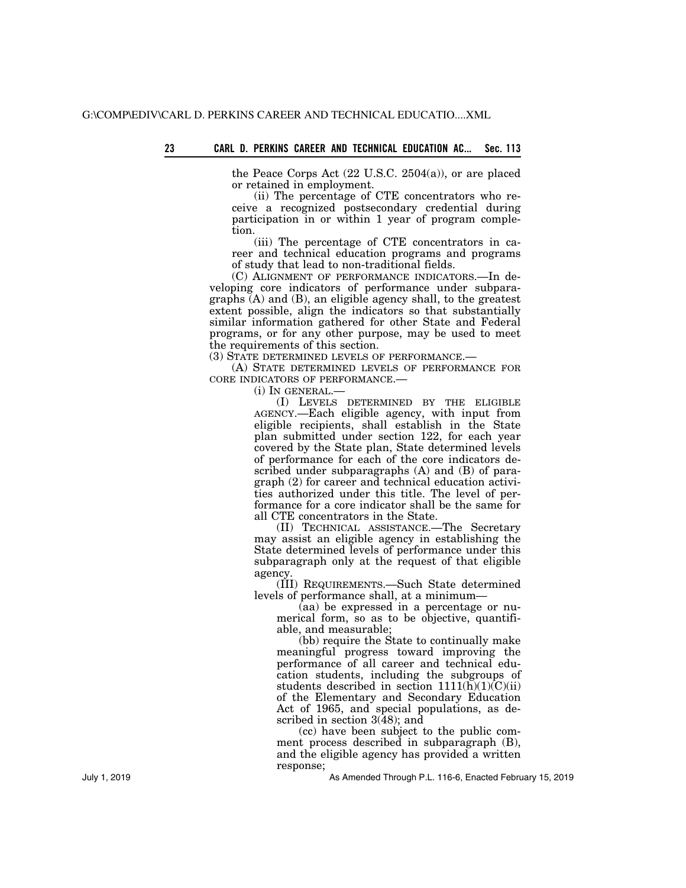| 23 |  |  |  | CARL D. PERKINS CAREER AND TECHNICAL EDUCATION AC Sec. 113 |  |
|----|--|--|--|------------------------------------------------------------|--|
|    |  |  |  |                                                            |  |

the Peace Corps Act (22 U.S.C. 2504(a)), or are placed or retained in employment.

(ii) The percentage of CTE concentrators who receive a recognized postsecondary credential during participation in or within 1 year of program completion.

(iii) The percentage of CTE concentrators in career and technical education programs and programs of study that lead to non-traditional fields.

(C) ALIGNMENT OF PERFORMANCE INDICATORS.—In developing core indicators of performance under subparagraphs (A) and (B), an eligible agency shall, to the greatest extent possible, align the indicators so that substantially similar information gathered for other State and Federal programs, or for any other purpose, may be used to meet the requirements of this section.

(3) STATE DETERMINED LEVELS OF PERFORMANCE.—

(A) STATE DETERMINED LEVELS OF PERFORMANCE FOR CORE INDICATORS OF PERFORMANCE.—

(i) IN GENERAL.—

(I) LEVELS DETERMINED BY THE ELIGIBLE AGENCY.—Each eligible agency, with input from eligible recipients, shall establish in the State plan submitted under section 122, for each year covered by the State plan, State determined levels of performance for each of the core indicators described under subparagraphs (A) and (B) of paragraph (2) for career and technical education activities authorized under this title. The level of performance for a core indicator shall be the same for all CTE concentrators in the State.

(II) TECHNICAL ASSISTANCE.—The Secretary may assist an eligible agency in establishing the State determined levels of performance under this subparagraph only at the request of that eligible agency.

(III) REQUIREMENTS.—Such State determined levels of performance shall, at a minimum—

(aa) be expressed in a percentage or numerical form, so as to be objective, quantifiable, and measurable;

(bb) require the State to continually make meaningful progress toward improving the performance of all career and technical education students, including the subgroups of students described in section  $1111(h)(1)(C(ii))$ of the Elementary and Secondary Education Act of 1965, and special populations, as described in section 3(48); and

(cc) have been subject to the public comment process described in subparagraph (B), and the eligible agency has provided a written response;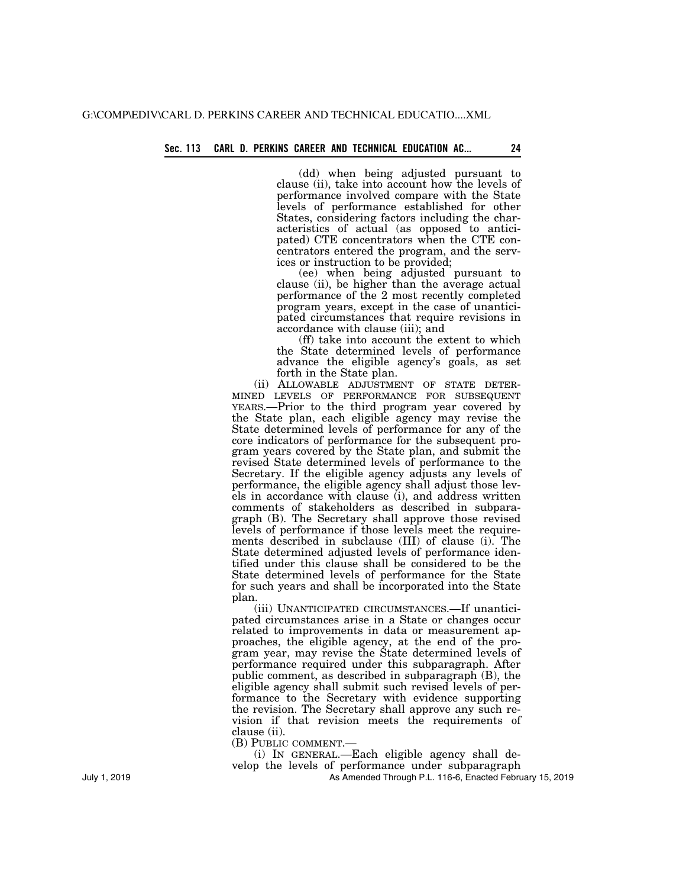(dd) when being adjusted pursuant to clause (ii), take into account how the levels of performance involved compare with the State levels of performance established for other States, considering factors including the characteristics of actual (as opposed to anticipated) CTE concentrators when the CTE concentrators entered the program, and the services or instruction to be provided;

(ee) when being adjusted pursuant to clause (ii), be higher than the average actual performance of the 2 most recently completed program years, except in the case of unanticipated circumstances that require revisions in accordance with clause (iii); and

(ff) take into account the extent to which the State determined levels of performance advance the eligible agency's goals, as set forth in the State plan.

(ii) ALLOWABLE ADJUSTMENT OF STATE DETER- MINED LEVELS OF PERFORMANCE FOR SUBSEQUENT YEARS.—Prior to the third program year covered by the State plan, each eligible agency may revise the State determined levels of performance for any of the core indicators of performance for the subsequent program years covered by the State plan, and submit the revised State determined levels of performance to the Secretary. If the eligible agency adjusts any levels of performance, the eligible agency shall adjust those levels in accordance with clause (i), and address written comments of stakeholders as described in subparagraph (B). The Secretary shall approve those revised levels of performance if those levels meet the requirements described in subclause (III) of clause (i). The State determined adjusted levels of performance identified under this clause shall be considered to be the State determined levels of performance for the State for such years and shall be incorporated into the State plan.

(iii) UNANTICIPATED CIRCUMSTANCES.—If unanticipated circumstances arise in a State or changes occur related to improvements in data or measurement approaches, the eligible agency, at the end of the program year, may revise the State determined levels of performance required under this subparagraph. After public comment, as described in subparagraph (B), the eligible agency shall submit such revised levels of performance to the Secretary with evidence supporting the revision. The Secretary shall approve any such revision if that revision meets the requirements of clause (ii).

(B) PUBLIC COMMENT.—

(i) IN GENERAL.—Each eligible agency shall develop the levels of performance under subparagraph

As Amended Through P.L. 116-6, Enacted February 15, 2019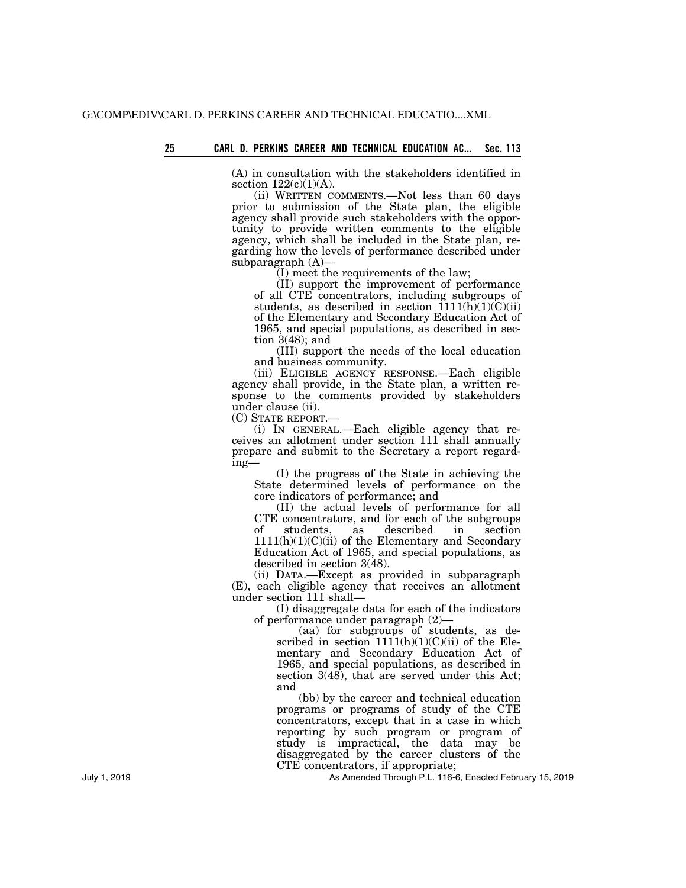| 25 |  |  |  | CARL D. PERKINS CAREER AND TECHNICAL EDUCATION AC | Sec. 113 |  |
|----|--|--|--|---------------------------------------------------|----------|--|
|    |  |  |  |                                                   |          |  |

(A) in consultation with the stakeholders identified in section  $122(c)(1)(A)$ .

(ii) WRITTEN COMMENTS.—Not less than 60 days prior to submission of the State plan, the eligible agency shall provide such stakeholders with the opportunity to provide written comments to the eligible agency, which shall be included in the State plan, regarding how the levels of performance described under subparagraph (A)—

(I) meet the requirements of the law;

(II) support the improvement of performance of all CTE concentrators, including subgroups of students, as described in section  $\overline{1111(h)(1)(C(ii))}$ of the Elementary and Secondary Education Act of 1965, and special populations, as described in section  $3(48)$ ; and

(III) support the needs of the local education and business community.

(iii) ELIGIBLE AGENCY RESPONSE.—Each eligible agency shall provide, in the State plan, a written response to the comments provided by stakeholders under clause (ii).<br>(C) STATE REPORT.—

(i) IN GENERAL.—Each eligible agency that receives an allotment under section 111 shall annually prepare and submit to the Secretary a report regarding—

(I) the progress of the State in achieving the State determined levels of performance on the core indicators of performance; and

(II) the actual levels of performance for all CTE concentrators, and for each of the subgroups<br>of students, as described in section described in section  $1111(h)(1)(C(i))$  of the Elementary and Secondary Education Act of 1965, and special populations, as described in section 3(48).

(ii) DATA.—Except as provided in subparagraph (E), each eligible agency that receives an allotment under section 111 shall—

(I) disaggregate data for each of the indicators of performance under paragraph (2)—

(aa) for subgroups of students, as described in section  $11\overline{11(h)(1)(C)(ii)}$  of the Elementary and Secondary Education Act of 1965, and special populations, as described in section 3(48), that are served under this Act; and

(bb) by the career and technical education programs or programs of study of the CTE concentrators, except that in a case in which reporting by such program or program of study is impractical, the data may be disaggregated by the career clusters of the CTE concentrators, if appropriate;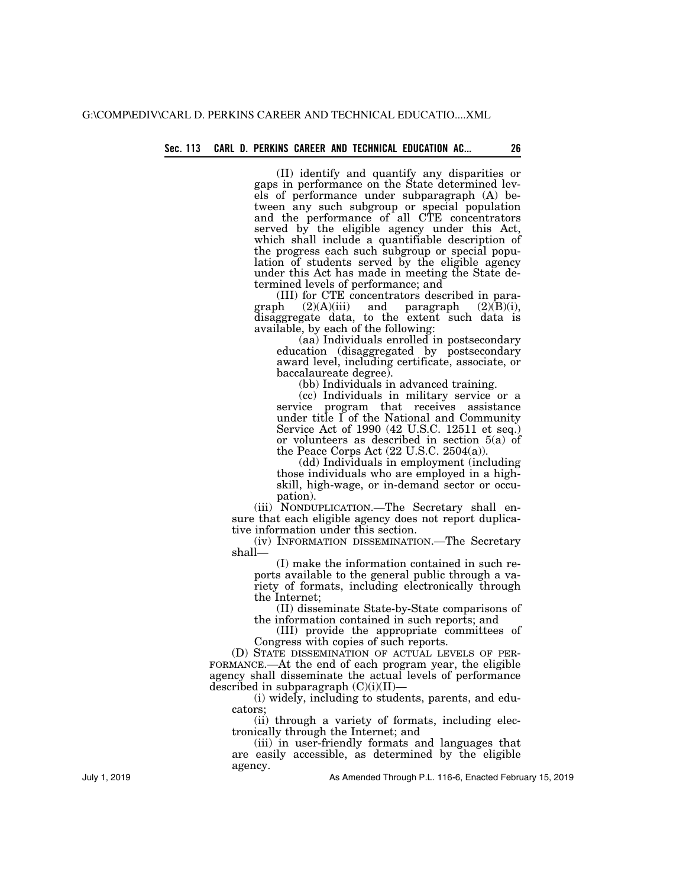# **Sec. 113 CARL D. PERKINS CAREER AND TECHNICAL EDUCATION AC... 26**

(II) identify and quantify any disparities or gaps in performance on the State determined levels of performance under subparagraph (A) between any such subgroup or special population and the performance of all CTE concentrators served by the eligible agency under this Act, which shall include a quantifiable description of the progress each such subgroup or special population of students served by the eligible agency under this Act has made in meeting the State determined levels of performance; and

(III) for CTE concentrators described in paragraph  $(2)(A)(iii)$  and paragraph  $(2)(B)(i)$ , disaggregate data, to the extent such data is available, by each of the following:

(aa) Individuals enrolled in postsecondary education (disaggregated by postsecondary award level, including certificate, associate, or baccalaureate degree).

(bb) Individuals in advanced training.

(cc) Individuals in military service or a service program that receives assistance under title  $\check{\Gamma}$  of the National and Community Service Act of 1990 (42 U.S.C. 12511 et seq.) or volunteers as described in section 5(a) of the Peace Corps Act  $(22 \text{ U.S.C. } 2504(a))$ .

(dd) Individuals in employment (including those individuals who are employed in a highskill, high-wage, or in-demand sector or occupation).

(iii) NONDUPLICATION.—The Secretary shall ensure that each eligible agency does not report duplicative information under this section.

(iv) INFORMATION DISSEMINATION.—The Secretary shall—

(I) make the information contained in such reports available to the general public through a variety of formats, including electronically through the Internet;

(II) disseminate State-by-State comparisons of the information contained in such reports; and

(III) provide the appropriate committees of Congress with copies of such reports.

(D) STATE DISSEMINATION OF ACTUAL LEVELS OF PER-FORMANCE.—At the end of each program year, the eligible agency shall disseminate the actual levels of performance described in subparagraph  $(C)(i)(II)$ —

(i) widely, including to students, parents, and educators;

(ii) through a variety of formats, including electronically through the Internet; and

(iii) in user-friendly formats and languages that are easily accessible, as determined by the eligible agency.

As Amended Through P.L. 116-6, Enacted February 15, 2019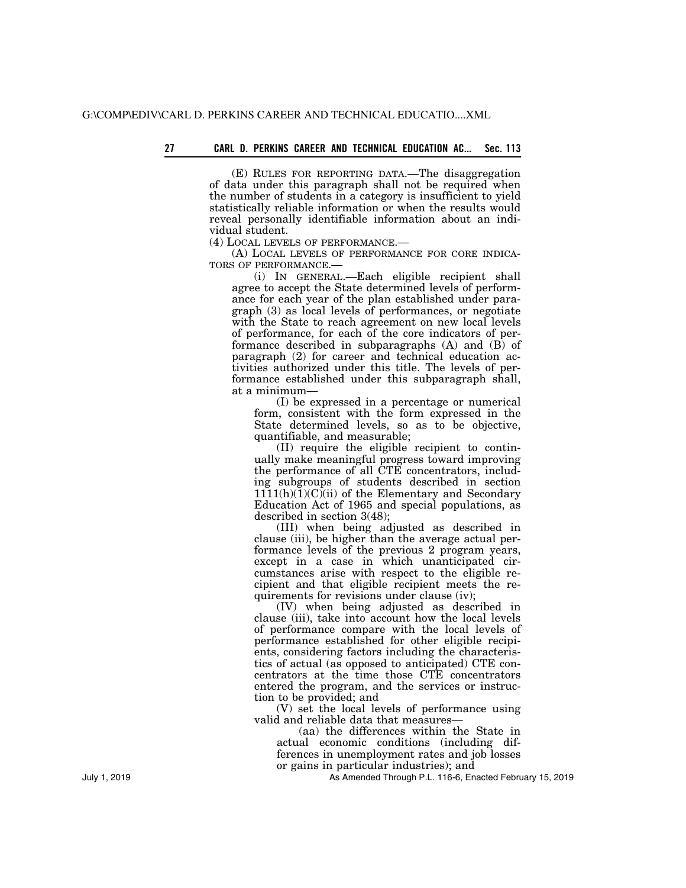| 27 |  |  |  |  |  |  | CARL D. PERKINS CAREER AND TECHNICAL EDUCATION AC Sec. 113 |  |  |  |
|----|--|--|--|--|--|--|------------------------------------------------------------|--|--|--|
|----|--|--|--|--|--|--|------------------------------------------------------------|--|--|--|

(E) RULES FOR REPORTING DATA.—The disaggregation of data under this paragraph shall not be required when the number of students in a category is insufficient to yield statistically reliable information or when the results would reveal personally identifiable information about an individual student.

(4) LOCAL LEVELS OF PERFORMANCE.—

(A) LOCAL LEVELS OF PERFORMANCE FOR CORE INDICA-TORS OF PERFORMANCE.—

(i) IN GENERAL.—Each eligible recipient shall agree to accept the State determined levels of performance for each year of the plan established under paragraph (3) as local levels of performances, or negotiate with the State to reach agreement on new local levels of performance, for each of the core indicators of performance described in subparagraphs (A) and (B) of paragraph (2) for career and technical education activities authorized under this title. The levels of performance established under this subparagraph shall, at a minimum—

(I) be expressed in a percentage or numerical form, consistent with the form expressed in the State determined levels, so as to be objective, quantifiable, and measurable;

(II) require the eligible recipient to continually make meaningful progress toward improving the performance of all CTE concentrators, including subgroups of students described in section  $1111(h)(1)(C)(ii)$  of the Elementary and Secondary Education Act of 1965 and special populations, as described in section 3(48);

(III) when being adjusted as described in clause (iii), be higher than the average actual performance levels of the previous 2 program years, except in a case in which unanticipated circumstances arise with respect to the eligible recipient and that eligible recipient meets the requirements for revisions under clause (iv);

(IV) when being adjusted as described in clause (iii), take into account how the local levels of performance compare with the local levels of performance established for other eligible recipients, considering factors including the characteristics of actual (as opposed to anticipated) CTE concentrators at the time those CTE concentrators entered the program, and the services or instruction to be provided; and

(V) set the local levels of performance using valid and reliable data that measures-

(aa) the differences within the State in actual economic conditions (including differences in unemployment rates and job losses or gains in particular industries); and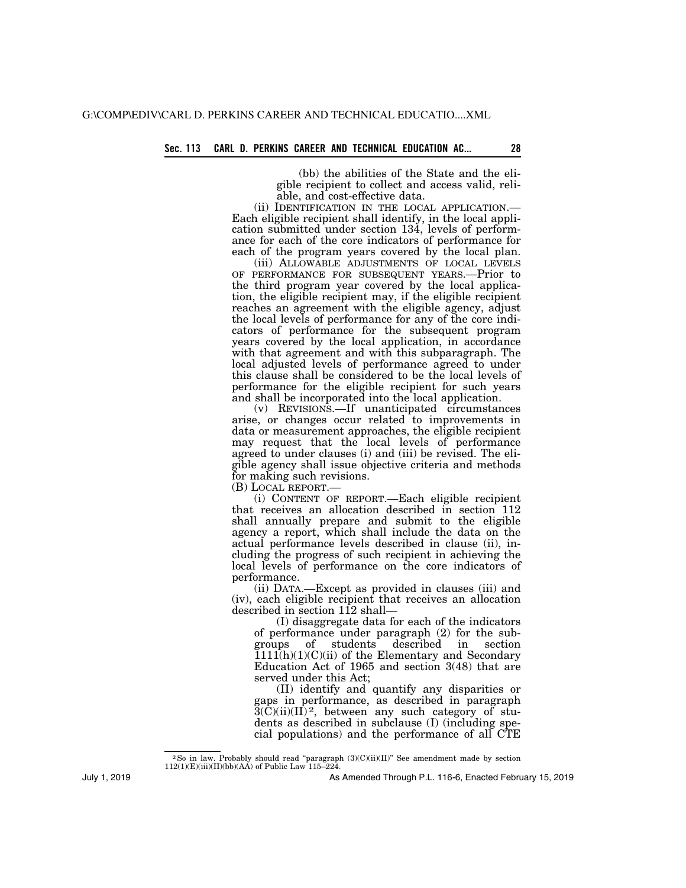# **Sec. 113 CARL D. PERKINS CAREER AND TECHNICAL EDUCATION AC... 28**

(bb) the abilities of the State and the eligible recipient to collect and access valid, reliable, and cost-effective data.

(ii) IDENTIFICATION IN THE LOCAL APPLICATION.— Each eligible recipient shall identify, in the local application submitted under section 134, levels of performance for each of the core indicators of performance for each of the program years covered by the local plan.

(iii) ALLOWABLE ADJUSTMENTS OF LOCAL LEVELS OF PERFORMANCE FOR SUBSEQUENT YEARS.—Prior to the third program year covered by the local application, the eligible recipient may, if the eligible recipient reaches an agreement with the eligible agency, adjust the local levels of performance for any of the core indicators of performance for the subsequent program years covered by the local application, in accordance with that agreement and with this subparagraph. The local adjusted levels of performance agreed to under this clause shall be considered to be the local levels of performance for the eligible recipient for such years and shall be incorporated into the local application.

(v) REVISIONS.—If unanticipated circumstances arise, or changes occur related to improvements in data or measurement approaches, the eligible recipient may request that the local levels of performance agreed to under clauses (i) and (iii) be revised. The eligible agency shall issue objective criteria and methods for making such revisions.

(B) LOCAL REPORT.—

(i) CONTENT OF REPORT.—Each eligible recipient that receives an allocation described in section 112 shall annually prepare and submit to the eligible agency a report, which shall include the data on the actual performance levels described in clause (ii), including the progress of such recipient in achieving the local levels of performance on the core indicators of performance.

(ii) DATA.—Except as provided in clauses (iii) and (iv), each eligible recipient that receives an allocation described in section 112 shall—

(I) disaggregate data for each of the indicators of performance under paragraph (2) for the subgroups of students described in section of students described in section  $1111(h)(1)(C)(ii)$  of the Elementary and Secondary Education Act of 1965 and section 3(48) that are served under this Act;

(II) identify and quantify any disparities or gaps in performance, as described in paragraph  $\overline{3}(\overline{C})(ii)(II)^2$ , between any such category of students as described in subclause (I) (including special populations) and the performance of all CTE

<sup>&</sup>lt;sup>2</sup>So in law. Probably should read "paragraph  $(3)(C)(ii)(II)$ " See amendment made by section 112(1)(E)(iii)(II)(bb)(AA) of Public Law 115–224.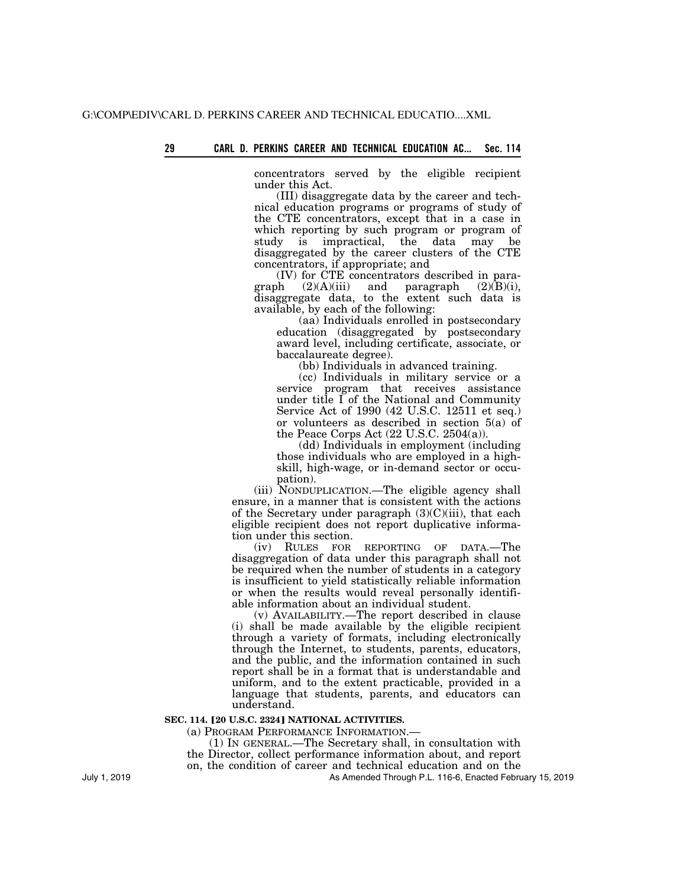| 29 |  |  |  |  |  | CARL D. PERKINS CAREER AND TECHNICAL EDUCATION AC |  | Sec. 114 |
|----|--|--|--|--|--|---------------------------------------------------|--|----------|
|----|--|--|--|--|--|---------------------------------------------------|--|----------|

concentrators served by the eligible recipient under this Act.

(III) disaggregate data by the career and technical education programs or programs of study of the CTE concentrators, except that in a case in which reporting by such program or program of study is impractical, the data may be disaggregated by the career clusters of the CTE concentrators, if appropriate; and

(IV) for CTE concentrators described in paragraph  $(2)(A)(iii)$  and paragraph  $(2)(B)(i)$ , disaggregate data, to the extent such data is available, by each of the following:

(aa) Individuals enrolled in postsecondary education (disaggregated by postsecondary award level, including certificate, associate, or baccalaureate degree).

(bb) Individuals in advanced training.

(cc) Individuals in military service or a service program that receives assistance under title  $\overline{I}$  of the National and Community Service Act of 1990 (42 U.S.C. 12511 et seq.) or volunteers as described in section 5(a) of the Peace Corps Act (22 U.S.C. 2504(a)).

(dd) Individuals in employment (including those individuals who are employed in a highskill, high-wage, or in-demand sector or occupation).

(iii) NONDUPLICATION.—The eligible agency shall ensure, in a manner that is consistent with the actions of the Secretary under paragraph  $(3)(C)(iii)$ , that each eligible recipient does not report duplicative information under this section.

(iv) RULES FOR REPORTING OF DATA.—The disaggregation of data under this paragraph shall not be required when the number of students in a category is insufficient to yield statistically reliable information or when the results would reveal personally identifiable information about an individual student.

(v) AVAILABILITY.—The report described in clause (i) shall be made available by the eligible recipient through a variety of formats, including electronically through the Internet, to students, parents, educators, and the public, and the information contained in such report shall be in a format that is understandable and uniform, and to the extent practicable, provided in a language that students, parents, and educators can understand.

# **SEC. 114. [20 U.S.C. 2324] NATIONAL ACTIVITIES.**

(a) PROGRAM PERFORMANCE INFORMATION.— (1) IN GENERAL.—The Secretary shall, in consultation with the Director, collect performance information about, and report

on, the condition of career and technical education and on the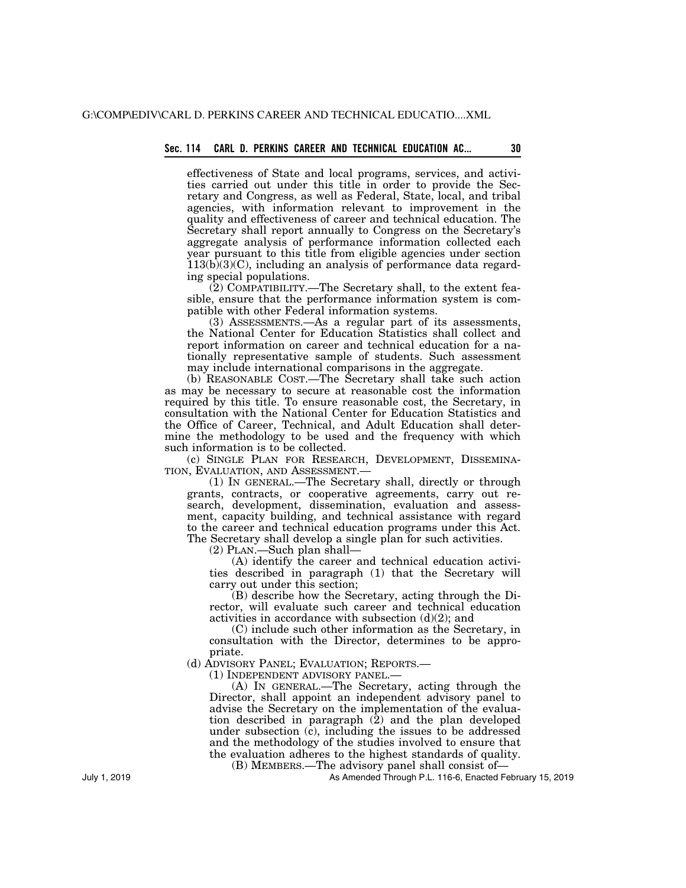## **Sec. 114 CARL D. PERKINS CAREER AND TECHNICAL EDUCATION AC... 30**

effectiveness of State and local programs, services, and activities carried out under this title in order to provide the Secretary and Congress, as well as Federal, State, local, and tribal agencies, with information relevant to improvement in the quality and effectiveness of career and technical education. The Secretary shall report annually to Congress on the Secretary's aggregate analysis of performance information collected each year pursuant to this title from eligible agencies under section  $113(b)(3)(C)$ , including an analysis of performance data regarding special populations.

(2) COMPATIBILITY.—The Secretary shall, to the extent feasible, ensure that the performance information system is compatible with other Federal information systems.

(3) ASSESSMENTS.—As a regular part of its assessments, the National Center for Education Statistics shall collect and report information on career and technical education for a nationally representative sample of students. Such assessment may include international comparisons in the aggregate.

(b) REASONABLE COST.—The Secretary shall take such action as may be necessary to secure at reasonable cost the information required by this title. To ensure reasonable cost, the Secretary, in consultation with the National Center for Education Statistics and the Office of Career, Technical, and Adult Education shall determine the methodology to be used and the frequency with which such information is to be collected.

(c) SINGLE PLAN FOR RESEARCH, DEVELOPMENT, DISSEMINA-TION, EVALUATION, AND ASSESSMENT.—

(1) IN GENERAL.—The Secretary shall, directly or through grants, contracts, or cooperative agreements, carry out research, development, dissemination, evaluation and assessment, capacity building, and technical assistance with regard to the career and technical education programs under this Act. The Secretary shall develop a single plan for such activities.

(2) PLAN.—Such plan shall—

(A) identify the career and technical education activities described in paragraph (1) that the Secretary will carry out under this section;

(B) describe how the Secretary, acting through the Director, will evaluate such career and technical education activities in accordance with subsection  $(d)(2)$ ; and

(C) include such other information as the Secretary, in consultation with the Director, determines to be appropriate.

(d) ADVISORY PANEL; EVALUATION; REPORTS.—

(1) INDEPENDENT ADVISORY PANEL.—

(A) IN GENERAL.—The Secretary, acting through the Director, shall appoint an independent advisory panel to advise the Secretary on the implementation of the evaluation described in paragraph  $(2)$  and the plan developed under subsection (c), including the issues to be addressed and the methodology of the studies involved to ensure that the evaluation adheres to the highest standards of quality.

(B) MEMBERS.—The advisory panel shall consist of—

As Amended Through P.L. 116-6, Enacted February 15, 2019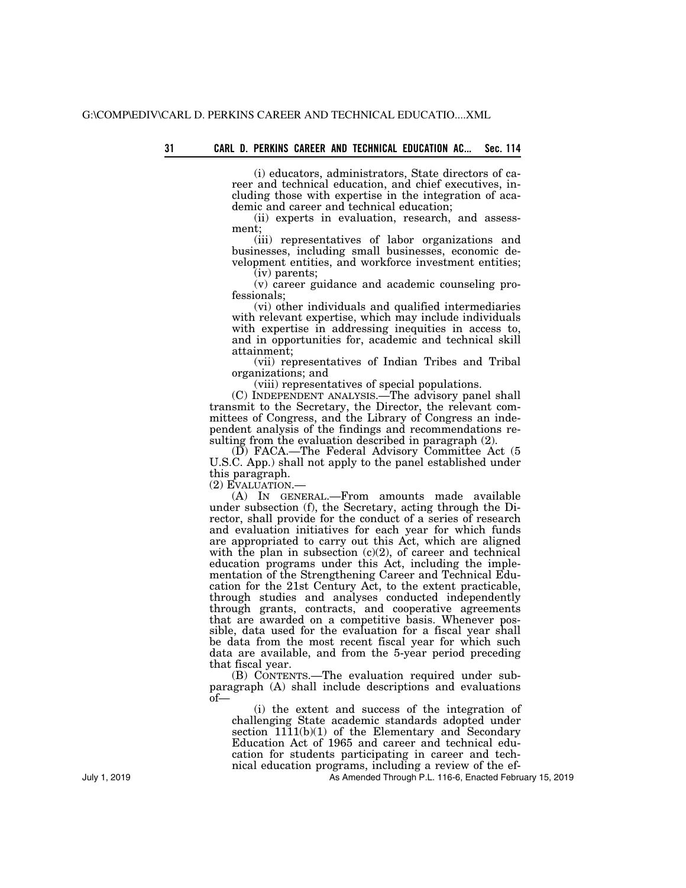| 31<br>CARL D. PERKINS CAREER AND TECHNICAL EDUCATION AC |  |  |  |  | Sec. 114 |
|---------------------------------------------------------|--|--|--|--|----------|
|---------------------------------------------------------|--|--|--|--|----------|

(i) educators, administrators, State directors of career and technical education, and chief executives, including those with expertise in the integration of academic and career and technical education;

(ii) experts in evaluation, research, and assessment;

(iii) representatives of labor organizations and businesses, including small businesses, economic development entities, and workforce investment entities; (iv) parents;

(v) career guidance and academic counseling professionals;

(vi) other individuals and qualified intermediaries with relevant expertise, which may include individuals with expertise in addressing inequities in access to, and in opportunities for, academic and technical skill attainment;

(vii) representatives of Indian Tribes and Tribal organizations; and

(viii) representatives of special populations.

(C) INDEPENDENT ANALYSIS.—The advisory panel shall transmit to the Secretary, the Director, the relevant committees of Congress, and the Library of Congress an independent analysis of the findings and recommendations resulting from the evaluation described in paragraph (2).

(D) FACA.—The Federal Advisory Committee Act (5 U.S.C. App.) shall not apply to the panel established under this paragraph.

(2) EVALUATION.—

(A) IN GENERAL.—From amounts made available under subsection (f), the Secretary, acting through the Director, shall provide for the conduct of a series of research and evaluation initiatives for each year for which funds are appropriated to carry out this Act, which are aligned with the plan in subsection  $(c)(2)$ , of career and technical education programs under this Act, including the implementation of the Strengthening Career and Technical Education for the 21st Century Act, to the extent practicable, through studies and analyses conducted independently through grants, contracts, and cooperative agreements that are awarded on a competitive basis. Whenever possible, data used for the evaluation for a fiscal year shall be data from the most recent fiscal year for which such data are available, and from the 5-year period preceding that fiscal year.

(B) CONTENTS.—The evaluation required under subparagraph (A) shall include descriptions and evaluations of—

(i) the extent and success of the integration of challenging State academic standards adopted under section  $1111(b)(1)$  of the Elementary and Secondary Education Act of 1965 and career and technical education for students participating in career and technical education programs, including a review of the ef-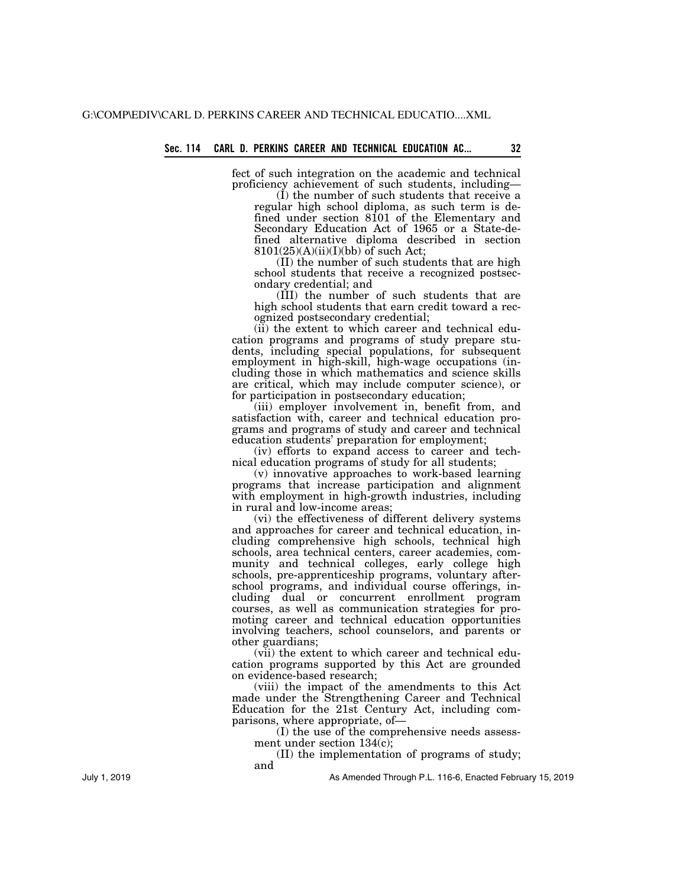fect of such integration on the academic and technical proficiency achievement of such students, including—

(I) the number of such students that receive a regular high school diploma, as such term is defined under section 8101 of the Elementary and Secondary Education Act of 1965 or a State-defined alternative diploma described in section  $8101(25)(A)(ii)(I)(bb)$  of such Act;

(II) the number of such students that are high school students that receive a recognized postsecondary credential; and

(III) the number of such students that are high school students that earn credit toward a recognized postsecondary credential;

(ii) the extent to which career and technical education programs and programs of study prepare students, including special populations, for subsequent employment in high-skill, high-wage occupations (including those in which mathematics and science skills are critical, which may include computer science), or for participation in postsecondary education;

(iii) employer involvement in, benefit from, and satisfaction with, career and technical education programs and programs of study and career and technical education students' preparation for employment;

(iv) efforts to expand access to career and technical education programs of study for all students;

(v) innovative approaches to work-based learning programs that increase participation and alignment with employment in high-growth industries, including in rural and low-income areas;

(vi) the effectiveness of different delivery systems and approaches for career and technical education, including comprehensive high schools, technical high schools, area technical centers, career academies, community and technical colleges, early college high schools, pre-apprenticeship programs, voluntary afterschool programs, and individual course offerings, including dual or concurrent enrollment program courses, as well as communication strategies for promoting career and technical education opportunities involving teachers, school counselors, and parents or other guardians;

(vii) the extent to which career and technical education programs supported by this Act are grounded on evidence-based research;

(viii) the impact of the amendments to this Act made under the Strengthening Career and Technical Education for the 21st Century Act, including comparisons, where appropriate, of—

(I) the use of the comprehensive needs assessment under section 134(c);

(II) the implementation of programs of study; and

As Amended Through P.L. 116-6, Enacted February 15, 2019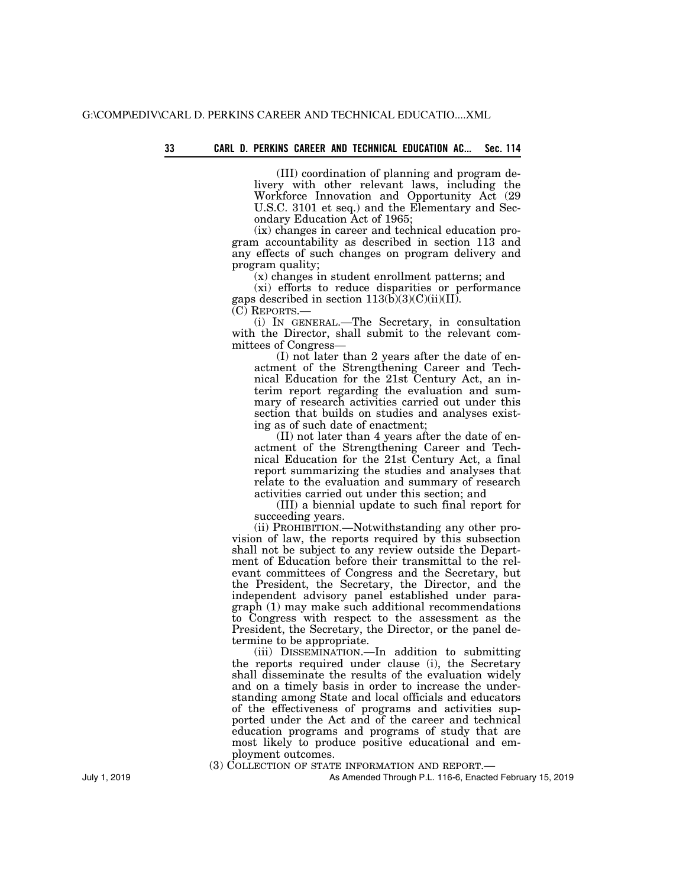# **33 CARL D. PERKINS CAREER AND TECHNICAL EDUCATION AC... Sec. 114**

(III) coordination of planning and program delivery with other relevant laws, including the Workforce Innovation and Opportunity Act (29 U.S.C. 3101 et seq.) and the Elementary and Secondary Education Act of 1965;

(ix) changes in career and technical education program accountability as described in section 113 and any effects of such changes on program delivery and program quality;

(x) changes in student enrollment patterns; and

(xi) efforts to reduce disparities or performance gaps described in section  $113(b)(3)(C)(ii)(II)$ .

(C) REPORTS.—

(i) IN GENERAL.—The Secretary, in consultation with the Director, shall submit to the relevant committees of Congress—

(I) not later than 2 years after the date of enactment of the Strengthening Career and Technical Education for the 21st Century Act, an interim report regarding the evaluation and summary of research activities carried out under this section that builds on studies and analyses existing as of such date of enactment;

(II) not later than 4 years after the date of enactment of the Strengthening Career and Technical Education for the 21st Century Act, a final report summarizing the studies and analyses that relate to the evaluation and summary of research activities carried out under this section; and

(III) a biennial update to such final report for succeeding years.

(ii) PROHIBITION.—Notwithstanding any other provision of law, the reports required by this subsection shall not be subject to any review outside the Department of Education before their transmittal to the relevant committees of Congress and the Secretary, but the President, the Secretary, the Director, and the independent advisory panel established under paragraph (1) may make such additional recommendations to Congress with respect to the assessment as the President, the Secretary, the Director, or the panel determine to be appropriate.

(iii) DISSEMINATION.—In addition to submitting the reports required under clause (i), the Secretary shall disseminate the results of the evaluation widely and on a timely basis in order to increase the understanding among State and local officials and educators of the effectiveness of programs and activities supported under the Act and of the career and technical education programs and programs of study that are most likely to produce positive educational and employment outcomes.

(3) COLLECTION OF STATE INFORMATION AND REPORT.—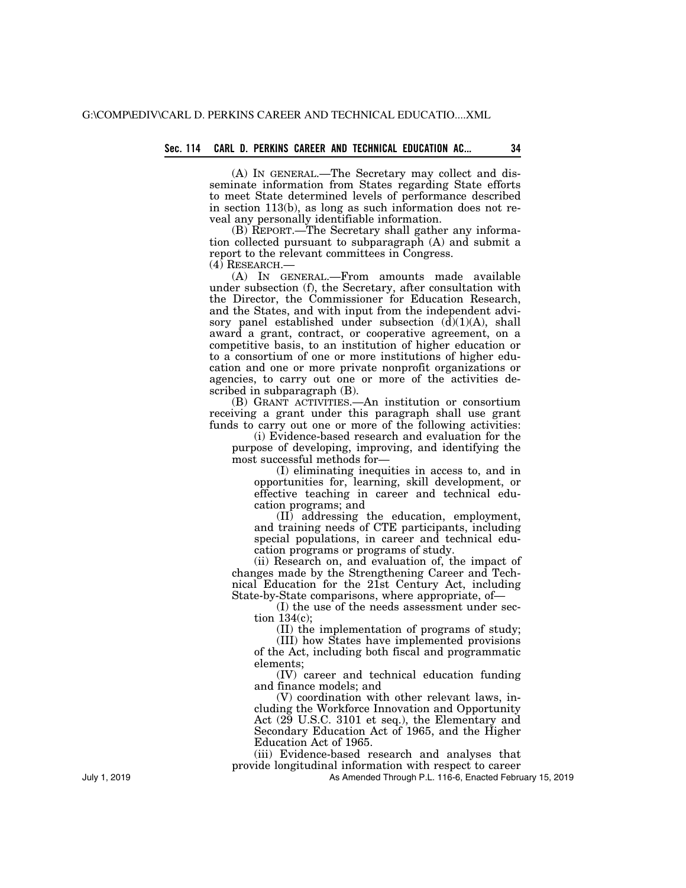## **Sec. 114 CARL D. PERKINS CAREER AND TECHNICAL EDUCATION AC... 34**

(A) IN GENERAL.—The Secretary may collect and disseminate information from States regarding State efforts to meet State determined levels of performance described in section 113(b), as long as such information does not reveal any personally identifiable information.

(B) REPORT.—The Secretary shall gather any information collected pursuant to subparagraph (A) and submit a report to the relevant committees in Congress.

(4) RESEARCH.—

(A) IN GENERAL.—From amounts made available under subsection (f), the Secretary, after consultation with the Director, the Commissioner for Education Research, and the States, and with input from the independent advisory panel established under subsection  $(d)(1)(A)$ , shall award a grant, contract, or cooperative agreement, on a competitive basis, to an institution of higher education or to a consortium of one or more institutions of higher education and one or more private nonprofit organizations or agencies, to carry out one or more of the activities described in subparagraph (B).

(B) GRANT ACTIVITIES.—An institution or consortium receiving a grant under this paragraph shall use grant funds to carry out one or more of the following activities:

(i) Evidence-based research and evaluation for the purpose of developing, improving, and identifying the most successful methods for—

(I) eliminating inequities in access to, and in opportunities for, learning, skill development, or effective teaching in career and technical education programs; and

(II) addressing the education, employment, and training needs of CTE participants, including special populations, in career and technical education programs or programs of study.

(ii) Research on, and evaluation of, the impact of changes made by the Strengthening Career and Technical Education for the 21st Century Act, including State-by-State comparisons, where appropriate, of—

(I) the use of the needs assessment under section 134(c);

(II) the implementation of programs of study;

(III) how States have implemented provisions of the Act, including both fiscal and programmatic elements;

(IV) career and technical education funding and finance models; and

(V) coordination with other relevant laws, including the Workforce Innovation and Opportunity Act (29 U.S.C. 3101 et seq.), the Elementary and Secondary Education Act of 1965, and the Higher Education Act of 1965.

(iii) Evidence-based research and analyses that provide longitudinal information with respect to career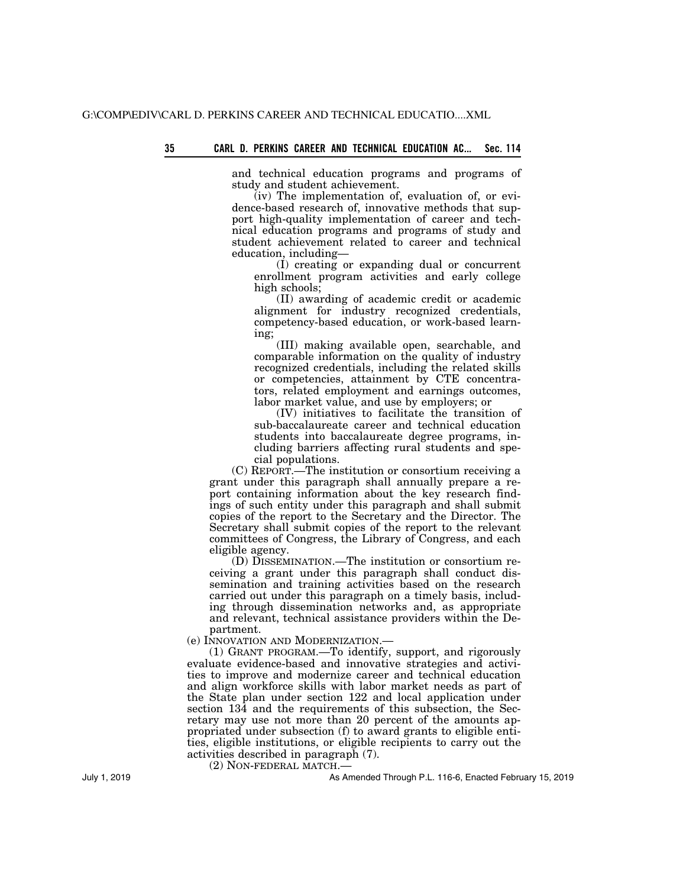| 35 |  |  |  | CARL D. PERKINS CAREER AND TECHNICAL EDUCATION AC | Sec. 114 |
|----|--|--|--|---------------------------------------------------|----------|
|    |  |  |  |                                                   |          |

and technical education programs and programs of study and student achievement.

(iv) The implementation of, evaluation of, or evidence-based research of, innovative methods that support high-quality implementation of career and technical education programs and programs of study and student achievement related to career and technical education, including—

 $(I)$  creating or expanding dual or concurrent enrollment program activities and early college high schools;

(II) awarding of academic credit or academic alignment for industry recognized credentials, competency-based education, or work-based learning;

(III) making available open, searchable, and comparable information on the quality of industry recognized credentials, including the related skills or competencies, attainment by CTE concentrators, related employment and earnings outcomes, labor market value, and use by employers; or

(IV) initiatives to facilitate the transition of sub-baccalaureate career and technical education students into baccalaureate degree programs, including barriers affecting rural students and special populations.

(C) REPORT.—The institution or consortium receiving a grant under this paragraph shall annually prepare a report containing information about the key research findings of such entity under this paragraph and shall submit copies of the report to the Secretary and the Director. The Secretary shall submit copies of the report to the relevant committees of Congress, the Library of Congress, and each eligible agency.

(D) DISSEMINATION.—The institution or consortium receiving a grant under this paragraph shall conduct dissemination and training activities based on the research carried out under this paragraph on a timely basis, including through dissemination networks and, as appropriate and relevant, technical assistance providers within the Department.

(e) INNOVATION AND MODERNIZATION.—

(1) GRANT PROGRAM.—To identify, support, and rigorously evaluate evidence-based and innovative strategies and activities to improve and modernize career and technical education and align workforce skills with labor market needs as part of the State plan under section 122 and local application under section 134 and the requirements of this subsection, the Secretary may use not more than 20 percent of the amounts appropriated under subsection (f) to award grants to eligible entities, eligible institutions, or eligible recipients to carry out the activities described in paragraph (7).

(2) NON-FEDERAL MATCH.—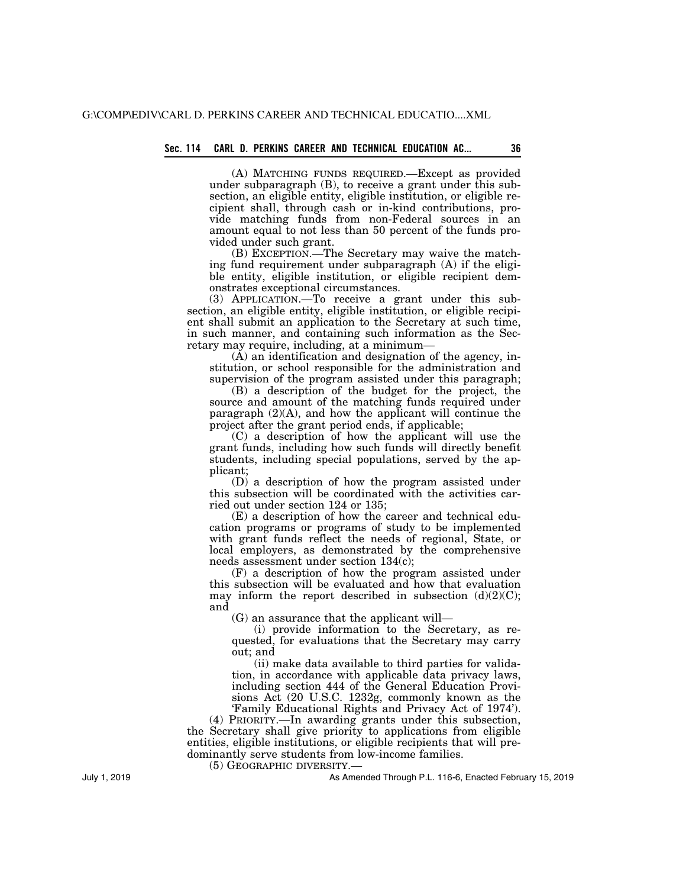### **Sec. 114 CARL D. PERKINS CAREER AND TECHNICAL EDUCATION AC... 36**

(A) MATCHING FUNDS REQUIRED.—Except as provided under subparagraph (B), to receive a grant under this subsection, an eligible entity, eligible institution, or eligible recipient shall, through cash or in-kind contributions, provide matching funds from non-Federal sources in an amount equal to not less than 50 percent of the funds provided under such grant.

(B) EXCEPTION.—The Secretary may waive the matching fund requirement under subparagraph (A) if the eligible entity, eligible institution, or eligible recipient demonstrates exceptional circumstances.

(3) APPLICATION.—To receive a grant under this subsection, an eligible entity, eligible institution, or eligible recipient shall submit an application to the Secretary at such time, in such manner, and containing such information as the Secretary may require, including, at a minimum—

(A) an identification and designation of the agency, institution, or school responsible for the administration and supervision of the program assisted under this paragraph;

(B) a description of the budget for the project, the source and amount of the matching funds required under paragraph  $(2)(A)$ , and how the applicant will continue the project after the grant period ends, if applicable;

(C) a description of how the applicant will use the grant funds, including how such funds will directly benefit students, including special populations, served by the applicant;

(D) a description of how the program assisted under this subsection will be coordinated with the activities carried out under section 124 or 135;

(E) a description of how the career and technical education programs or programs of study to be implemented with grant funds reflect the needs of regional, State, or local employers, as demonstrated by the comprehensive needs assessment under section 134(c);

(F) a description of how the program assisted under this subsection will be evaluated and how that evaluation may inform the report described in subsection  $(d)(2)(C)$ ; and

(G) an assurance that the applicant will—

(i) provide information to the Secretary, as requested, for evaluations that the Secretary may carry out; and

(ii) make data available to third parties for validation, in accordance with applicable data privacy laws, including section 444 of the General Education Provisions Act (20 U.S.C. 1232g, commonly known as the 'Family Educational Rights and Privacy Act of 1974').

(4) PRIORITY.—In awarding grants under this subsection, the Secretary shall give priority to applications from eligible entities, eligible institutions, or eligible recipients that will predominantly serve students from low-income families.

(5) GEOGRAPHIC DIVERSITY.—

As Amended Through P.L. 116-6, Enacted February 15, 2019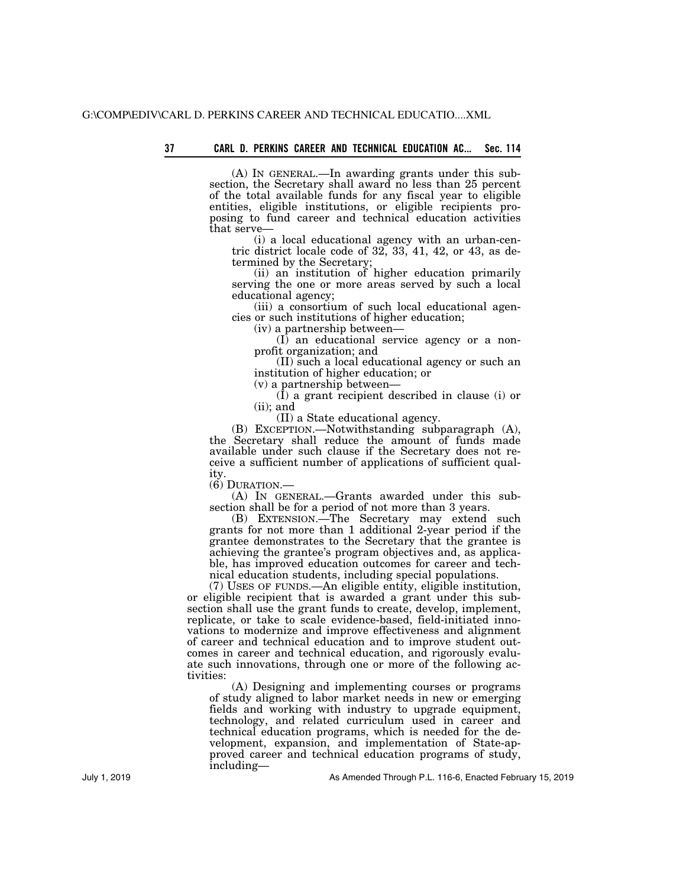| 37 |  |  |  |  |  |  | CARL D. PERKINS CAREER AND TECHNICAL EDUCATION AC |  | Sec. 114 |
|----|--|--|--|--|--|--|---------------------------------------------------|--|----------|
|----|--|--|--|--|--|--|---------------------------------------------------|--|----------|

(A) IN GENERAL.—In awarding grants under this subsection, the Secretary shall award no less than 25 percent of the total available funds for any fiscal year to eligible entities, eligible institutions, or eligible recipients proposing to fund career and technical education activities that serve—

(i) a local educational agency with an urban-centric district locale code of 32, 33, 41, 42, or 43, as determined by the Secretary;

(ii) an institution of higher education primarily serving the one or more areas served by such a local educational agency;

(iii) a consortium of such local educational agencies or such institutions of higher education;

(iv) a partnership between—

(I) an educational service agency or a nonprofit organization; and

(II) such a local educational agency or such an institution of higher education; or

(v) a partnership between—

(I) a grant recipient described in clause (i) or (ii); and

(II) a State educational agency.

(B) EXCEPTION.—Notwithstanding subparagraph (A), the Secretary shall reduce the amount of funds made available under such clause if the Secretary does not receive a sufficient number of applications of sufficient quality.

(6) DURATION.—

(A) IN GENERAL.—Grants awarded under this subsection shall be for a period of not more than 3 years.

(B) EXTENSION.—The Secretary may extend such grants for not more than 1 additional 2-year period if the grantee demonstrates to the Secretary that the grantee is achieving the grantee's program objectives and, as applicable, has improved education outcomes for career and technical education students, including special populations.

(7) USES OF FUNDS.—An eligible entity, eligible institution, or eligible recipient that is awarded a grant under this subsection shall use the grant funds to create, develop, implement, replicate, or take to scale evidence-based, field-initiated innovations to modernize and improve effectiveness and alignment of career and technical education and to improve student outcomes in career and technical education, and rigorously evaluate such innovations, through one or more of the following activities:

(A) Designing and implementing courses or programs of study aligned to labor market needs in new or emerging fields and working with industry to upgrade equipment, technology, and related curriculum used in career and technical education programs, which is needed for the development, expansion, and implementation of State-approved career and technical education programs of study, including—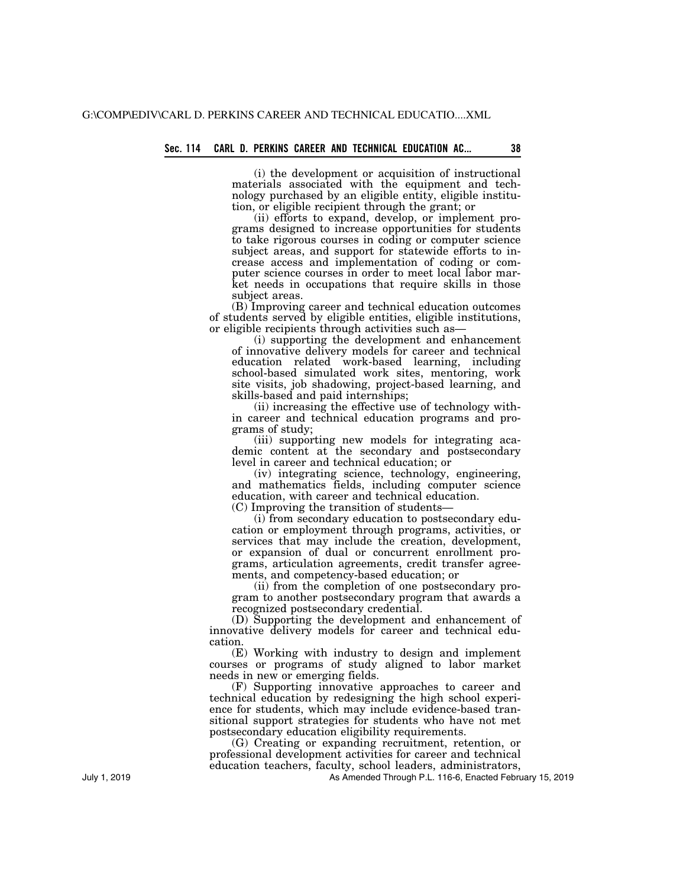## **Sec. 114 CARL D. PERKINS CAREER AND TECHNICAL EDUCATION AC... 38**

(i) the development or acquisition of instructional materials associated with the equipment and technology purchased by an eligible entity, eligible institution, or eligible recipient through the grant; or

(ii) efforts to expand, develop, or implement programs designed to increase opportunities for students to take rigorous courses in coding or computer science subject areas, and support for statewide efforts to increase access and implementation of coding or computer science courses in order to meet local labor market needs in occupations that require skills in those subject areas.

(B) Improving career and technical education outcomes of students served by eligible entities, eligible institutions, or eligible recipients through activities such as—

(i) supporting the development and enhancement of innovative delivery models for career and technical education related work-based learning, including school-based simulated work sites, mentoring, work site visits, job shadowing, project-based learning, and skills-based and paid internships;

(ii) increasing the effective use of technology within career and technical education programs and programs of study;

(iii) supporting new models for integrating academic content at the secondary and postsecondary level in career and technical education; or

(iv) integrating science, technology, engineering, and mathematics fields, including computer science education, with career and technical education.

(C) Improving the transition of students—

(i) from secondary education to postsecondary education or employment through programs, activities, or services that may include the creation, development, or expansion of dual or concurrent enrollment programs, articulation agreements, credit transfer agreements, and competency-based education; or

(ii) from the completion of one postsecondary program to another postsecondary program that awards a recognized postsecondary credential.

(D) Supporting the development and enhancement of innovative delivery models for career and technical education.

(E) Working with industry to design and implement courses or programs of study aligned to labor market needs in new or emerging fields.

(F) Supporting innovative approaches to career and technical education by redesigning the high school experience for students, which may include evidence-based transitional support strategies for students who have not met postsecondary education eligibility requirements.

(G) Creating or expanding recruitment, retention, or professional development activities for career and technical education teachers, faculty, school leaders, administrators,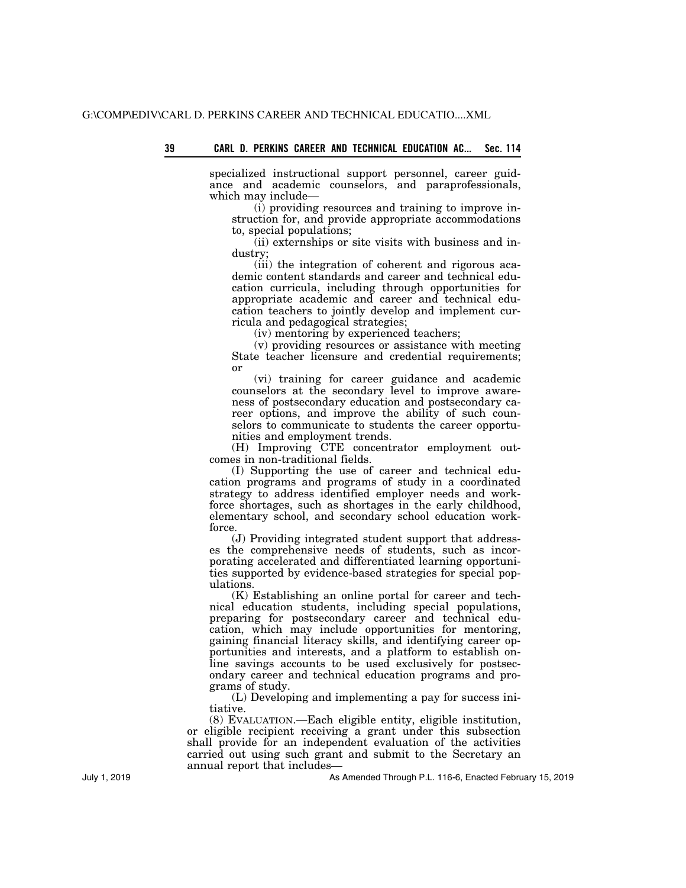| 39 |  |  |  | CARL D. PERKINS CAREER AND TECHNICAL EDUCATION AC | Sec. 114 |
|----|--|--|--|---------------------------------------------------|----------|
|    |  |  |  |                                                   |          |

specialized instructional support personnel, career guidance and academic counselors, and paraprofessionals, which may include—

(i) providing resources and training to improve instruction for, and provide appropriate accommodations to, special populations;

(ii) externships or site visits with business and industry

(iii) the integration of coherent and rigorous academic content standards and career and technical education curricula, including through opportunities for appropriate academic and career and technical education teachers to jointly develop and implement curricula and pedagogical strategies;

(iv) mentoring by experienced teachers;

(v) providing resources or assistance with meeting State teacher licensure and credential requirements; or

(vi) training for career guidance and academic counselors at the secondary level to improve awareness of postsecondary education and postsecondary career options, and improve the ability of such counselors to communicate to students the career opportunities and employment trends.

(H) Improving CTE concentrator employment outcomes in non-traditional fields.

(I) Supporting the use of career and technical education programs and programs of study in a coordinated strategy to address identified employer needs and workforce shortages, such as shortages in the early childhood, elementary school, and secondary school education workforce.

(J) Providing integrated student support that addresses the comprehensive needs of students, such as incorporating accelerated and differentiated learning opportunities supported by evidence-based strategies for special populations.

(K) Establishing an online portal for career and technical education students, including special populations, preparing for postsecondary career and technical education, which may include opportunities for mentoring, gaining financial literacy skills, and identifying career opportunities and interests, and a platform to establish online savings accounts to be used exclusively for postsecondary career and technical education programs and programs of study.

(L) Developing and implementing a pay for success initiative.

(8) EVALUATION.—Each eligible entity, eligible institution, or eligible recipient receiving a grant under this subsection shall provide for an independent evaluation of the activities carried out using such grant and submit to the Secretary an annual report that includes—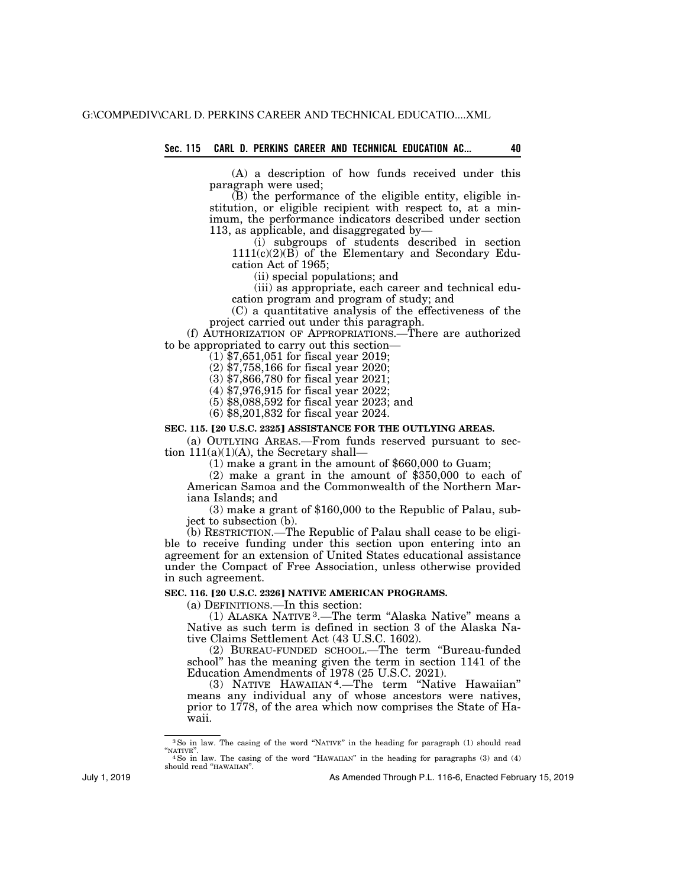# **Sec. 115 CARL D. PERKINS CAREER AND TECHNICAL EDUCATION AC... 40**

(A) a description of how funds received under this paragraph were used;

 $(B)$  the performance of the eligible entity, eligible institution, or eligible recipient with respect to, at a minimum, the performance indicators described under section 113, as applicable, and disaggregated by—

(i) subgroups of students described in section  $1111(c)(2)(B)$  of the Elementary and Secondary Education Act of 1965;

(ii) special populations; and

(iii) as appropriate, each career and technical education program and program of study; and

(C) a quantitative analysis of the effectiveness of the project carried out under this paragraph.

(f) AUTHORIZATION OF APPROPRIATIONS.—There are authorized to be appropriated to carry out this section—

(1) \$7,651,051 for fiscal year 2019;

(2) \$7,758,166 for fiscal year 2020;

(3) \$7,866,780 for fiscal year 2021;

(4) \$7,976,915 for fiscal year 2022;

(5) \$8,088,592 for fiscal year 2023; and

(6) \$8,201,832 for fiscal year 2024.

#### **SEC. 115. [20 U.S.C. 2325] ASSISTANCE FOR THE OUTLYING AREAS.**

(a) OUTLYING AREAS.—From funds reserved pursuant to section  $111(a)(1)(A)$ , the Secretary shall—

(1) make a grant in the amount of \$660,000 to Guam;

(2) make a grant in the amount of \$350,000 to each of American Samoa and the Commonwealth of the Northern Mariana Islands; and

(3) make a grant of \$160,000 to the Republic of Palau, subject to subsection (b).

(b) RESTRICTION.—The Republic of Palau shall cease to be eligible to receive funding under this section upon entering into an agreement for an extension of United States educational assistance under the Compact of Free Association, unless otherwise provided in such agreement.

# **SEC. 116. [20 U.S.C. 2326] NATIVE AMERICAN PROGRAMS.**

(a) DEFINITIONS.—In this section:

(1) ALASKA NATIVE 3.—The term ''Alaska Native'' means a Native as such term is defined in section 3 of the Alaska Native Claims Settlement Act (43 U.S.C. 1602).

(2) BUREAU-FUNDED SCHOOL.—The term ''Bureau-funded school'' has the meaning given the term in section 1141 of the Education Amendments of 1978 (25 U.S.C. 2021).

(3) NATIVE HAWAIIAN 4.—The term ''Native Hawaiian'' means any individual any of whose ancestors were natives, prior to 1778, of the area which now comprises the State of Hawaii.

should read ''HAWAIIAN''.

<sup>3</sup>So in law. The casing of the word ''NATIVE'' in the heading for paragraph (1) should read ''NATIVE''. 4So in law. The casing of the word ''HAWAIIAN'' in the heading for paragraphs (3) and (4)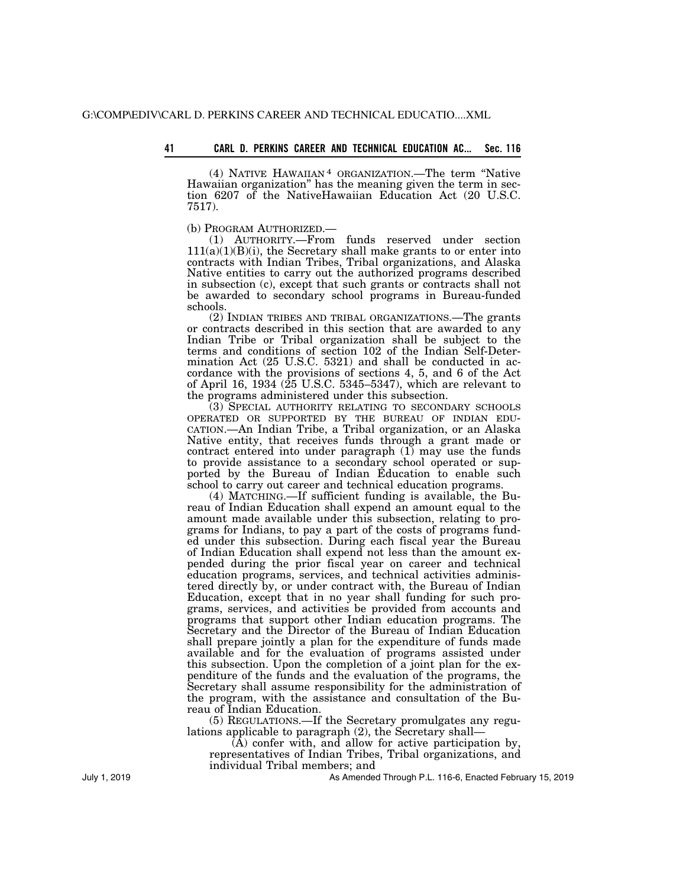(4) NATIVE HAWAIIAN 4 ORGANIZATION.—The term ''Native Hawaiian organization'' has the meaning given the term in section 6207 of the NativeHawaiian Education Act (20 U.S.C. 7517).

(b) PROGRAM AUTHORIZED.— (1) AUTHORITY.—From funds reserved under section  $111(a)(1)(B)(i)$ , the Secretary shall make grants to or enter into contracts with Indian Tribes, Tribal organizations, and Alaska Native entities to carry out the authorized programs described in subsection (c), except that such grants or contracts shall not be awarded to secondary school programs in Bureau-funded schools.

(2) INDIAN TRIBES AND TRIBAL ORGANIZATIONS.—The grants or contracts described in this section that are awarded to any Indian Tribe or Tribal organization shall be subject to the terms and conditions of section 102 of the Indian Self-Determination Act (25 U.S.C. 5321) and shall be conducted in accordance with the provisions of sections 4, 5, and 6 of the Act of April 16, 1934 (25 U.S.C. 5345–5347), which are relevant to the programs administered under this subsection.

(3) SPECIAL AUTHORITY RELATING TO SECONDARY SCHOOLS OPERATED OR SUPPORTED BY THE BUREAU OF INDIAN EDU- CATION.—An Indian Tribe, a Tribal organization, or an Alaska Native entity, that receives funds through a grant made or contract entered into under paragraph (1) may use the funds to provide assistance to a secondary school operated or supported by the Bureau of Indian Education to enable such school to carry out career and technical education programs.

(4) MATCHING.—If sufficient funding is available, the Bureau of Indian Education shall expend an amount equal to the amount made available under this subsection, relating to programs for Indians, to pay a part of the costs of programs funded under this subsection. During each fiscal year the Bureau of Indian Education shall expend not less than the amount expended during the prior fiscal year on career and technical education programs, services, and technical activities administered directly by, or under contract with, the Bureau of Indian Education, except that in no year shall funding for such programs, services, and activities be provided from accounts and programs that support other Indian education programs. The Secretary and the Director of the Bureau of Indian Education shall prepare jointly a plan for the expenditure of funds made available and for the evaluation of programs assisted under this subsection. Upon the completion of a joint plan for the expenditure of the funds and the evaluation of the programs, the Secretary shall assume responsibility for the administration of the program, with the assistance and consultation of the Bureau of Indian Education.

(5) REGULATIONS.—If the Secretary promulgates any regulations applicable to paragraph (2), the Secretary shall—

 $(\overline{A})$  confer with, and allow for active participation by,

representatives of Indian Tribes, Tribal organizations, and individual Tribal members; and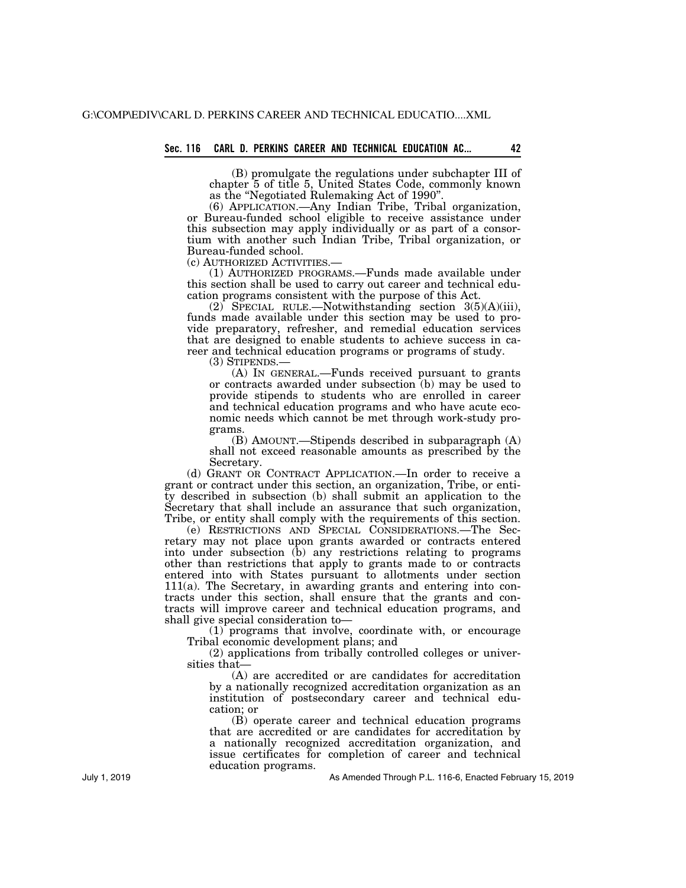#### **Sec. 116 CARL D. PERKINS CAREER AND TECHNICAL EDUCATION AC... 42**

(B) promulgate the regulations under subchapter III of chapter 5 of title 5, United States Code, commonly known as the ''Negotiated Rulemaking Act of 1990''.

(6) APPLICATION.—Any Indian Tribe, Tribal organization, or Bureau-funded school eligible to receive assistance under this subsection may apply individually or as part of a consortium with another such Indian Tribe, Tribal organization, or Bureau-funded school.

(c) AUTHORIZED ACTIVITIES.— (1) AUTHORIZED PROGRAMS.—Funds made available under this section shall be used to carry out career and technical education programs consistent with the purpose of this Act.

(2) SPECIAL RULE.—Notwithstanding section  $3(5)(A)(iii)$ , funds made available under this section may be used to provide preparatory, refresher, and remedial education services that are designed to enable students to achieve success in career and technical education programs or programs of study.

(3) STIPENDS.— (A) IN GENERAL.—Funds received pursuant to grants or contracts awarded under subsection (b) may be used to provide stipends to students who are enrolled in career and technical education programs and who have acute economic needs which cannot be met through work-study programs.

(B) AMOUNT.—Stipends described in subparagraph (A) shall not exceed reasonable amounts as prescribed by the Secretary.

(d) GRANT OR CONTRACT APPLICATION.—In order to receive a grant or contract under this section, an organization, Tribe, or entity described in subsection (b) shall submit an application to the Secretary that shall include an assurance that such organization, Tribe, or entity shall comply with the requirements of this section.

(e) RESTRICTIONS AND SPECIAL CONSIDERATIONS.—The Secretary may not place upon grants awarded or contracts entered into under subsection (b) any restrictions relating to programs other than restrictions that apply to grants made to or contracts entered into with States pursuant to allotments under section 111(a). The Secretary, in awarding grants and entering into contracts under this section, shall ensure that the grants and contracts will improve career and technical education programs, and shall give special consideration to—

(1) programs that involve, coordinate with, or encourage Tribal economic development plans; and

(2) applications from tribally controlled colleges or universities that—

(A) are accredited or are candidates for accreditation by a nationally recognized accreditation organization as an institution of postsecondary career and technical education; or

(B) operate career and technical education programs that are accredited or are candidates for accreditation by a nationally recognized accreditation organization, and issue certificates for completion of career and technical education programs.

As Amended Through P.L. 116-6, Enacted February 15, 2019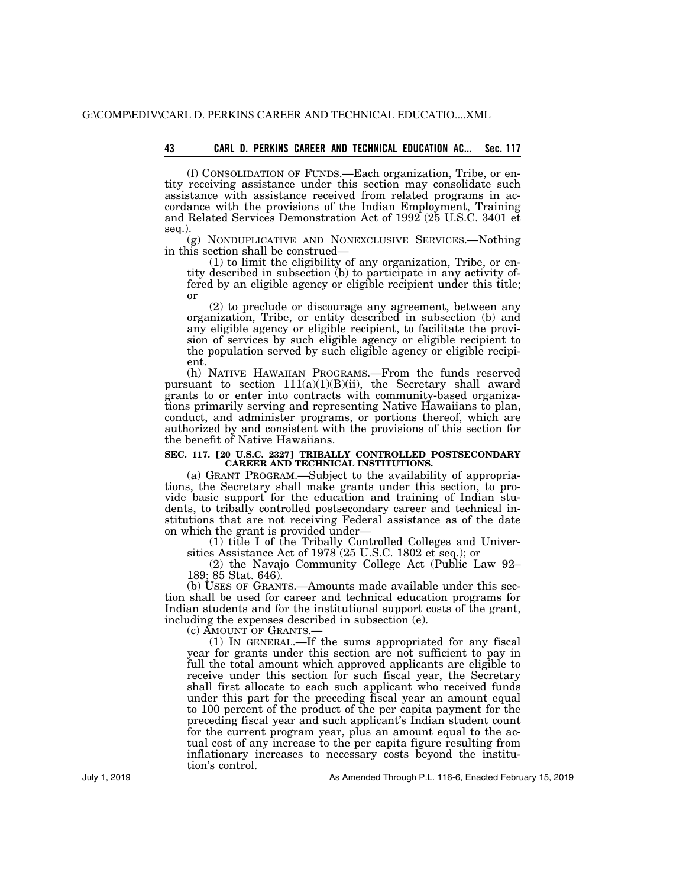### **43 Sec. 117 CARL D. PERKINS CAREER AND TECHNICAL EDUCATION AC...**

(f) CONSOLIDATION OF FUNDS.—Each organization, Tribe, or entity receiving assistance under this section may consolidate such assistance with assistance received from related programs in accordance with the provisions of the Indian Employment, Training and Related Services Demonstration Act of 1992 (25 U.S.C. 3401 et seq.).

(g) NONDUPLICATIVE AND NONEXCLUSIVE SERVICES.—Nothing in this section shall be construed—

(1) to limit the eligibility of any organization, Tribe, or entity described in subsection (b) to participate in any activity offered by an eligible agency or eligible recipient under this title; or

(2) to preclude or discourage any agreement, between any organization, Tribe, or entity described in subsection (b) and any eligible agency or eligible recipient, to facilitate the provision of services by such eligible agency or eligible recipient to the population served by such eligible agency or eligible recipient.

(h) NATIVE HAWAIIAN PROGRAMS.—From the funds reserved pursuant to section  $111(a)(1)(B)(ii)$ , the Secretary shall award grants to or enter into contracts with community-based organizations primarily serving and representing Native Hawaiians to plan, conduct, and administer programs, or portions thereof, which are authorized by and consistent with the provisions of this section for the benefit of Native Hawaiians.

# **SEC. 117. [20 U.S.C. 2327] TRIBALLY CONTROLLED POSTSECONDARY CAREER AND TECHNICAL INSTITUTIONS.**

(a) GRANT PROGRAM.—Subject to the availability of appropriations, the Secretary shall make grants under this section, to provide basic support for the education and training of Indian students, to tribally controlled postsecondary career and technical institutions that are not receiving Federal assistance as of the date on which the grant is provided under—

(1) title I of the Tribally Controlled Colleges and Universities Assistance Act of 1978 (25 U.S.C. 1802 et seq.); or

(2) the Navajo Community College Act (Public Law 92– 189; 85 Stat. 646).

(b) USES OF GRANTS.—Amounts made available under this section shall be used for career and technical education programs for Indian students and for the institutional support costs of the grant, including the expenses described in subsection (e).

(c) AMOUNT OF GRANTS.—

(1) IN GENERAL.—If the sums appropriated for any fiscal year for grants under this section are not sufficient to pay in full the total amount which approved applicants are eligible to receive under this section for such fiscal year, the Secretary shall first allocate to each such applicant who received funds under this part for the preceding fiscal year an amount equal to 100 percent of the product of the per capita payment for the preceding fiscal year and such applicant's Indian student count for the current program year, plus an amount equal to the actual cost of any increase to the per capita figure resulting from inflationary increases to necessary costs beyond the institution's control.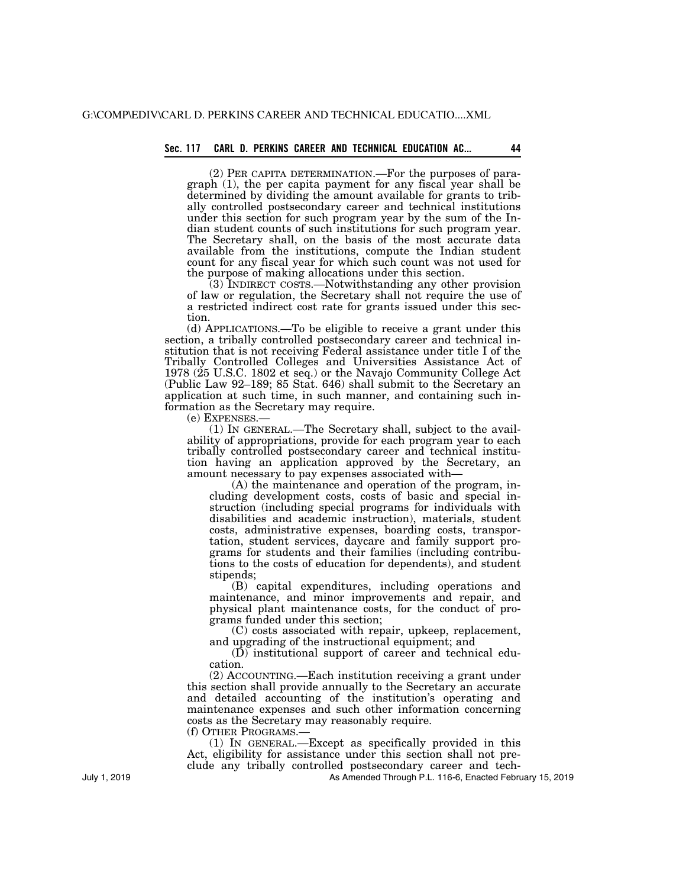## **Sec. 117 CARL D. PERKINS CAREER AND TECHNICAL EDUCATION AC... 44**

(2) PER CAPITA DETERMINATION.—For the purposes of paragraph (1), the per capita payment for any fiscal year shall be determined by dividing the amount available for grants to tribally controlled postsecondary career and technical institutions under this section for such program year by the sum of the Indian student counts of such institutions for such program year. The Secretary shall, on the basis of the most accurate data available from the institutions, compute the Indian student count for any fiscal year for which such count was not used for the purpose of making allocations under this section.

(3) INDIRECT COSTS.—Notwithstanding any other provision of law or regulation, the Secretary shall not require the use of a restricted indirect cost rate for grants issued under this section.

(d) APPLICATIONS.—To be eligible to receive a grant under this section, a tribally controlled postsecondary career and technical institution that is not receiving Federal assistance under title I of the Tribally Controlled Colleges and Universities Assistance Act of 1978 (25 U.S.C. 1802 et seq.) or the Navajo Community College Act (Public Law 92–189; 85 Stat. 646) shall submit to the Secretary an application at such time, in such manner, and containing such information as the Secretary may require.<br>(e) EXPENSES.—

 $(1)$  In GENERAL.—The Secretary shall, subject to the availability of appropriations, provide for each program year to each tribally controlled postsecondary career and technical institution having an application approved by the Secretary, an amount necessary to pay expenses associated with—

(A) the maintenance and operation of the program, including development costs, costs of basic and special instruction (including special programs for individuals with disabilities and academic instruction), materials, student costs, administrative expenses, boarding costs, transportation, student services, daycare and family support programs for students and their families (including contributions to the costs of education for dependents), and student stipends;

(B) capital expenditures, including operations and maintenance, and minor improvements and repair, and physical plant maintenance costs, for the conduct of programs funded under this section;

(C) costs associated with repair, upkeep, replacement, and upgrading of the instructional equipment; and

(D) institutional support of career and technical education.

(2) ACCOUNTING.—Each institution receiving a grant under this section shall provide annually to the Secretary an accurate and detailed accounting of the institution's operating and maintenance expenses and such other information concerning costs as the Secretary may reasonably require.

(f) OTHER PROGRAMS.—

(1) IN GENERAL.—Except as specifically provided in this Act, eligibility for assistance under this section shall not preclude any tribally controlled postsecondary career and tech-

As Amended Through P.L. 116-6, Enacted February 15, 2019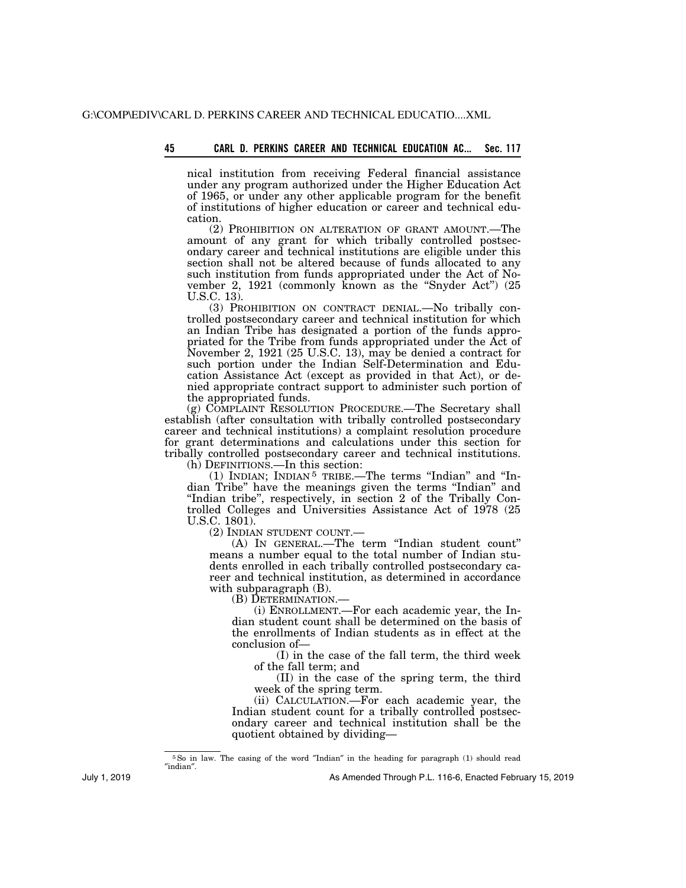nical institution from receiving Federal financial assistance under any program authorized under the Higher Education Act of 1965, or under any other applicable program for the benefit of institutions of higher education or career and technical education.

(2) PROHIBITION ON ALTERATION OF GRANT AMOUNT.—The amount of any grant for which tribally controlled postsecondary career and technical institutions are eligible under this section shall not be altered because of funds allocated to any such institution from funds appropriated under the Act of November 2, 1921 (commonly known as the "Snyder Act") (25 U.S.C. 13).

(3) PROHIBITION ON CONTRACT DENIAL.—No tribally controlled postsecondary career and technical institution for which an Indian Tribe has designated a portion of the funds appropriated for the Tribe from funds appropriated under the Act of November 2, 1921 (25 U.S.C. 13), may be denied a contract for such portion under the Indian Self-Determination and Education Assistance Act (except as provided in that Act), or denied appropriate contract support to administer such portion of the appropriated funds.

(g) COMPLAINT RESOLUTION PROCEDURE.—The Secretary shall establish (after consultation with tribally controlled postsecondary career and technical institutions) a complaint resolution procedure for grant determinations and calculations under this section for tribally controlled postsecondary career and technical institutions. (h) DEFINITIONS.—In this section:

(1) INDIAN; INDIAN 5 TRIBE.—The terms ''Indian'' and ''Indian Tribe'' have the meanings given the terms ''Indian'' and "Indian tribe", respectively, in section 2 of the Tribally Controlled Colleges and Universities Assistance Act of 1978 (25 U.S.C. 1801).

(2) INDIAN STUDENT COUNT.—

(A) IN GENERAL.—The term ''Indian student count'' means a number equal to the total number of Indian students enrolled in each tribally controlled postsecondary career and technical institution, as determined in accordance with subparagraph (B).

(B) DETERMINATION.—

(i) ENROLLMENT.—For each academic year, the Indian student count shall be determined on the basis of the enrollments of Indian students as in effect at the conclusion of—

(I) in the case of the fall term, the third week of the fall term; and

(II) in the case of the spring term, the third week of the spring term.

(ii) CALCULATION.—For each academic year, the Indian student count for a tribally controlled postsecondary career and technical institution shall be the quotient obtained by dividing—

 $5$  So in law. The casing of the word "Indian" in the heading for paragraph (1) should read "indian".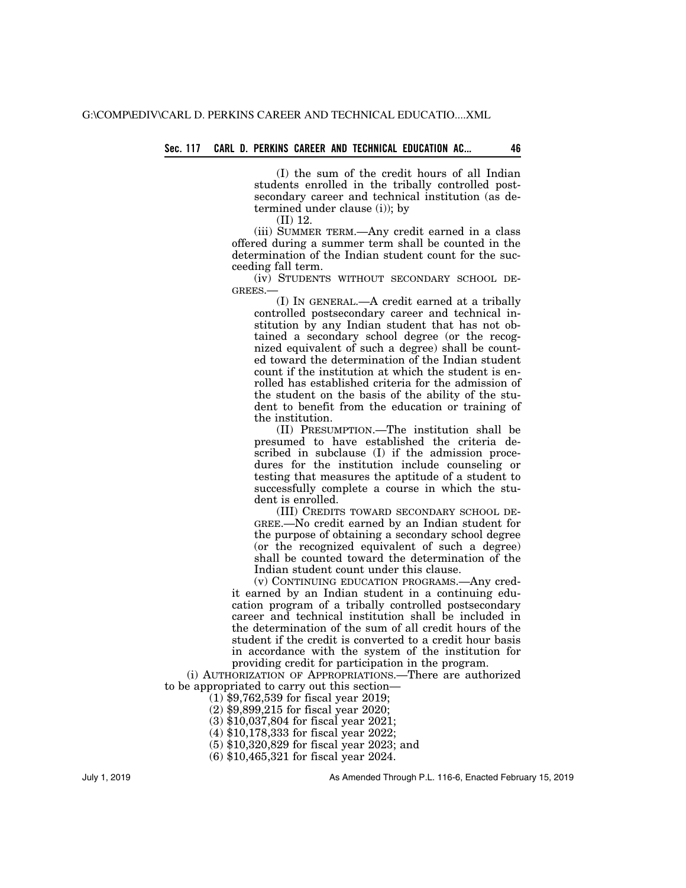(I) the sum of the credit hours of all Indian students enrolled in the tribally controlled postsecondary career and technical institution (as determined under clause (i)); by

(II) 12.

(iii) SUMMER TERM.—Any credit earned in a class offered during a summer term shall be counted in the determination of the Indian student count for the succeeding fall term.

(iv) STUDENTS WITHOUT SECONDARY SCHOOL DE-GREES.—

(I) IN GENERAL.—A credit earned at a tribally controlled postsecondary career and technical institution by any Indian student that has not obtained a secondary school degree (or the recognized equivalent of such a degree) shall be counted toward the determination of the Indian student count if the institution at which the student is enrolled has established criteria for the admission of the student on the basis of the ability of the student to benefit from the education or training of the institution.

(II) PRESUMPTION.—The institution shall be presumed to have established the criteria described in subclause (I) if the admission procedures for the institution include counseling or testing that measures the aptitude of a student to successfully complete a course in which the student is enrolled.

(III) CREDITS TOWARD SECONDARY SCHOOL DE-GREE.—No credit earned by an Indian student for the purpose of obtaining a secondary school degree (or the recognized equivalent of such a degree) shall be counted toward the determination of the Indian student count under this clause.

(v) CONTINUING EDUCATION PROGRAMS.—Any credit earned by an Indian student in a continuing education program of a tribally controlled postsecondary career and technical institution shall be included in the determination of the sum of all credit hours of the student if the credit is converted to a credit hour basis in accordance with the system of the institution for providing credit for participation in the program.

(i) AUTHORIZATION OF APPROPRIATIONS.—There are authorized to be appropriated to carry out this section—

(1) \$9,762,539 for fiscal year 2019;

(2) \$9,899,215 for fiscal year 2020;

(3) \$10,037,804 for fiscal year 2021;

(4) \$10,178,333 for fiscal year 2022;

(5) \$10,320,829 for fiscal year 2023; and

(6) \$10,465,321 for fiscal year 2024.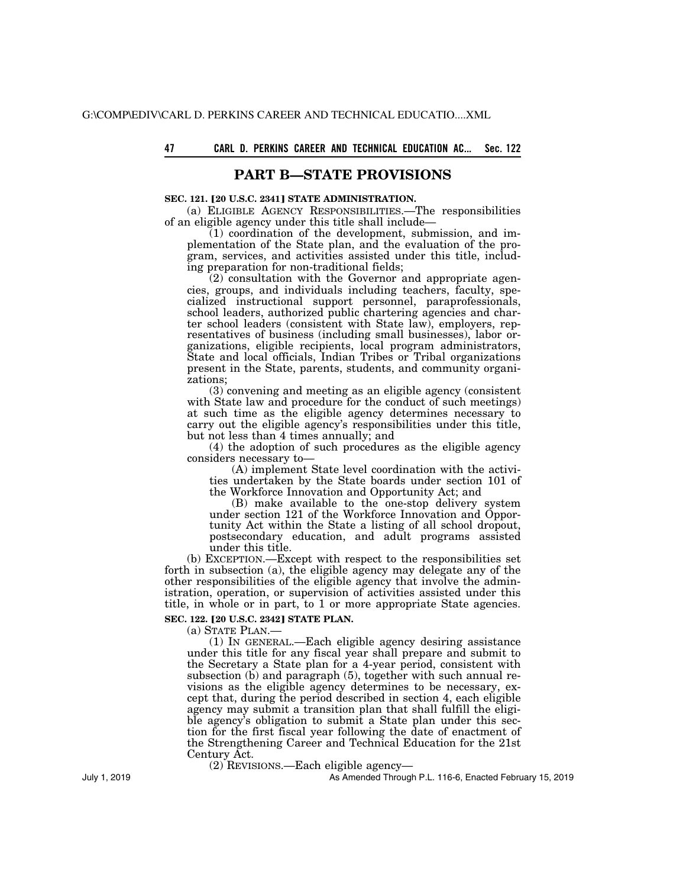# **47 Sec. 122 CARL D. PERKINS CAREER AND TECHNICAL EDUCATION AC...**

# **PART B—STATE PROVISIONS**

# **SEC. 121. [20 U.S.C. 2341] STATE ADMINISTRATION.**

(a) ELIGIBLE AGENCY RESPONSIBILITIES.—The responsibilities of an eligible agency under this title shall include—

(1) coordination of the development, submission, and implementation of the State plan, and the evaluation of the program, services, and activities assisted under this title, including preparation for non-traditional fields;

(2) consultation with the Governor and appropriate agencies, groups, and individuals including teachers, faculty, specialized instructional support personnel, paraprofessionals, school leaders, authorized public chartering agencies and charter school leaders (consistent with State law), employers, representatives of business (including small businesses), labor organizations, eligible recipients, local program administrators, State and local officials, Indian Tribes or Tribal organizations present in the State, parents, students, and community organizations;

(3) convening and meeting as an eligible agency (consistent with State law and procedure for the conduct of such meetings) at such time as the eligible agency determines necessary to carry out the eligible agency's responsibilities under this title, but not less than 4 times annually; and

(4) the adoption of such procedures as the eligible agency considers necessary to—

(A) implement State level coordination with the activities undertaken by the State boards under section 101 of the Workforce Innovation and Opportunity Act; and

(B) make available to the one-stop delivery system under section 121 of the Workforce Innovation and Opportunity Act within the State a listing of all school dropout, postsecondary education, and adult programs assisted under this title.

(b) EXCEPTION.—Except with respect to the responsibilities set forth in subsection (a), the eligible agency may delegate any of the other responsibilities of the eligible agency that involve the administration, operation, or supervision of activities assisted under this title, in whole or in part, to 1 or more appropriate State agencies.

# **SEC. 122. [20 U.S.C. 2342] STATE PLAN.**

(a) STATE PLAN.—

(1) IN GENERAL.—Each eligible agency desiring assistance under this title for any fiscal year shall prepare and submit to the Secretary a State plan for a 4-year period, consistent with subsection (b) and paragraph (5), together with such annual revisions as the eligible agency determines to be necessary, except that, during the period described in section 4, each eligible agency may submit a transition plan that shall fulfill the eligible agency's obligation to submit a State plan under this section for the first fiscal year following the date of enactment of the Strengthening Career and Technical Education for the 21st Century Act.

(2) REVISIONS.—Each eligible agency—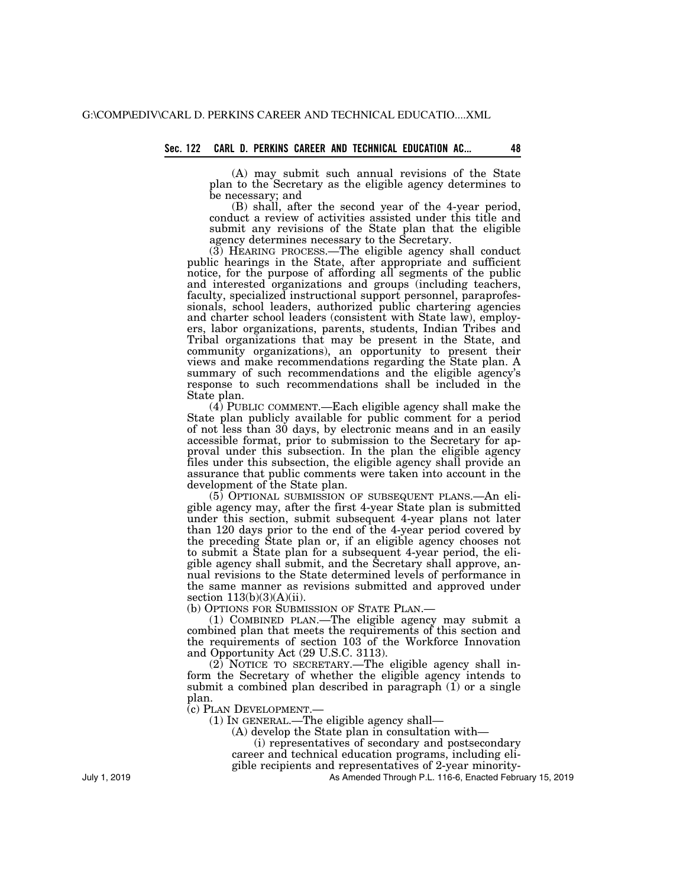## **Sec. 122 CARL D. PERKINS CAREER AND TECHNICAL EDUCATION AC... 48**

(A) may submit such annual revisions of the State plan to the Secretary as the eligible agency determines to be necessary; and

(B) shall, after the second year of the 4-year period, conduct a review of activities assisted under this title and submit any revisions of the State plan that the eligible agency determines necessary to the Secretary.

(3) HEARING PROCESS.—The eligible agency shall conduct public hearings in the State, after appropriate and sufficient notice, for the purpose of affording all segments of the public and interested organizations and groups (including teachers, faculty, specialized instructional support personnel, paraprofessionals, school leaders, authorized public chartering agencies and charter school leaders (consistent with State law), employers, labor organizations, parents, students, Indian Tribes and Tribal organizations that may be present in the State, and community organizations), an opportunity to present their views and make recommendations regarding the State plan. A summary of such recommendations and the eligible agency's response to such recommendations shall be included in the State plan.

(4) PUBLIC COMMENT.—Each eligible agency shall make the State plan publicly available for public comment for a period of not less than 30 days, by electronic means and in an easily accessible format, prior to submission to the Secretary for approval under this subsection. In the plan the eligible agency files under this subsection, the eligible agency shall provide an assurance that public comments were taken into account in the development of the State plan.

(5) OPTIONAL SUBMISSION OF SUBSEQUENT PLANS.—An eligible agency may, after the first 4-year State plan is submitted under this section, submit subsequent 4-year plans not later than 120 days prior to the end of the 4-year period covered by the preceding State plan or, if an eligible agency chooses not to submit a State plan for a subsequent 4-year period, the eligible agency shall submit, and the Secretary shall approve, annual revisions to the State determined levels of performance in the same manner as revisions submitted and approved under section  $113(b)(3)(A)(ii)$ .

(b) OPTIONS FOR SUBMISSION OF STATE PLAN.—

(1) COMBINED PLAN.—The eligible agency may submit a combined plan that meets the requirements of this section and the requirements of section 103 of the Workforce Innovation and Opportunity Act (29 U.S.C. 3113).

(2) NOTICE TO SECRETARY.—The eligible agency shall inform the Secretary of whether the eligible agency intends to submit a combined plan described in paragraph (1) or a single plan.

(c) PLAN DEVELOPMENT.—

(1) IN GENERAL.—The eligible agency shall—

(A) develop the State plan in consultation with—

(i) representatives of secondary and postsecondary career and technical education programs, including eli-

gible recipients and representatives of 2-year minority-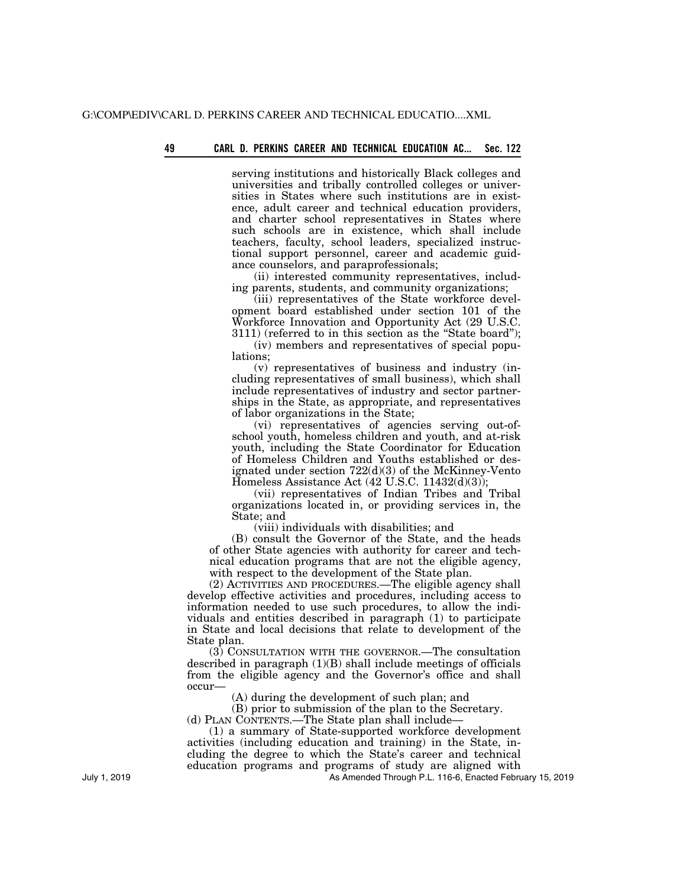serving institutions and historically Black colleges and universities and tribally controlled colleges or universities in States where such institutions are in existence, adult career and technical education providers, and charter school representatives in States where such schools are in existence, which shall include teachers, faculty, school leaders, specialized instructional support personnel, career and academic guidance counselors, and paraprofessionals;

(ii) interested community representatives, including parents, students, and community organizations;

(iii) representatives of the State workforce development board established under section 101 of the Workforce Innovation and Opportunity Act (29 U.S.C. 3111) (referred to in this section as the ''State board'');

(iv) members and representatives of special populations;

(v) representatives of business and industry (including representatives of small business), which shall include representatives of industry and sector partnerships in the State, as appropriate, and representatives of labor organizations in the State;

(vi) representatives of agencies serving out-ofschool youth, homeless children and youth, and at-risk youth, including the State Coordinator for Education of Homeless Children and Youths established or designated under section 722(d)(3) of the McKinney-Vento Homeless Assistance Act (42 U.S.C. 11432(d)(3));

(vii) representatives of Indian Tribes and Tribal organizations located in, or providing services in, the State; and

(viii) individuals with disabilities; and

(B) consult the Governor of the State, and the heads of other State agencies with authority for career and technical education programs that are not the eligible agency, with respect to the development of the State plan.

(2) ACTIVITIES AND PROCEDURES.—The eligible agency shall develop effective activities and procedures, including access to information needed to use such procedures, to allow the individuals and entities described in paragraph (1) to participate in State and local decisions that relate to development of the State plan.

(3) CONSULTATION WITH THE GOVERNOR.—The consultation described in paragraph (1)(B) shall include meetings of officials from the eligible agency and the Governor's office and shall occur—

(A) during the development of such plan; and

(B) prior to submission of the plan to the Secretary.

(d) PLAN CONTENTS.—The State plan shall include—

(1) a summary of State-supported workforce development activities (including education and training) in the State, including the degree to which the State's career and technical education programs and programs of study are aligned with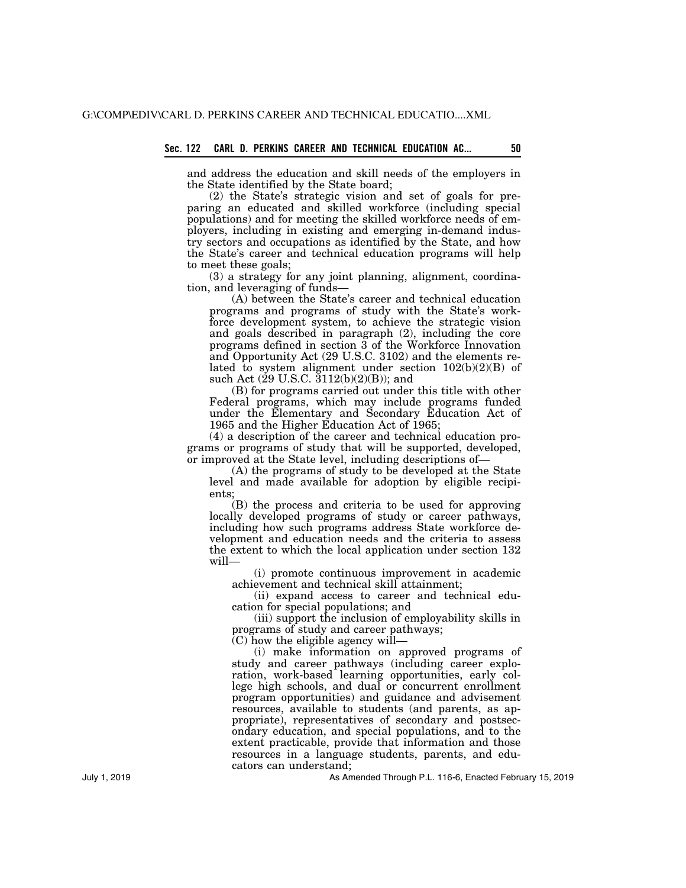# **Sec. 122 CARL D. PERKINS CAREER AND TECHNICAL EDUCATION AC... 50**

and address the education and skill needs of the employers in the State identified by the State board;

(2) the State's strategic vision and set of goals for preparing an educated and skilled workforce (including special populations) and for meeting the skilled workforce needs of employers, including in existing and emerging in-demand industry sectors and occupations as identified by the State, and how the State's career and technical education programs will help to meet these goals;

(3) a strategy for any joint planning, alignment, coordination, and leveraging of funds—

(A) between the State's career and technical education programs and programs of study with the State's workforce development system, to achieve the strategic vision and goals described in paragraph (2), including the core programs defined in section 3 of the Workforce Innovation and Opportunity Act (29 U.S.C. 3102) and the elements related to system alignment under section 102(b)(2)(B) of such Act (29 U.S.C.  $3112(b)(2)(B)$ ); and

(B) for programs carried out under this title with other Federal programs, which may include programs funded under the Elementary and Secondary Education Act of 1965 and the Higher Education Act of 1965;

(4) a description of the career and technical education programs or programs of study that will be supported, developed, or improved at the State level, including descriptions of—

(A) the programs of study to be developed at the State level and made available for adoption by eligible recipients;

(B) the process and criteria to be used for approving locally developed programs of study or career pathways, including how such programs address State workforce development and education needs and the criteria to assess the extent to which the local application under section 132 will—

(i) promote continuous improvement in academic achievement and technical skill attainment;

(ii) expand access to career and technical education for special populations; and

(iii) support the inclusion of employability skills in programs of study and career pathways;

(C) how the eligible agency will—

(i) make information on approved programs of study and career pathways (including career exploration, work-based learning opportunities, early college high schools, and dual or concurrent enrollment program opportunities) and guidance and advisement resources, available to students (and parents, as appropriate), representatives of secondary and postsecondary education, and special populations, and to the extent practicable, provide that information and those resources in a language students, parents, and educators can understand;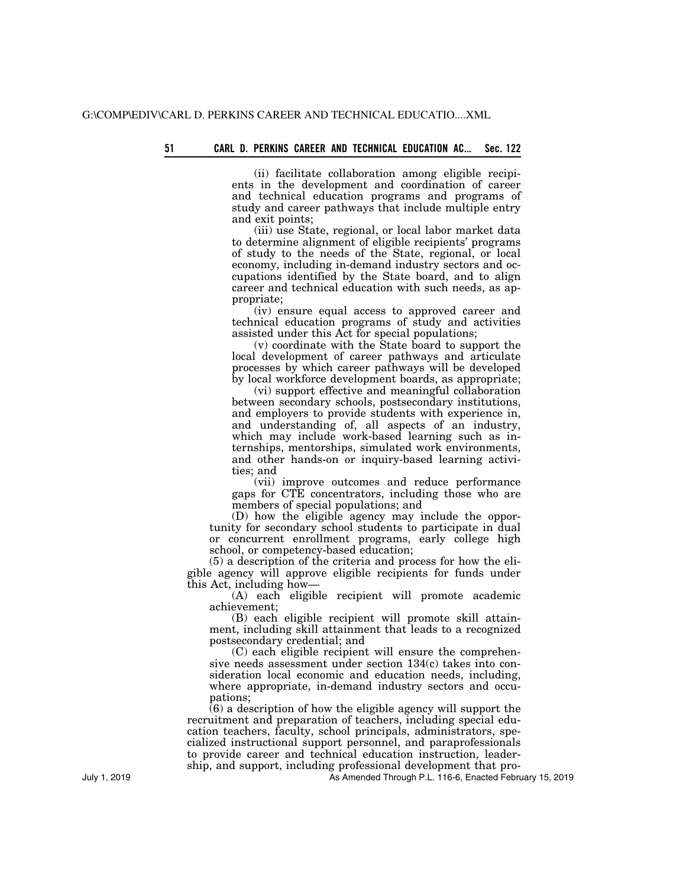(ii) facilitate collaboration among eligible recipients in the development and coordination of career and technical education programs and programs of study and career pathways that include multiple entry and exit points;

(iii) use State, regional, or local labor market data to determine alignment of eligible recipients' programs of study to the needs of the State, regional, or local economy, including in-demand industry sectors and occupations identified by the State board, and to align career and technical education with such needs, as appropriate;

(iv) ensure equal access to approved career and technical education programs of study and activities assisted under this Act for special populations;

(v) coordinate with the State board to support the local development of career pathways and articulate processes by which career pathways will be developed by local workforce development boards, as appropriate;

(vi) support effective and meaningful collaboration between secondary schools, postsecondary institutions, and employers to provide students with experience in, and understanding of, all aspects of an industry, which may include work-based learning such as internships, mentorships, simulated work environments, and other hands-on or inquiry-based learning activities; and

(vii) improve outcomes and reduce performance gaps for CTE concentrators, including those who are members of special populations; and

(D) how the eligible agency may include the opportunity for secondary school students to participate in dual or concurrent enrollment programs, early college high school, or competency-based education;

(5) a description of the criteria and process for how the eligible agency will approve eligible recipients for funds under this Act, including how—

(A) each eligible recipient will promote academic achievement;

(B) each eligible recipient will promote skill attainment, including skill attainment that leads to a recognized postsecondary credential; and

(C) each eligible recipient will ensure the comprehensive needs assessment under section 134(c) takes into consideration local economic and education needs, including, where appropriate, in-demand industry sectors and occupations;

(6) a description of how the eligible agency will support the recruitment and preparation of teachers, including special education teachers, faculty, school principals, administrators, specialized instructional support personnel, and paraprofessionals to provide career and technical education instruction, leadership, and support, including professional development that pro-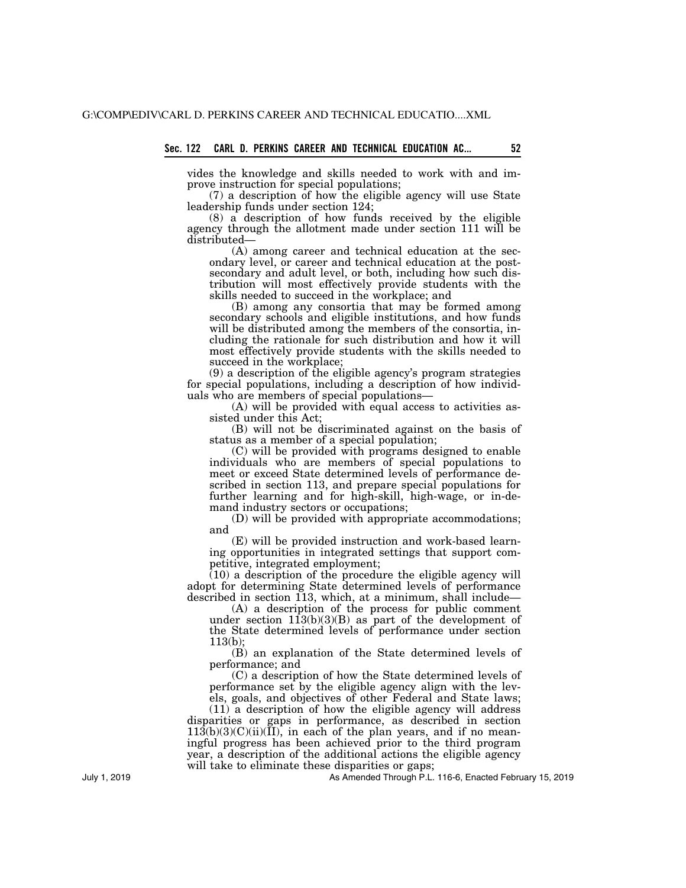#### **Sec. 122 CARL D. PERKINS CAREER AND TECHNICAL EDUCATION AC... 52**

vides the knowledge and skills needed to work with and improve instruction for special populations;

(7) a description of how the eligible agency will use State leadership funds under section 124;

 $(8)$  a description of how funds received by the eligible agency through the allotment made under section 111 will be distributed—

(A) among career and technical education at the secondary level, or career and technical education at the postsecondary and adult level, or both, including how such distribution will most effectively provide students with the skills needed to succeed in the workplace; and

(B) among any consortia that may be formed among secondary schools and eligible institutions, and how funds will be distributed among the members of the consortia, including the rationale for such distribution and how it will most effectively provide students with the skills needed to succeed in the workplace;

(9) a description of the eligible agency's program strategies for special populations, including a description of how individuals who are members of special populations—

(A) will be provided with equal access to activities assisted under this Act;

(B) will not be discriminated against on the basis of status as a member of a special population;

(C) will be provided with programs designed to enable individuals who are members of special populations to meet or exceed State determined levels of performance described in section 113, and prepare special populations for further learning and for high-skill, high-wage, or in-demand industry sectors or occupations;

(D) will be provided with appropriate accommodations; and

(E) will be provided instruction and work-based learning opportunities in integrated settings that support competitive, integrated employment;

(10) a description of the procedure the eligible agency will adopt for determining State determined levels of performance described in section 113, which, at a minimum, shall include—

(A) a description of the process for public comment under section  $113(b)(3)(B)$  as part of the development of the State determined levels of performance under section 113(b);

(B) an explanation of the State determined levels of performance; and

(C) a description of how the State determined levels of performance set by the eligible agency align with the levels, goals, and objectives of other Federal and State laws;

(11) a description of how the eligible agency will address disparities or gaps in performance, as described in section  $11\overline{3}$ (b)(3)(C)(ii)(II), in each of the plan years, and if no meaningful progress has been achieved prior to the third program year, a description of the additional actions the eligible agency will take to eliminate these disparities or gaps;

As Amended Through P.L. 116-6, Enacted February 15, 2019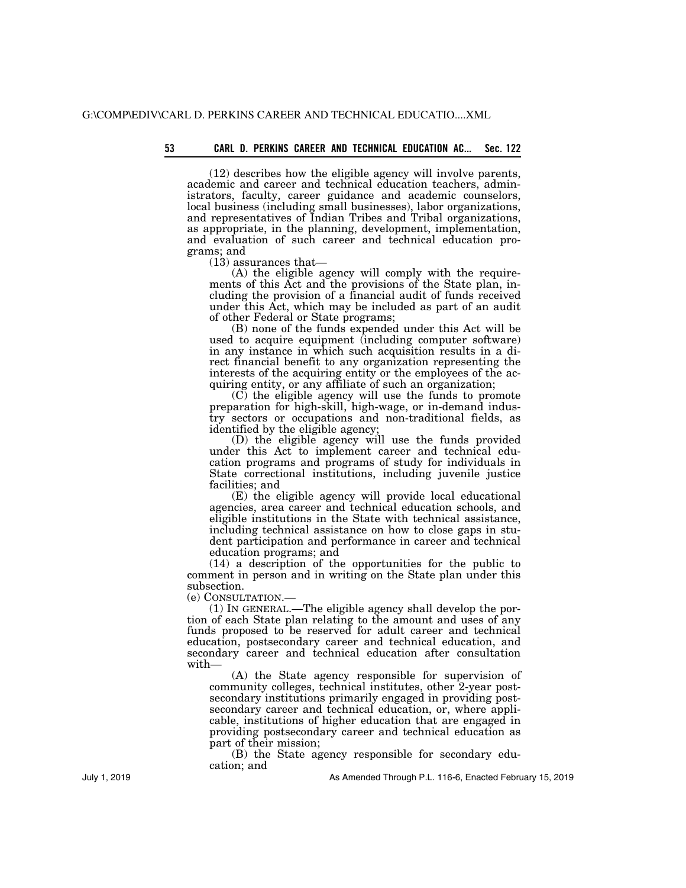(12) describes how the eligible agency will involve parents, academic and career and technical education teachers, administrators, faculty, career guidance and academic counselors, local business (including small businesses), labor organizations, and representatives of Indian Tribes and Tribal organizations, as appropriate, in the planning, development, implementation, and evaluation of such career and technical education programs; and

(13) assurances that—

(A) the eligible agency will comply with the requirements of this Act and the provisions of the State plan, including the provision of a financial audit of funds received under this Act, which may be included as part of an audit of other Federal or State programs;

(B) none of the funds expended under this Act will be used to acquire equipment (including computer software) in any instance in which such acquisition results in a direct financial benefit to any organization representing the interests of the acquiring entity or the employees of the acquiring entity, or any affiliate of such an organization;

(C) the eligible agency will use the funds to promote preparation for high-skill, high-wage, or in-demand industry sectors or occupations and non-traditional fields, as identified by the eligible agency;

(D) the eligible agency will use the funds provided under this Act to implement career and technical education programs and programs of study for individuals in State correctional institutions, including juvenile justice facilities; and

(E) the eligible agency will provide local educational agencies, area career and technical education schools, and eligible institutions in the State with technical assistance, including technical assistance on how to close gaps in student participation and performance in career and technical education programs; and

(14) a description of the opportunities for the public to comment in person and in writing on the State plan under this subsection.

(e) CONSULTATION.—

(1) IN GENERAL.—The eligible agency shall develop the portion of each State plan relating to the amount and uses of any funds proposed to be reserved for adult career and technical education, postsecondary career and technical education, and secondary career and technical education after consultation with—

(A) the State agency responsible for supervision of community colleges, technical institutes, other 2-year postsecondary institutions primarily engaged in providing postsecondary career and technical education, or, where applicable, institutions of higher education that are engaged in providing postsecondary career and technical education as part of their mission;

(B) the State agency responsible for secondary education; and

As Amended Through P.L. 116-6, Enacted February 15, 2019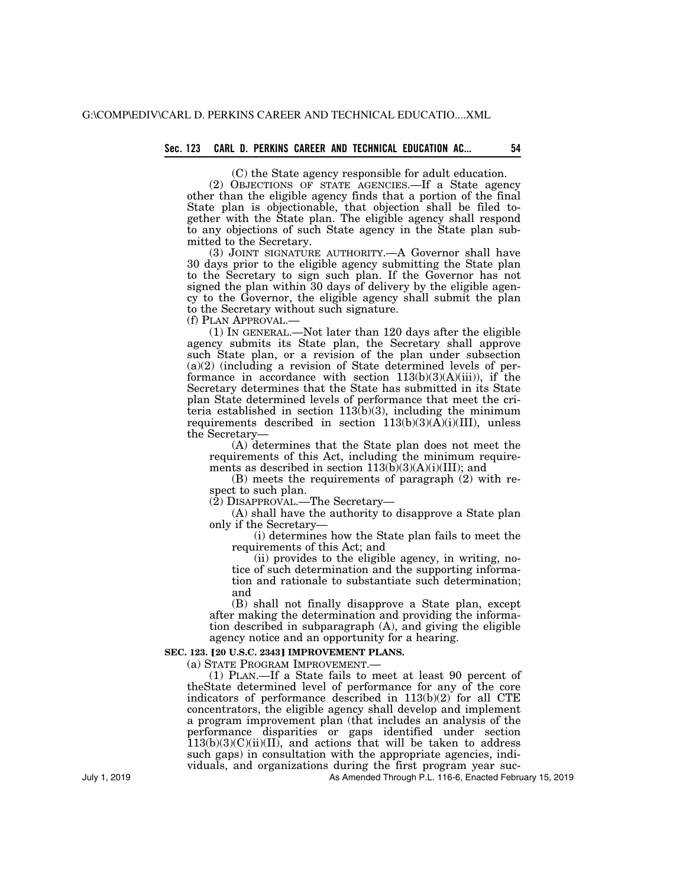#### **Sec. 123 CARL D. PERKINS CAREER AND TECHNICAL EDUCATION AC... 54**

(C) the State agency responsible for adult education.

(2) OBJECTIONS OF STATE AGENCIES.—If a State agency other than the eligible agency finds that a portion of the final State plan is objectionable, that objection shall be filed together with the State plan. The eligible agency shall respond to any objections of such State agency in the State plan submitted to the Secretary.

(3) JOINT SIGNATURE AUTHORITY.—A Governor shall have 30 days prior to the eligible agency submitting the State plan to the Secretary to sign such plan. If the Governor has not signed the plan within 30 days of delivery by the eligible agency to the Governor, the eligible agency shall submit the plan to the Secretary without such signature.

(f) PLAN APPROVAL.—

(1) IN GENERAL.—Not later than 120 days after the eligible agency submits its State plan, the Secretary shall approve such State plan, or a revision of the plan under subsection  $(a)(2)$  (including a revision of State determined levels of performance in accordance with section  $113(b)(3)(A)(iii)$ , if the Secretary determines that the State has submitted in its State plan State determined levels of performance that meet the criteria established in section 113(b)(3), including the minimum requirements described in section  $113(b)(3)(A)(i)(III)$ , unless the Secretary—

(A) determines that the State plan does not meet the requirements of this Act, including the minimum requirements as described in section  $113(b)(3)(A)(i)(III)$ ; and

(B) meets the requirements of paragraph (2) with respect to such plan.

(2) DISAPPROVAL.—The Secretary—

(A) shall have the authority to disapprove a State plan only if the Secretary—

(i) determines how the State plan fails to meet the requirements of this Act; and

(ii) provides to the eligible agency, in writing, notice of such determination and the supporting information and rationale to substantiate such determination; and

(B) shall not finally disapprove a State plan, except after making the determination and providing the information described in subparagraph (A), and giving the eligible agency notice and an opportunity for a hearing.

## **SEC. 123. [20 U.S.C. 2343] IMPROVEMENT PLANS.**

(a) STATE PROGRAM IMPROVEMENT.—

(1) PLAN.—If a State fails to meet at least 90 percent of theState determined level of performance for any of the core indicators of performance described in 113(b)(2) for all CTE concentrators, the eligible agency shall develop and implement a program improvement plan (that includes an analysis of the performance disparities or gaps identified under section  $113(b)(3)(C)(ii)(II)$ , and actions that will be taken to address such gaps) in consultation with the appropriate agencies, individuals, and organizations during the first program year suc-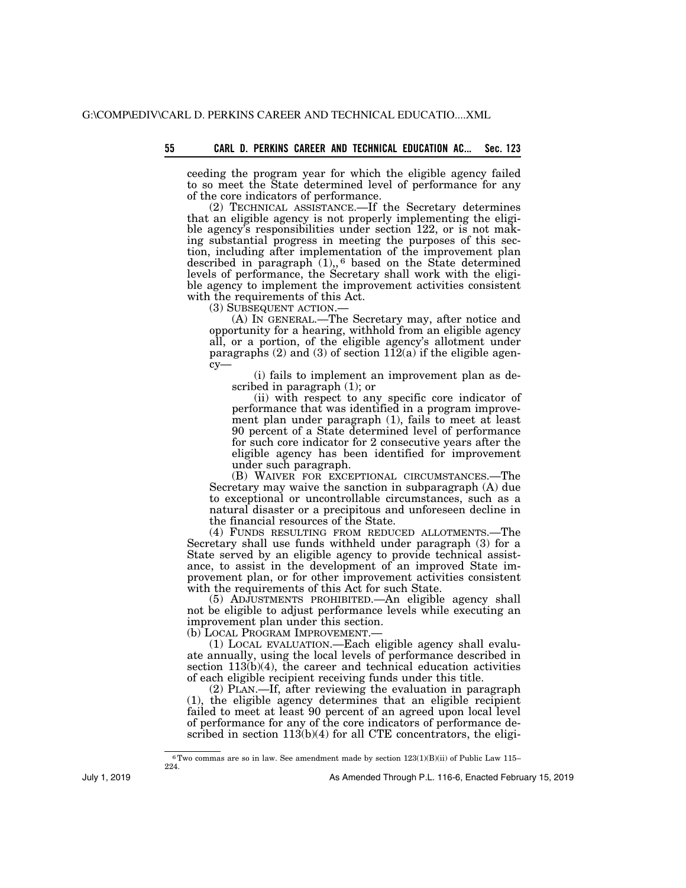| 55 |  |  |  | CARL D. PERKINS CAREER AND TECHNICAL EDUCATION AC | Sec. 123 |
|----|--|--|--|---------------------------------------------------|----------|
|    |  |  |  |                                                   |          |

ceeding the program year for which the eligible agency failed to so meet the State determined level of performance for any of the core indicators of performance.

(2) TECHNICAL ASSISTANCE.—If the Secretary determines that an eligible agency is not properly implementing the eligible agency's responsibilities under section 122, or is not making substantial progress in meeting the purposes of this section, including after implementation of the improvement plan described in paragraph  $(1)$ , <sup>6</sup> based on the State determined levels of performance, the Secretary shall work with the eligible agency to implement the improvement activities consistent with the requirements of this Act.

(3) SUBSEQUENT ACTION.—

(A) IN GENERAL.—The Secretary may, after notice and opportunity for a hearing, withhold from an eligible agency all, or a portion, of the eligible agency's allotment under paragraphs  $(2)$  and  $(3)$  of section  $112(a)$  if the eligible agency—

(i) fails to implement an improvement plan as described in paragraph (1); or

(ii) with respect to any specific core indicator of performance that was identified in a program improvement plan under paragraph (1), fails to meet at least 90 percent of a State determined level of performance for such core indicator for 2 consecutive years after the eligible agency has been identified for improvement under such paragraph.

(B) WAIVER FOR EXCEPTIONAL CIRCUMSTANCES.—The Secretary may waive the sanction in subparagraph (A) due to exceptional or uncontrollable circumstances, such as a natural disaster or a precipitous and unforeseen decline in the financial resources of the State.

(4) FUNDS RESULTING FROM REDUCED ALLOTMENTS.—The Secretary shall use funds withheld under paragraph (3) for a State served by an eligible agency to provide technical assistance, to assist in the development of an improved State improvement plan, or for other improvement activities consistent with the requirements of this Act for such State.

(5) ADJUSTMENTS PROHIBITED.—An eligible agency shall not be eligible to adjust performance levels while executing an improvement plan under this section.

(b) LOCAL PROGRAM IMPROVEMENT.—

(1) LOCAL EVALUATION.—Each eligible agency shall evaluate annually, using the local levels of performance described in section  $113(b)(4)$ , the career and technical education activities of each eligible recipient receiving funds under this title.

(2) PLAN.—If, after reviewing the evaluation in paragraph (1), the eligible agency determines that an eligible recipient failed to meet at least 90 percent of an agreed upon local level of performance for any of the core indicators of performance described in section  $113(b)(4)$  for all CTE concentrators, the eligi-

 $6$ Two commas are so in law. See amendment made by section  $123(1)(B)(ii)$  of Public Law 115– 224.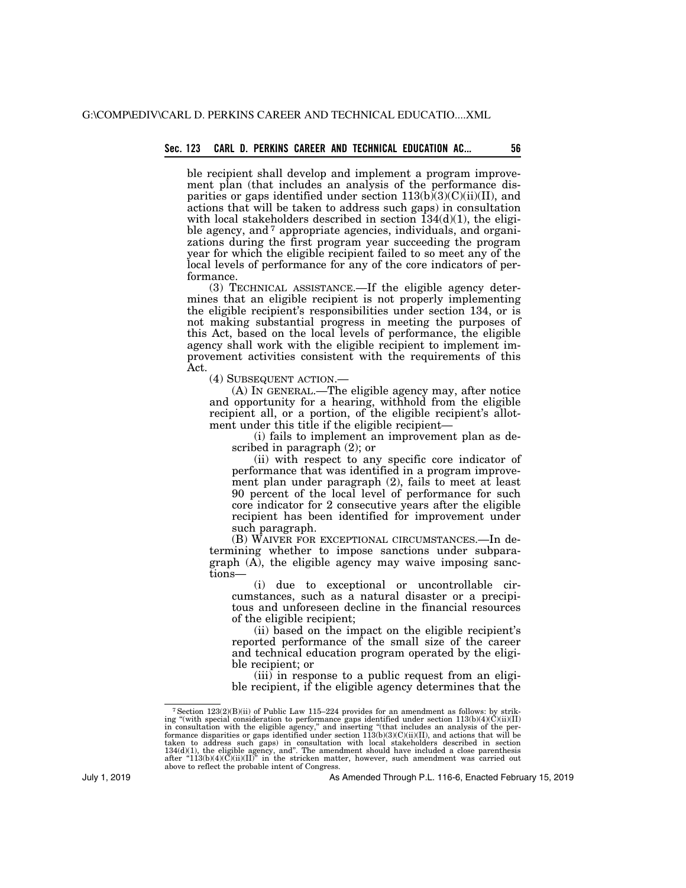# **Sec. 123 CARL D. PERKINS CAREER AND TECHNICAL EDUCATION AC... 56**

ble recipient shall develop and implement a program improvement plan (that includes an analysis of the performance disparities or gaps identified under section  $113(b)$  $(3)(C)(ii)(II)$ , and actions that will be taken to address such gaps) in consultation with local stakeholders described in section  $\overline{134}$ (d)(1), the eligible agency, and <sup>7</sup> appropriate agencies, individuals, and organizations during the first program year succeeding the program year for which the eligible recipient failed to so meet any of the local levels of performance for any of the core indicators of performance.

(3) TECHNICAL ASSISTANCE.—If the eligible agency determines that an eligible recipient is not properly implementing the eligible recipient's responsibilities under section 134, or is not making substantial progress in meeting the purposes of this Act, based on the local levels of performance, the eligible agency shall work with the eligible recipient to implement improvement activities consistent with the requirements of this Act.

(4) SUBSEQUENT ACTION.—

(A) IN GENERAL.—The eligible agency may, after notice and opportunity for a hearing, withhold from the eligible recipient all, or a portion, of the eligible recipient's allotment under this title if the eligible recipient—

(i) fails to implement an improvement plan as described in paragraph (2); or

(ii) with respect to any specific core indicator of performance that was identified in a program improvement plan under paragraph (2), fails to meet at least 90 percent of the local level of performance for such core indicator for 2 consecutive years after the eligible recipient has been identified for improvement under such paragraph.

(B) WAIVER FOR EXCEPTIONAL CIRCUMSTANCES.—In determining whether to impose sanctions under subparagraph (A), the eligible agency may waive imposing sanctions—

(i) due to exceptional or uncontrollable circumstances, such as a natural disaster or a precipitous and unforeseen decline in the financial resources of the eligible recipient;

(ii) based on the impact on the eligible recipient's reported performance of the small size of the career and technical education program operated by the eligible recipient; or

(iii) in response to a public request from an eligible recipient, if the eligible agency determines that the

<sup>7</sup>Section 123(2)(B)(ii) of Public Law 115–224 provides for an amendment as follows: by striking "(with special consideration to performance gaps identified under section 113(b)(4)(C)(ii)(II) in consultation with the eligible agency," and inserting "(that includes an analysis of the per-<br>formance disparities or g above to reflect the probable intent of Congress.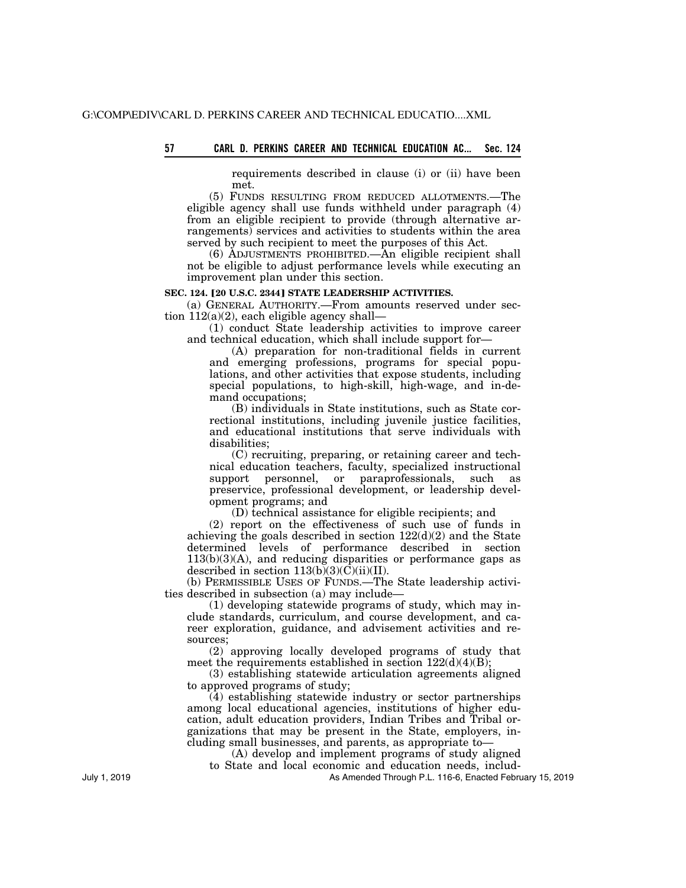requirements described in clause (i) or (ii) have been met.

(5) FUNDS RESULTING FROM REDUCED ALLOTMENTS.—The eligible agency shall use funds withheld under paragraph (4) from an eligible recipient to provide (through alternative arrangements) services and activities to students within the area served by such recipient to meet the purposes of this Act.

(6) ADJUSTMENTS PROHIBITED.—An eligible recipient shall not be eligible to adjust performance levels while executing an improvement plan under this section.

#### **SEC. 124. [20 U.S.C. 2344] STATE LEADERSHIP ACTIVITIES.**

(a) GENERAL AUTHORITY.—From amounts reserved under section  $112(a)(2)$ , each eligible agency shall—

(1) conduct State leadership activities to improve career and technical education, which shall include support for—

(A) preparation for non-traditional fields in current and emerging professions, programs for special populations, and other activities that expose students, including special populations, to high-skill, high-wage, and in-demand occupations;

(B) individuals in State institutions, such as State correctional institutions, including juvenile justice facilities, and educational institutions that serve individuals with disabilities;

(C) recruiting, preparing, or retaining career and technical education teachers, faculty, specialized instructional support personnel, or paraprofessionals, such as preservice, professional development, or leadership development programs; and

(D) technical assistance for eligible recipients; and

(2) report on the effectiveness of such use of funds in achieving the goals described in section  $122(d)(2)$  and the State determined levels of performance described in section 113(b)(3)(A), and reducing disparities or performance gaps as described in section  $113(b)(3)(C)(ii)(II)$ .

(b) PERMISSIBLE USES OF FUNDS.—The State leadership activities described in subsection (a) may include—

(1) developing statewide programs of study, which may include standards, curriculum, and course development, and career exploration, guidance, and advisement activities and resources;

(2) approving locally developed programs of study that meet the requirements established in section  $122(d)(4)(B)$ ;

(3) establishing statewide articulation agreements aligned to approved programs of study;

(4) establishing statewide industry or sector partnerships among local educational agencies, institutions of higher education, adult education providers, Indian Tribes and Tribal organizations that may be present in the State, employers, including small businesses, and parents, as appropriate to—

(A) develop and implement programs of study aligned to State and local economic and education needs, includ-

As Amended Through P.L. 116-6, Enacted February 15, 2019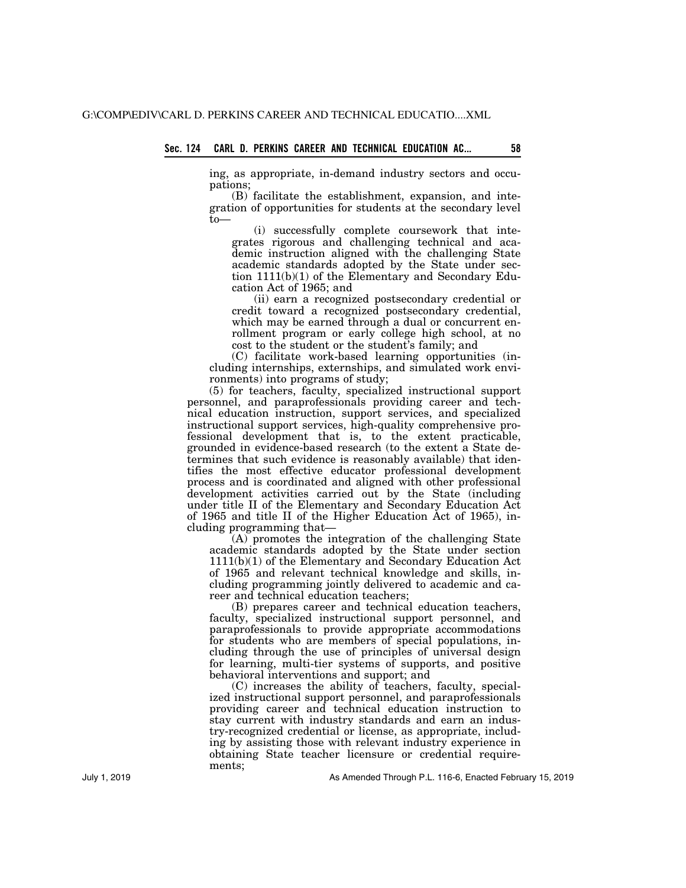ing, as appropriate, in-demand industry sectors and occupations;

(B) facilitate the establishment, expansion, and integration of opportunities for students at the secondary level to—

(i) successfully complete coursework that integrates rigorous and challenging technical and academic instruction aligned with the challenging State academic standards adopted by the State under section 1111(b)(1) of the Elementary and Secondary Education Act of 1965; and

(ii) earn a recognized postsecondary credential or credit toward a recognized postsecondary credential, which may be earned through a dual or concurrent enrollment program or early college high school, at no cost to the student or the student's family; and

(C) facilitate work-based learning opportunities (including internships, externships, and simulated work environments) into programs of study;

(5) for teachers, faculty, specialized instructional support personnel, and paraprofessionals providing career and technical education instruction, support services, and specialized instructional support services, high-quality comprehensive professional development that is, to the extent practicable, grounded in evidence-based research (to the extent a State determines that such evidence is reasonably available) that identifies the most effective educator professional development process and is coordinated and aligned with other professional development activities carried out by the State (including under title II of the Elementary and Secondary Education Act of 1965 and title II of the Higher Education Act of 1965), including programming that—

(A) promotes the integration of the challenging State academic standards adopted by the State under section 1111(b)(1) of the Elementary and Secondary Education Act of 1965 and relevant technical knowledge and skills, including programming jointly delivered to academic and career and technical education teachers;

(B) prepares career and technical education teachers, faculty, specialized instructional support personnel, and paraprofessionals to provide appropriate accommodations for students who are members of special populations, including through the use of principles of universal design for learning, multi-tier systems of supports, and positive behavioral interventions and support; and

(C) increases the ability of teachers, faculty, specialized instructional support personnel, and paraprofessionals providing career and technical education instruction to stay current with industry standards and earn an industry-recognized credential or license, as appropriate, including by assisting those with relevant industry experience in obtaining State teacher licensure or credential requirements;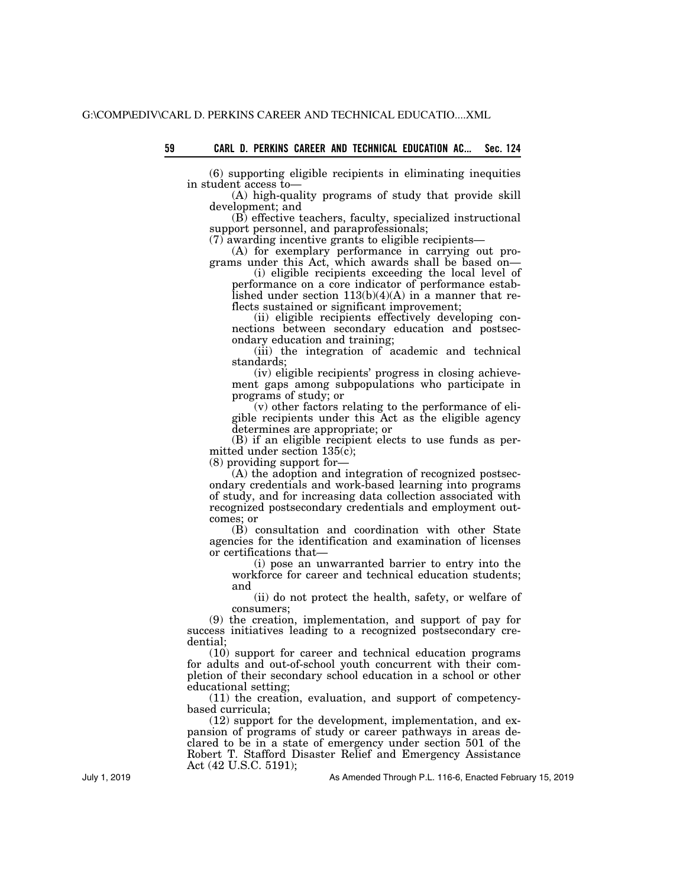| 59 |  |  |  |  |  |  | CARL D. PERKINS CAREER AND TECHNICAL EDUCATION AC Sec. 124 |  |  |  |
|----|--|--|--|--|--|--|------------------------------------------------------------|--|--|--|
|----|--|--|--|--|--|--|------------------------------------------------------------|--|--|--|

(6) supporting eligible recipients in eliminating inequities in student access to—

(A) high-quality programs of study that provide skill development; and

(B) effective teachers, faculty, specialized instructional support personnel, and paraprofessionals;

(7) awarding incentive grants to eligible recipients—

(A) for exemplary performance in carrying out programs under this Act, which awards shall be based on—

(i) eligible recipients exceeding the local level of performance on a core indicator of performance established under section  $113(b)(4)(A)$  in a manner that reflects sustained or significant improvement;

(ii) eligible recipients effectively developing connections between secondary education and postsecondary education and training;

(iii) the integration of academic and technical standards;

(iv) eligible recipients' progress in closing achievement gaps among subpopulations who participate in programs of study; or

(v) other factors relating to the performance of eligible recipients under this Act as the eligible agency determines are appropriate; or

(B) if an eligible recipient elects to use funds as permitted under section 135(c);

(8) providing support for—

(A) the adoption and integration of recognized postsecondary credentials and work-based learning into programs of study, and for increasing data collection associated with recognized postsecondary credentials and employment outcomes; or

(B) consultation and coordination with other State agencies for the identification and examination of licenses or certifications that—

(i) pose an unwarranted barrier to entry into the workforce for career and technical education students; and

(ii) do not protect the health, safety, or welfare of consumers;

(9) the creation, implementation, and support of pay for success initiatives leading to a recognized postsecondary credential;

(10) support for career and technical education programs for adults and out-of-school youth concurrent with their completion of their secondary school education in a school or other educational setting;

(11) the creation, evaluation, and support of competencybased curricula;

(12) support for the development, implementation, and expansion of programs of study or career pathways in areas declared to be in a state of emergency under section 501 of the Robert T. Stafford Disaster Relief and Emergency Assistance Act (42 U.S.C. 5191);

As Amended Through P.L. 116-6, Enacted February 15, 2019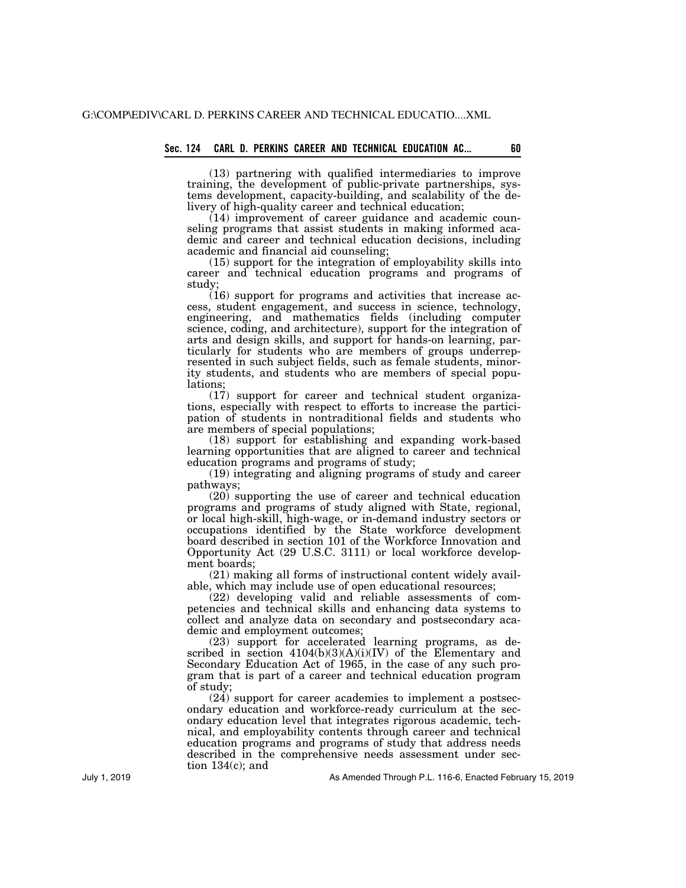#### **Sec. 124 CARL D. PERKINS CAREER AND TECHNICAL EDUCATION AC... 60**

(13) partnering with qualified intermediaries to improve training, the development of public-private partnerships, systems development, capacity-building, and scalability of the delivery of high-quality career and technical education;

(14) improvement of career guidance and academic counseling programs that assist students in making informed academic and career and technical education decisions, including academic and financial aid counseling;

(15) support for the integration of employability skills into career and technical education programs and programs of study;

(16) support for programs and activities that increase access, student engagement, and success in science, technology, engineering, and mathematics fields (including computer science, coding, and architecture), support for the integration of arts and design skills, and support for hands-on learning, particularly for students who are members of groups underrepresented in such subject fields, such as female students, minority students, and students who are members of special populations;

(17) support for career and technical student organizations, especially with respect to efforts to increase the participation of students in nontraditional fields and students who are members of special populations;

(18) support for establishing and expanding work-based learning opportunities that are aligned to career and technical education programs and programs of study;

(19) integrating and aligning programs of study and career pathways;

(20) supporting the use of career and technical education programs and programs of study aligned with State, regional, or local high-skill, high-wage, or in-demand industry sectors or occupations identified by the State workforce development board described in section 101 of the Workforce Innovation and Opportunity Act (29 U.S.C. 3111) or local workforce development boards;

(21) making all forms of instructional content widely available, which may include use of open educational resources;

(22) developing valid and reliable assessments of competencies and technical skills and enhancing data systems to collect and analyze data on secondary and postsecondary academic and employment outcomes;

(23) support for accelerated learning programs, as described in section  $4104(b)(3)(A)(i)(IV)$  of the Elementary and Secondary Education Act of 1965, in the case of any such program that is part of a career and technical education program of study;

(24) support for career academies to implement a postsecondary education and workforce-ready curriculum at the secondary education level that integrates rigorous academic, technical, and employability contents through career and technical education programs and programs of study that address needs described in the comprehensive needs assessment under section  $134(c)$ ; and

As Amended Through P.L. 116-6, Enacted February 15, 2019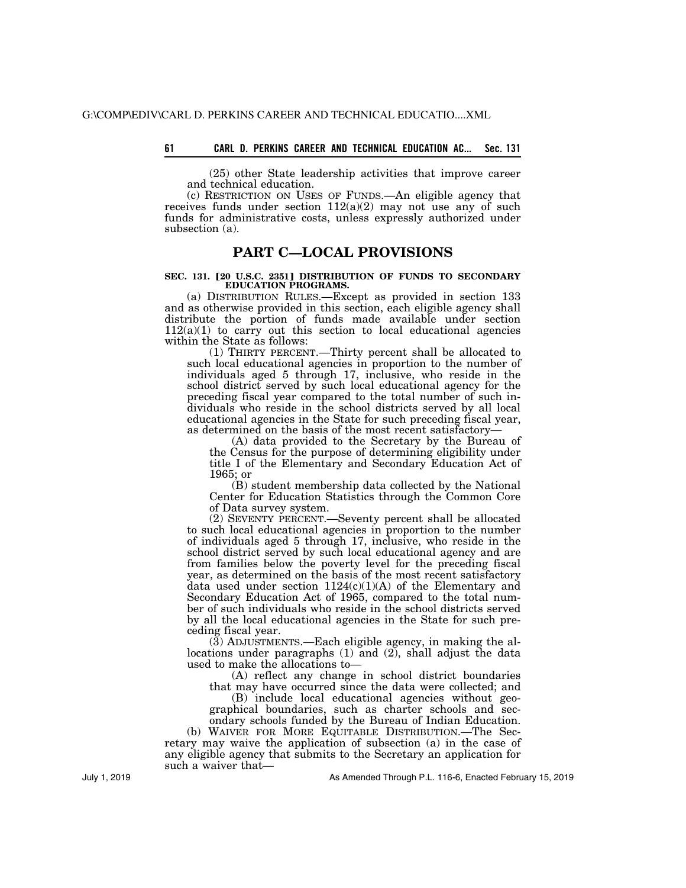(25) other State leadership activities that improve career and technical education.

(c) RESTRICTION ON USES OF FUNDS.—An eligible agency that receives funds under section  $112(a)(2)$  may not use any of such funds for administrative costs, unless expressly authorized under subsection (a).

# **PART C—LOCAL PROVISIONS**

# **SEC. 131. [20 U.S.C. 2351] DISTRIBUTION OF FUNDS TO SECONDARY EDUCATION PROGRAMS.**

(a) DISTRIBUTION RULES.—Except as provided in section 133 and as otherwise provided in this section, each eligible agency shall distribute the portion of funds made available under section  $112(a)(1)$  to carry out this section to local educational agencies within the State as follows:

(1) THIRTY PERCENT.—Thirty percent shall be allocated to such local educational agencies in proportion to the number of individuals aged 5 through 17, inclusive, who reside in the school district served by such local educational agency for the preceding fiscal year compared to the total number of such individuals who reside in the school districts served by all local educational agencies in the State for such preceding fiscal year, as determined on the basis of the most recent satisfactory—

(A) data provided to the Secretary by the Bureau of the Census for the purpose of determining eligibility under title I of the Elementary and Secondary Education Act of 1965; or

(B) student membership data collected by the National Center for Education Statistics through the Common Core of Data survey system.

(2) SEVENTY PERCENT.—Seventy percent shall be allocated to such local educational agencies in proportion to the number of individuals aged 5 through 17, inclusive, who reside in the school district served by such local educational agency and are from families below the poverty level for the preceding fiscal year, as determined on the basis of the most recent satisfactory data used under section  $1124(c)(1)(A)$  of the Elementary and Secondary Education Act of 1965, compared to the total number of such individuals who reside in the school districts served by all the local educational agencies in the State for such preceding fiscal year.

(3) ADJUSTMENTS.—Each eligible agency, in making the allocations under paragraphs (1) and (2), shall adjust the data used to make the allocations to—

(A) reflect any change in school district boundaries that may have occurred since the data were collected; and

(B) include local educational agencies without geographical boundaries, such as charter schools and secondary schools funded by the Bureau of Indian Education.

(b) WAIVER FOR MORE EQUITABLE DISTRIBUTION.—The Secretary may waive the application of subsection (a) in the case of any eligible agency that submits to the Secretary an application for such a waiver that—

As Amended Through P.L. 116-6, Enacted February 15, 2019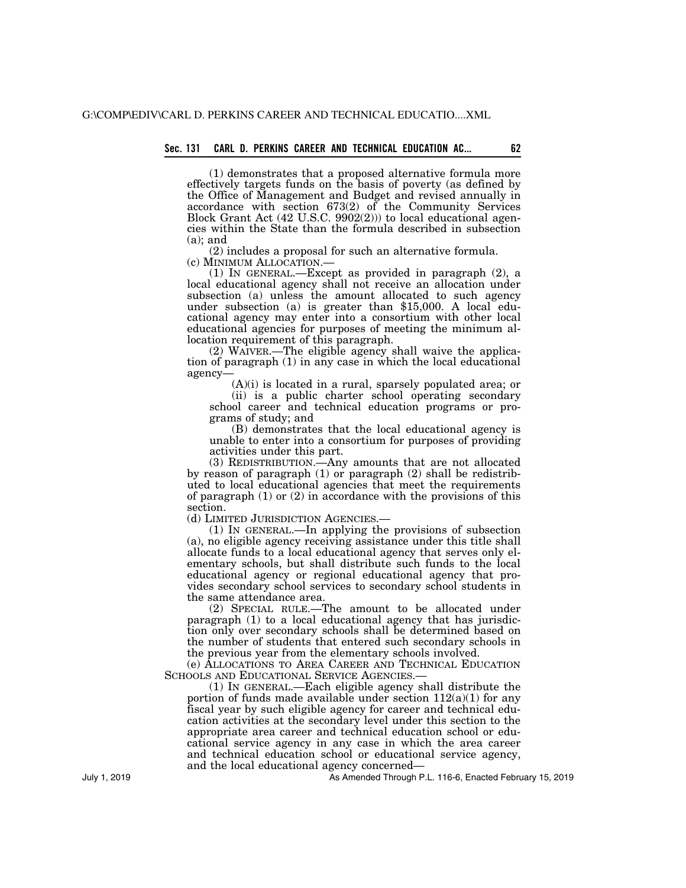# **Sec. 131 CARL D. PERKINS CAREER AND TECHNICAL EDUCATION AC... 62**

(1) demonstrates that a proposed alternative formula more effectively targets funds on the basis of poverty (as defined by the Office of Management and Budget and revised annually in accordance with section 673(2) of the Community Services Block Grant Act (42 U.S.C. 9902(2))) to local educational agencies within the State than the formula described in subsection  $(a)$ ; and

(2) includes a proposal for such an alternative formula.

(c) MINIMUM ALLOCATION.— (1) IN GENERAL.—Except as provided in paragraph (2), a local educational agency shall not receive an allocation under subsection (a) unless the amount allocated to such agency under subsection (a) is greater than \$15,000. A local educational agency may enter into a consortium with other local educational agencies for purposes of meeting the minimum allocation requirement of this paragraph.

(2) WAIVER.—The eligible agency shall waive the application of paragraph (1) in any case in which the local educational agency—

 $(A)(i)$  is located in a rural, sparsely populated area; or

(ii) is a public charter school operating secondary school career and technical education programs or programs of study; and

(B) demonstrates that the local educational agency is unable to enter into a consortium for purposes of providing activities under this part.

(3) REDISTRIBUTION.—Any amounts that are not allocated by reason of paragraph (1) or paragraph (2) shall be redistributed to local educational agencies that meet the requirements of paragraph  $(1)$  or  $(2)$  in accordance with the provisions of this section.

(d) LIMITED JURISDICTION AGENCIES.—

(1) IN GENERAL.—In applying the provisions of subsection (a), no eligible agency receiving assistance under this title shall allocate funds to a local educational agency that serves only elementary schools, but shall distribute such funds to the local educational agency or regional educational agency that provides secondary school services to secondary school students in the same attendance area.

(2) SPECIAL RULE.—The amount to be allocated under paragraph (1) to a local educational agency that has jurisdiction only over secondary schools shall be determined based on the number of students that entered such secondary schools in the previous year from the elementary schools involved.

(e) ALLOCATIONS TO AREA CAREER AND TECHNICAL EDUCATION SCHOOLS AND EDUCATIONAL SERVICE AGENCIES.—

(1) IN GENERAL.—Each eligible agency shall distribute the portion of funds made available under section  $112(a)(1)$  for any fiscal year by such eligible agency for career and technical education activities at the secondary level under this section to the appropriate area career and technical education school or educational service agency in any case in which the area career and technical education school or educational service agency, and the local educational agency concerned—

As Amended Through P.L. 116-6, Enacted February 15, 2019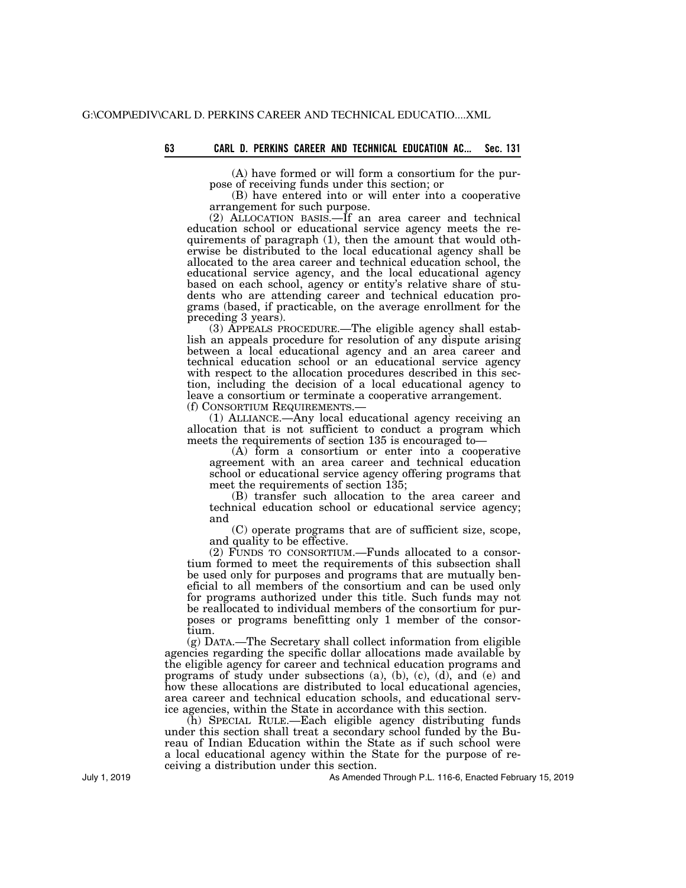|  | 63 |  |  |  |  |  |  | CARL D. PERKINS CAREER AND TECHNICAL EDUCATION AC |  | Sec. 131 |
|--|----|--|--|--|--|--|--|---------------------------------------------------|--|----------|
|--|----|--|--|--|--|--|--|---------------------------------------------------|--|----------|

(A) have formed or will form a consortium for the purpose of receiving funds under this section; or

(B) have entered into or will enter into a cooperative arrangement for such purpose.

(2) ALLOCATION BASIS.—If an area career and technical education school or educational service agency meets the requirements of paragraph (1), then the amount that would otherwise be distributed to the local educational agency shall be allocated to the area career and technical education school, the educational service agency, and the local educational agency based on each school, agency or entity's relative share of students who are attending career and technical education programs (based, if practicable, on the average enrollment for the preceding 3 years).

(3) APPEALS PROCEDURE.—The eligible agency shall establish an appeals procedure for resolution of any dispute arising between a local educational agency and an area career and technical education school or an educational service agency with respect to the allocation procedures described in this section, including the decision of a local educational agency to leave a consortium or terminate a cooperative arrangement.

(f) CONSORTIUM REQUIREMENTS.— (1) ALLIANCE.—Any local educational agency receiving an allocation that is not sufficient to conduct a program which meets the requirements of section 135 is encouraged to—

(A) form a consortium or enter into a cooperative agreement with an area career and technical education school or educational service agency offering programs that meet the requirements of section 135;

(B) transfer such allocation to the area career and technical education school or educational service agency; and

(C) operate programs that are of sufficient size, scope, and quality to be effective.

(2) FUNDS TO CONSORTIUM.—Funds allocated to a consortium formed to meet the requirements of this subsection shall be used only for purposes and programs that are mutually beneficial to all members of the consortium and can be used only for programs authorized under this title. Such funds may not be reallocated to individual members of the consortium for purposes or programs benefitting only 1 member of the consortium.

(g) DATA.—The Secretary shall collect information from eligible agencies regarding the specific dollar allocations made available by the eligible agency for career and technical education programs and programs of study under subsections (a), (b), (c), (d), and (e) and how these allocations are distributed to local educational agencies, area career and technical education schools, and educational service agencies, within the State in accordance with this section.

(h) SPECIAL RULE.—Each eligible agency distributing funds under this section shall treat a secondary school funded by the Bureau of Indian Education within the State as if such school were a local educational agency within the State for the purpose of receiving a distribution under this section.

As Amended Through P.L. 116-6, Enacted February 15, 2019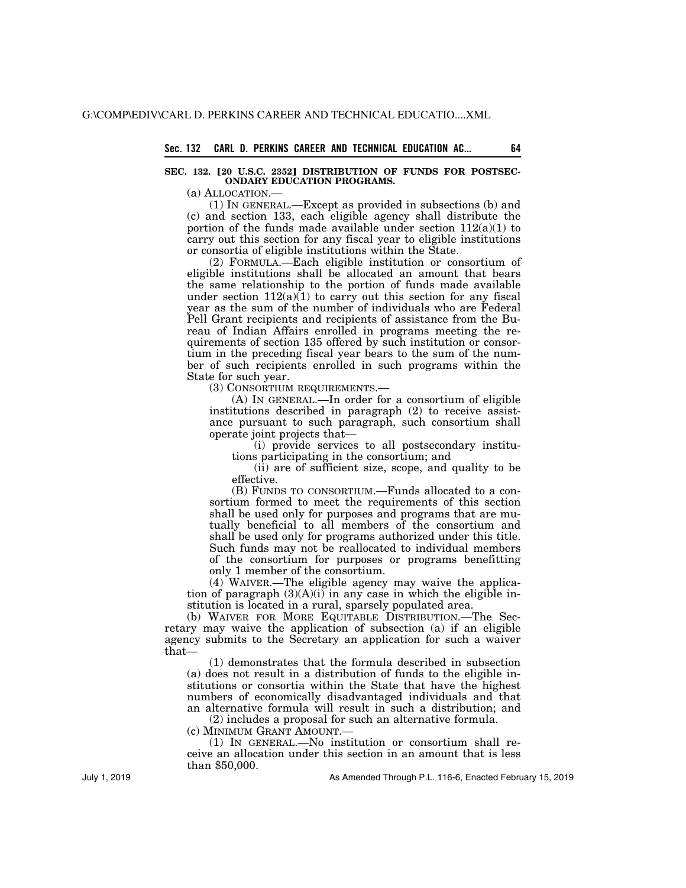#### **Sec. 132 CARL D. PERKINS CAREER AND TECHNICAL EDUCATION AC... 64**

## SEC. 132. [20 U.S.C. 2352] DISTRIBUTION OF FUNDS FOR POSTSEC-**ONDARY EDUCATION PROGRAMS.**

(a) ALLOCATION.—

(1) IN GENERAL.—Except as provided in subsections (b) and (c) and section 133, each eligible agency shall distribute the portion of the funds made available under section  $112(a)(1)$  to carry out this section for any fiscal year to eligible institutions or consortia of eligible institutions within the State.

(2) FORMULA.—Each eligible institution or consortium of eligible institutions shall be allocated an amount that bears the same relationship to the portion of funds made available under section  $112(a)(1)$  to carry out this section for any fiscal year as the sum of the number of individuals who are Federal Pell Grant recipients and recipients of assistance from the Bureau of Indian Affairs enrolled in programs meeting the requirements of section 135 offered by such institution or consortium in the preceding fiscal year bears to the sum of the number of such recipients enrolled in such programs within the State for such year.

(3) CONSORTIUM REQUIREMENTS.—

(A) IN GENERAL.—In order for a consortium of eligible institutions described in paragraph (2) to receive assistance pursuant to such paragraph, such consortium shall operate joint projects that—

(i) provide services to all postsecondary institutions participating in the consortium; and

(ii) are of sufficient size, scope, and quality to be effective.

(B) FUNDS TO CONSORTIUM.—Funds allocated to a consortium formed to meet the requirements of this section shall be used only for purposes and programs that are mutually beneficial to all members of the consortium and shall be used only for programs authorized under this title. Such funds may not be reallocated to individual members of the consortium for purposes or programs benefitting only 1 member of the consortium.

(4) WAIVER.—The eligible agency may waive the application of paragraph  $(3)(A)(i)$  in any case in which the eligible institution is located in a rural, sparsely populated area.

(b) WAIVER FOR MORE EQUITABLE DISTRIBUTION.—The Secretary may waive the application of subsection (a) if an eligible agency submits to the Secretary an application for such a waiver that—

(1) demonstrates that the formula described in subsection (a) does not result in a distribution of funds to the eligible institutions or consortia within the State that have the highest numbers of economically disadvantaged individuals and that an alternative formula will result in such a distribution; and

(2) includes a proposal for such an alternative formula.

(c) MINIMUM GRANT AMOUNT.—

(1) IN GENERAL.—No institution or consortium shall receive an allocation under this section in an amount that is less than \$50,000.

As Amended Through P.L. 116-6, Enacted February 15, 2019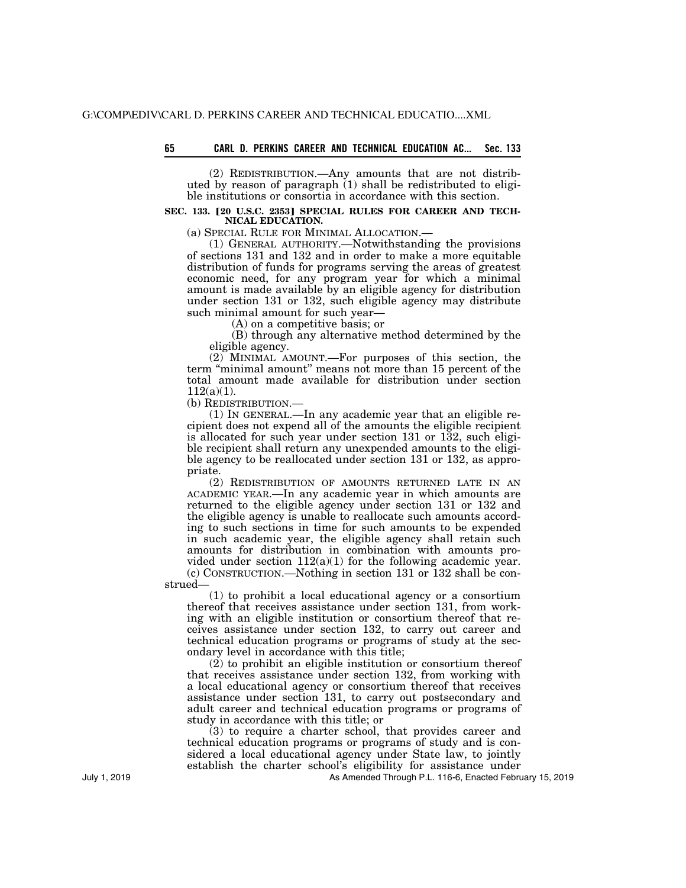(2) REDISTRIBUTION.—Any amounts that are not distributed by reason of paragraph  $(1)$  shall be redistributed to eligible institutions or consortia in accordance with this section.

#### SEC. 133. <sup>[20 U.S.C. 2353] SPECIAL RULES FOR CAREER AND TECH-</sup> **NICAL EDUCATION.**

(a) SPECIAL RULE FOR MINIMAL ALLOCATION.—

(1) GENERAL AUTHORITY.—Notwithstanding the provisions of sections 131 and 132 and in order to make a more equitable distribution of funds for programs serving the areas of greatest economic need, for any program year for which a minimal amount is made available by an eligible agency for distribution under section 131 or 132, such eligible agency may distribute such minimal amount for such year—

(A) on a competitive basis; or

(B) through any alternative method determined by the eligible agency.

(2) MINIMAL AMOUNT.—For purposes of this section, the term ''minimal amount'' means not more than 15 percent of the total amount made available for distribution under section  $112(a)(1)$ .

(b) REDISTRIBUTION.—

(1) IN GENERAL.—In any academic year that an eligible recipient does not expend all of the amounts the eligible recipient is allocated for such year under section 131 or 132, such eligible recipient shall return any unexpended amounts to the eligible agency to be reallocated under section 131 or 132, as appropriate.

(2) REDISTRIBUTION OF AMOUNTS RETURNED LATE IN AN ACADEMIC YEAR.—In any academic year in which amounts are returned to the eligible agency under section 131 or 132 and the eligible agency is unable to reallocate such amounts according to such sections in time for such amounts to be expended in such academic year, the eligible agency shall retain such amounts for distribution in combination with amounts provided under section  $112(a)(1)$  for the following academic year. (c) CONSTRUCTION.—Nothing in section 131 or 132 shall be construed—

(1) to prohibit a local educational agency or a consortium thereof that receives assistance under section 131, from working with an eligible institution or consortium thereof that receives assistance under section 132, to carry out career and technical education programs or programs of study at the secondary level in accordance with this title;

(2) to prohibit an eligible institution or consortium thereof that receives assistance under section 132, from working with a local educational agency or consortium thereof that receives assistance under section 131, to carry out postsecondary and adult career and technical education programs or programs of study in accordance with this title; or

(3) to require a charter school, that provides career and technical education programs or programs of study and is considered a local educational agency under State law, to jointly establish the charter school's eligibility for assistance under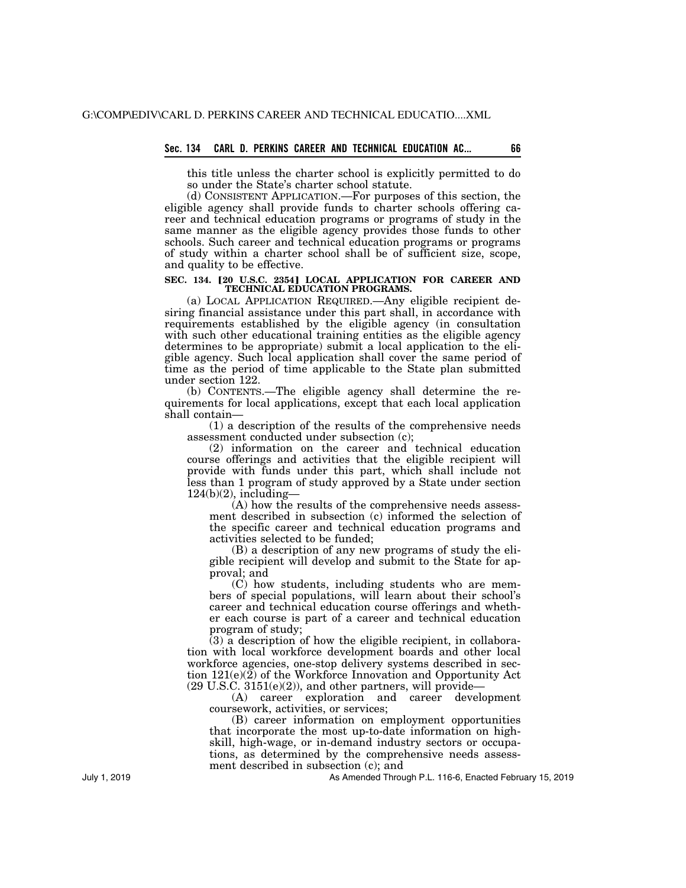# **Sec. 134 CARL D. PERKINS CAREER AND TECHNICAL EDUCATION AC... 66**

this title unless the charter school is explicitly permitted to do so under the State's charter school statute.

(d) CONSISTENT APPLICATION.—For purposes of this section, the eligible agency shall provide funds to charter schools offering career and technical education programs or programs of study in the same manner as the eligible agency provides those funds to other schools. Such career and technical education programs or programs of study within a charter school shall be of sufficient size, scope, and quality to be effective.

#### **SEC. 134. [20 U.S.C. 2354] LOCAL APPLICATION FOR CAREER AND TECHNICAL EDUCATION PROGRAMS.**

(a) LOCAL APPLICATION REQUIRED.—Any eligible recipient desiring financial assistance under this part shall, in accordance with requirements established by the eligible agency (in consultation with such other educational training entities as the eligible agency determines to be appropriate) submit a local application to the eligible agency. Such local application shall cover the same period of time as the period of time applicable to the State plan submitted under section 122.

(b) CONTENTS.—The eligible agency shall determine the requirements for local applications, except that each local application shall contain—

(1) a description of the results of the comprehensive needs assessment conducted under subsection (c);

(2) information on the career and technical education course offerings and activities that the eligible recipient will provide with funds under this part, which shall include not less than 1 program of study approved by a State under section  $124(b)(2)$ , including-

(A) how the results of the comprehensive needs assessment described in subsection (c) informed the selection of the specific career and technical education programs and activities selected to be funded;

(B) a description of any new programs of study the eligible recipient will develop and submit to the State for approval; and

(C) how students, including students who are members of special populations, will learn about their school's career and technical education course offerings and whether each course is part of a career and technical education program of study;

(3) a description of how the eligible recipient, in collaboration with local workforce development boards and other local workforce agencies, one-stop delivery systems described in section  $121(e)(2)$  of the Workforce Innovation and Opportunity Act  $(29 \text{ U.S.C. } 3151(e)(2))$ , and other partners, will provide

(A) career exploration and career development coursework, activities, or services;

(B) career information on employment opportunities that incorporate the most up-to-date information on highskill, high-wage, or in-demand industry sectors or occupations, as determined by the comprehensive needs assessment described in subsection (c); and

As Amended Through P.L. 116-6, Enacted February 15, 2019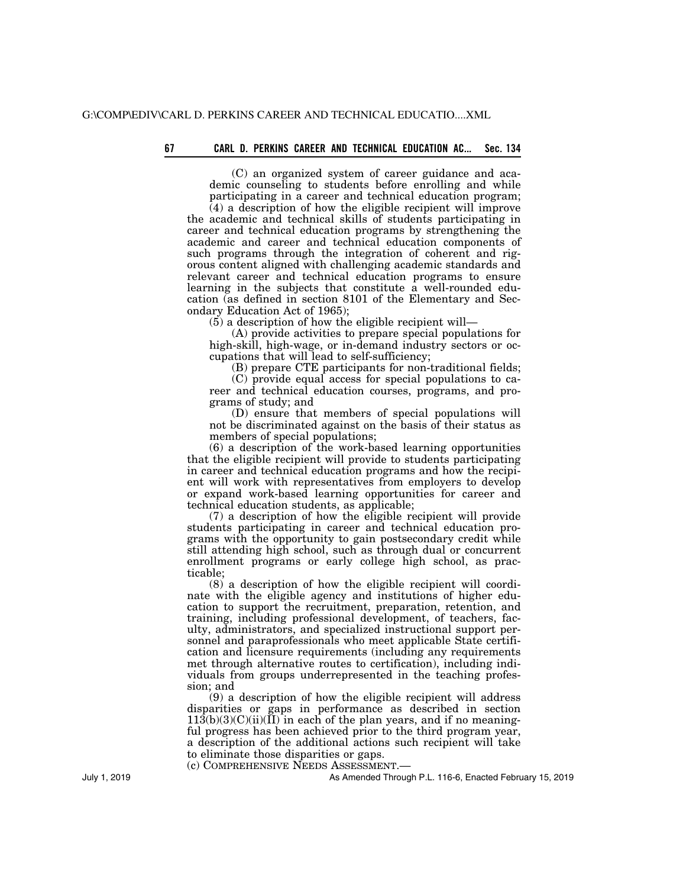(C) an organized system of career guidance and academic counseling to students before enrolling and while participating in a career and technical education program;

(4) a description of how the eligible recipient will improve the academic and technical skills of students participating in career and technical education programs by strengthening the academic and career and technical education components of such programs through the integration of coherent and rigorous content aligned with challenging academic standards and relevant career and technical education programs to ensure learning in the subjects that constitute a well-rounded education (as defined in section 8101 of the Elementary and Secondary Education Act of 1965);

(5) a description of how the eligible recipient will—

(A) provide activities to prepare special populations for high-skill, high-wage, or in-demand industry sectors or occupations that will lead to self-sufficiency;

(B) prepare CTE participants for non-traditional fields;

(C) provide equal access for special populations to career and technical education courses, programs, and programs of study; and

(D) ensure that members of special populations will not be discriminated against on the basis of their status as members of special populations;

(6) a description of the work-based learning opportunities that the eligible recipient will provide to students participating in career and technical education programs and how the recipient will work with representatives from employers to develop or expand work-based learning opportunities for career and technical education students, as applicable;

(7) a description of how the eligible recipient will provide students participating in career and technical education programs with the opportunity to gain postsecondary credit while still attending high school, such as through dual or concurrent enrollment programs or early college high school, as practicable;

(8) a description of how the eligible recipient will coordinate with the eligible agency and institutions of higher education to support the recruitment, preparation, retention, and training, including professional development, of teachers, faculty, administrators, and specialized instructional support personnel and paraprofessionals who meet applicable State certification and licensure requirements (including any requirements met through alternative routes to certification), including individuals from groups underrepresented in the teaching profession; and

(9) a description of how the eligible recipient will address disparities or gaps in performance as described in section  $113(b)(3)(C)(ii)(\tilde{II})$  in each of the plan years, and if no meaningful progress has been achieved prior to the third program year, a description of the additional actions such recipient will take to eliminate those disparities or gaps.

(c) COMPREHENSIVE NEEDS ASSESSMENT.—

As Amended Through P.L. 116-6, Enacted February 15, 2019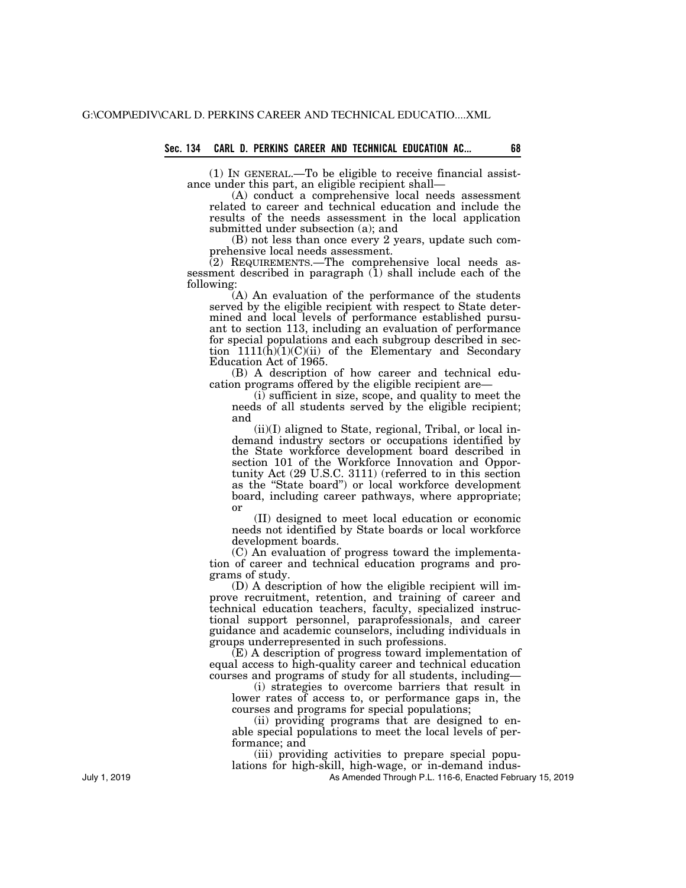# **Sec. 134 CARL D. PERKINS CAREER AND TECHNICAL EDUCATION AC... 68**

(1) IN GENERAL.—To be eligible to receive financial assistance under this part, an eligible recipient shall—

(A) conduct a comprehensive local needs assessment related to career and technical education and include the results of the needs assessment in the local application submitted under subsection (a); and

(B) not less than once every 2 years, update such comprehensive local needs assessment.

(2) REQUIREMENTS.—The comprehensive local needs assessment described in paragraph  $(1)$  shall include each of the following:

(A) An evaluation of the performance of the students served by the eligible recipient with respect to State determined and local levels of performance established pursuant to section 113, including an evaluation of performance for special populations and each subgroup described in section  $1111(h)(1)(C)(ii)$  of the Elementary and Secondary Education Act of 1965.

(B) A description of how career and technical education programs offered by the eligible recipient are—

(i) sufficient in size, scope, and quality to meet the needs of all students served by the eligible recipient; and

 $(ii)(I)$  aligned to State, regional, Tribal, or local indemand industry sectors or occupations identified by the State workforce development board described in section 101 of the Workforce Innovation and Opportunity Act (29 U.S.C. 3111) (referred to in this section as the ''State board'') or local workforce development board, including career pathways, where appropriate; or

(II) designed to meet local education or economic needs not identified by State boards or local workforce development boards.

(C) An evaluation of progress toward the implementation of career and technical education programs and programs of study.

(D) A description of how the eligible recipient will improve recruitment, retention, and training of career and technical education teachers, faculty, specialized instructional support personnel, paraprofessionals, and career guidance and academic counselors, including individuals in groups underrepresented in such professions.

(E) A description of progress toward implementation of equal access to high-quality career and technical education courses and programs of study for all students, including—

(i) strategies to overcome barriers that result in lower rates of access to, or performance gaps in, the courses and programs for special populations;

(ii) providing programs that are designed to enable special populations to meet the local levels of performance; and

(iii) providing activities to prepare special populations for high-skill, high-wage, or in-demand indus-

As Amended Through P.L. 116-6, Enacted February 15, 2019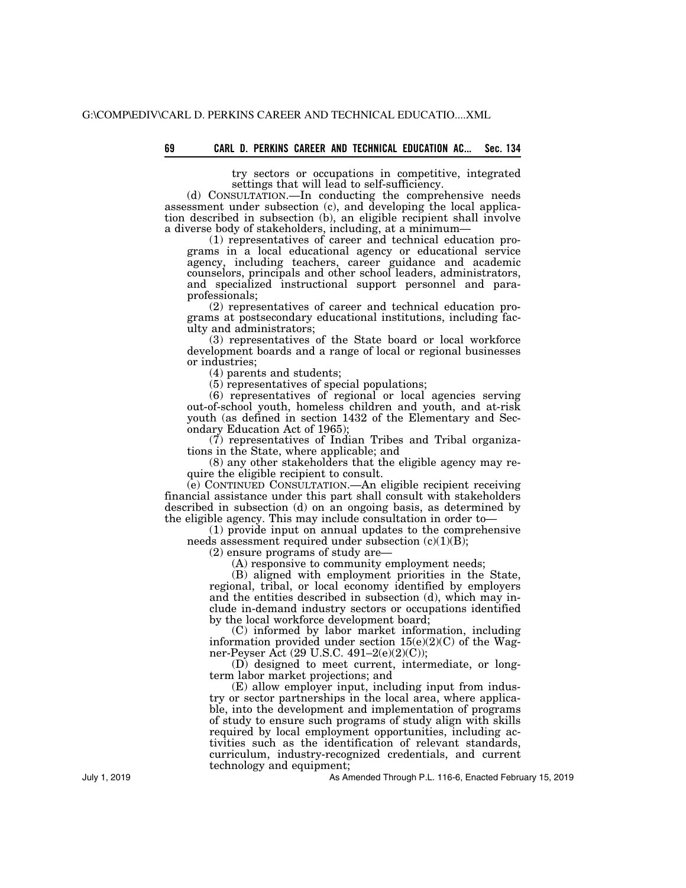try sectors or occupations in competitive, integrated settings that will lead to self-sufficiency.

(d) CONSULTATION.—In conducting the comprehensive needs assessment under subsection (c), and developing the local application described in subsection (b), an eligible recipient shall involve a diverse body of stakeholders, including, at a minimum—

(1) representatives of career and technical education programs in a local educational agency or educational service agency, including teachers, career guidance and academic counselors, principals and other school leaders, administrators, and specialized instructional support personnel and paraprofessionals;

(2) representatives of career and technical education programs at postsecondary educational institutions, including faculty and administrators;

(3) representatives of the State board or local workforce development boards and a range of local or regional businesses or industries;

(4) parents and students;

(5) representatives of special populations;

(6) representatives of regional or local agencies serving out-of-school youth, homeless children and youth, and at-risk youth (as defined in section 1432 of the Elementary and Secondary Education Act of 1965);

(7) representatives of Indian Tribes and Tribal organizations in the State, where applicable; and

(8) any other stakeholders that the eligible agency may require the eligible recipient to consult.

(e) CONTINUED CONSULTATION.—An eligible recipient receiving financial assistance under this part shall consult with stakeholders described in subsection (d) on an ongoing basis, as determined by the eligible agency. This may include consultation in order to—

(1) provide input on annual updates to the comprehensive needs assessment required under subsection  $(c)(1)(B)$ ;

(2) ensure programs of study are—

(A) responsive to community employment needs;

(B) aligned with employment priorities in the State, regional, tribal, or local economy identified by employers and the entities described in subsection (d), which may include in-demand industry sectors or occupations identified by the local workforce development board;

(C) informed by labor market information, including information provided under section 15(e)(2)(C) of the Wagner-Peyser Act (29 U.S.C. 491–2(e)(2)(C));

(D) designed to meet current, intermediate, or longterm labor market projections; and

(E) allow employer input, including input from industry or sector partnerships in the local area, where applicable, into the development and implementation of programs of study to ensure such programs of study align with skills required by local employment opportunities, including activities such as the identification of relevant standards, curriculum, industry-recognized credentials, and current technology and equipment;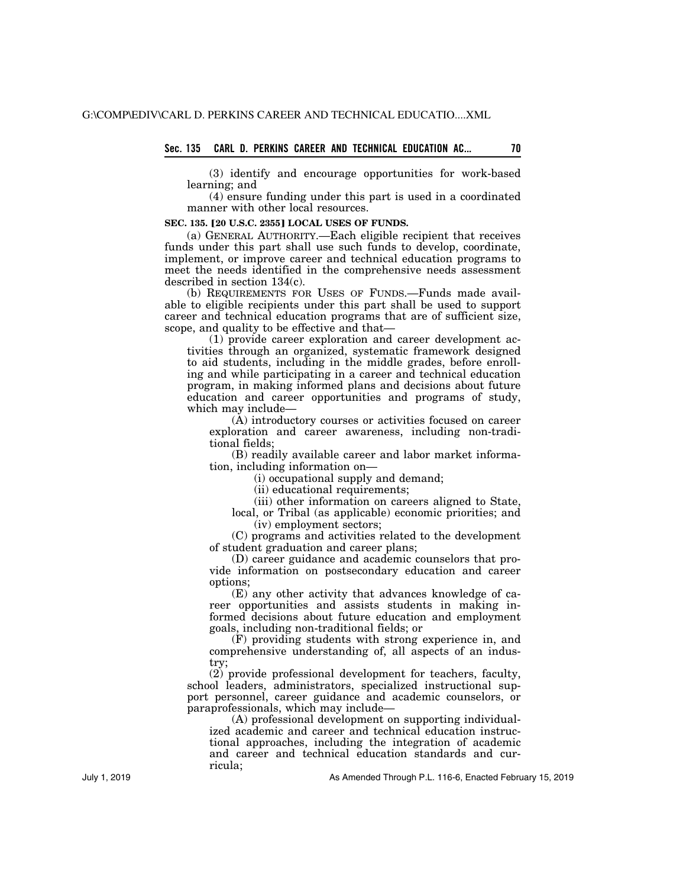# **Sec. 135 CARL D. PERKINS CAREER AND TECHNICAL EDUCATION AC... 70**

(3) identify and encourage opportunities for work-based learning; and

(4) ensure funding under this part is used in a coordinated manner with other local resources.

## **SEC. 135. [20 U.S.C. 2355] LOCAL USES OF FUNDS.**

(a) GENERAL AUTHORITY.—Each eligible recipient that receives funds under this part shall use such funds to develop, coordinate, implement, or improve career and technical education programs to meet the needs identified in the comprehensive needs assessment described in section 134(c).

(b) REQUIREMENTS FOR USES OF FUNDS.—Funds made available to eligible recipients under this part shall be used to support career and technical education programs that are of sufficient size, scope, and quality to be effective and that—

(1) provide career exploration and career development activities through an organized, systematic framework designed to aid students, including in the middle grades, before enrolling and while participating in a career and technical education program, in making informed plans and decisions about future education and career opportunities and programs of study, which may include—

(A) introductory courses or activities focused on career exploration and career awareness, including non-traditional fields;

(B) readily available career and labor market information, including information on—

(i) occupational supply and demand;

(ii) educational requirements;

(iii) other information on careers aligned to State, local, or Tribal (as applicable) economic priorities; and

(iv) employment sectors;

(C) programs and activities related to the development of student graduation and career plans;

(D) career guidance and academic counselors that provide information on postsecondary education and career options;

(E) any other activity that advances knowledge of career opportunities and assists students in making informed decisions about future education and employment goals, including non-traditional fields; or

(F) providing students with strong experience in, and comprehensive understanding of, all aspects of an industry;

(2) provide professional development for teachers, faculty, school leaders, administrators, specialized instructional support personnel, career guidance and academic counselors, or paraprofessionals, which may include—

(A) professional development on supporting individualized academic and career and technical education instructional approaches, including the integration of academic and career and technical education standards and curricula;

As Amended Through P.L. 116-6, Enacted February 15, 2019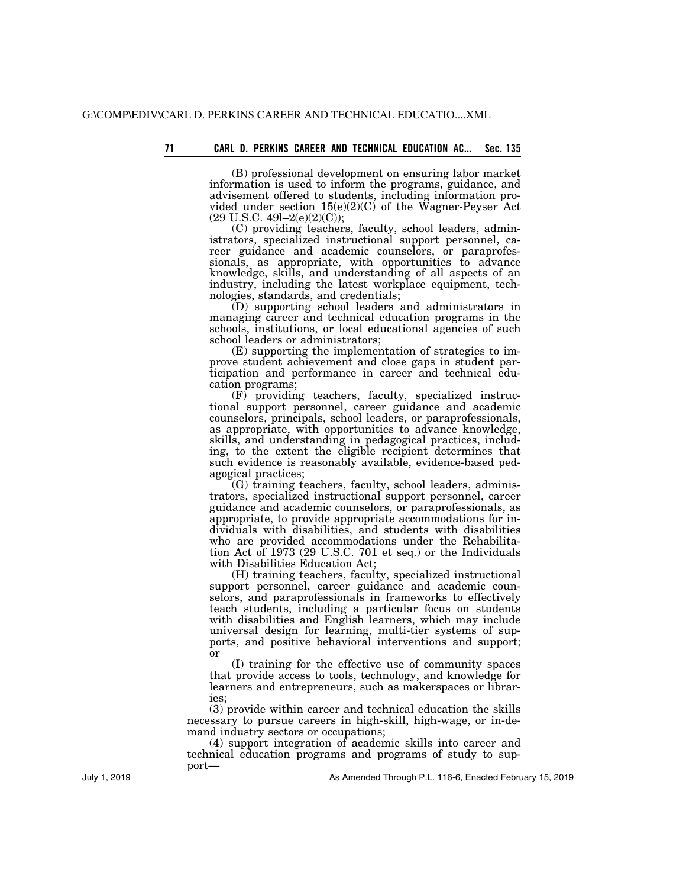(B) professional development on ensuring labor market information is used to inform the programs, guidance, and advisement offered to students, including information provided under section  $15(e)(2)(C)$  of the Wagner-Peyser Act  $(29 \text{ U.S.C. } 49l - 2(e)(2)(C));$ 

(C) providing teachers, faculty, school leaders, administrators, specialized instructional support personnel, career guidance and academic counselors, or paraprofessionals, as appropriate, with opportunities to advance knowledge, skills, and understanding of all aspects of an industry, including the latest workplace equipment, technologies, standards, and credentials;

(D) supporting school leaders and administrators in managing career and technical education programs in the schools, institutions, or local educational agencies of such school leaders or administrators;

(E) supporting the implementation of strategies to improve student achievement and close gaps in student participation and performance in career and technical education programs;

(F) providing teachers, faculty, specialized instructional support personnel, career guidance and academic counselors, principals, school leaders, or paraprofessionals, as appropriate, with opportunities to advance knowledge, skills, and understanding in pedagogical practices, including, to the extent the eligible recipient determines that such evidence is reasonably available, evidence-based pedagogical practices;

(G) training teachers, faculty, school leaders, administrators, specialized instructional support personnel, career guidance and academic counselors, or paraprofessionals, as appropriate, to provide appropriate accommodations for individuals with disabilities, and students with disabilities who are provided accommodations under the Rehabilitation Act of 1973 (29 U.S.C. 701 et seq.) or the Individuals with Disabilities Education Act;

(H) training teachers, faculty, specialized instructional support personnel, career guidance and academic counselors, and paraprofessionals in frameworks to effectively teach students, including a particular focus on students with disabilities and English learners, which may include universal design for learning, multi-tier systems of supports, and positive behavioral interventions and support; or

(I) training for the effective use of community spaces that provide access to tools, technology, and knowledge for learners and entrepreneurs, such as makerspaces or libraries;

(3) provide within career and technical education the skills necessary to pursue careers in high-skill, high-wage, or in-demand industry sectors or occupations;

(4) support integration of academic skills into career and technical education programs and programs of study to support—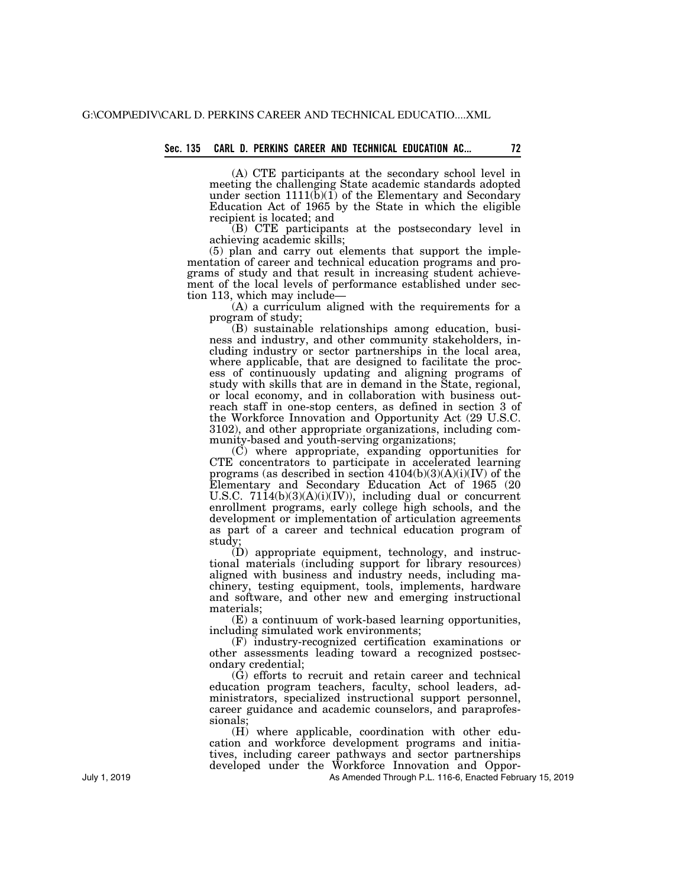#### Sec. 135 CARL D. PERKINS CAREER AND TECHNICAL EDUCATION AC... **72**

(A) CTE participants at the secondary school level in meeting the challenging State academic standards adopted under section  $1111(b)(\overline{1})$  of the Elementary and Secondary Education Act of 1965 by the State in which the eligible recipient is located; and

(B) CTE participants at the postsecondary level in achieving academic skills;

(5) plan and carry out elements that support the implementation of career and technical education programs and programs of study and that result in increasing student achievement of the local levels of performance established under section 113, which may include—

(A) a curriculum aligned with the requirements for a program of study;

(B) sustainable relationships among education, business and industry, and other community stakeholders, including industry or sector partnerships in the local area, where applicable, that are designed to facilitate the process of continuously updating and aligning programs of study with skills that are in demand in the State, regional, or local economy, and in collaboration with business outreach staff in one-stop centers, as defined in section 3 of the Workforce Innovation and Opportunity Act (29 U.S.C. 3102), and other appropriate organizations, including community-based and youth-serving organizations;

(C) where appropriate, expanding opportunities for CTE concentrators to participate in accelerated learning programs (as described in section  $4104(b)(3)(A)(i)(IV)$  of the Elementary and Secondary Education Act of 1965 (20 U.S.C. 7114(b)(3)(A)(i)(IV)), including dual or concurrent enrollment programs, early college high schools, and the development or implementation of articulation agreements as part of a career and technical education program of study;

(D) appropriate equipment, technology, and instructional materials (including support for library resources) aligned with business and industry needs, including machinery, testing equipment, tools, implements, hardware and software, and other new and emerging instructional materials;

(E) a continuum of work-based learning opportunities, including simulated work environments;

(F) industry-recognized certification examinations or other assessments leading toward a recognized postsecondary credential;

(G) efforts to recruit and retain career and technical education program teachers, faculty, school leaders, administrators, specialized instructional support personnel, career guidance and academic counselors, and paraprofessionals;

(H) where applicable, coordination with other education and workforce development programs and initiatives, including career pathways and sector partnerships developed under the Workforce Innovation and Oppor-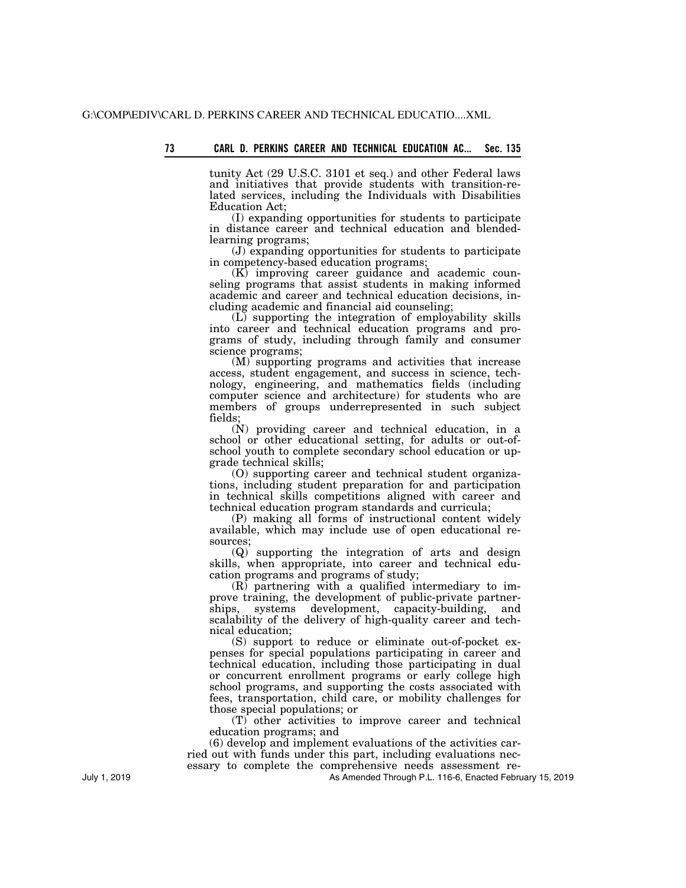| 73 |  |  |  |  |  | CARL D. PERKINS CAREER AND TECHNICAL EDUCATION AC |  | Sec. 135 |
|----|--|--|--|--|--|---------------------------------------------------|--|----------|
|----|--|--|--|--|--|---------------------------------------------------|--|----------|

tunity Act (29 U.S.C. 3101 et seq.) and other Federal laws and initiatives that provide students with transition-related services, including the Individuals with Disabilities Education Act;

(I) expanding opportunities for students to participate in distance career and technical education and blendedlearning programs;

(J) expanding opportunities for students to participate in competency-based education programs;

(K) improving career guidance and academic counseling programs that assist students in making informed academic and career and technical education decisions, including academic and financial aid counseling;

(L) supporting the integration of employability skills into career and technical education programs and programs of study, including through family and consumer science programs;

(M) supporting programs and activities that increase access, student engagement, and success in science, technology, engineering, and mathematics fields (including computer science and architecture) for students who are members of groups underrepresented in such subject fields;

(N) providing career and technical education, in a school or other educational setting, for adults or out-ofschool youth to complete secondary school education or upgrade technical skills;

(O) supporting career and technical student organizations, including student preparation for and participation in technical skills competitions aligned with career and technical education program standards and curricula;

(P) making all forms of instructional content widely available, which may include use of open educational resources;

(Q) supporting the integration of arts and design skills, when appropriate, into career and technical education programs and programs of study;

(R) partnering with a qualified intermediary to improve training, the development of public-private partnerships, systems development, capacity-building, and scalability of the delivery of high-quality career and technical education;

(S) support to reduce or eliminate out-of-pocket expenses for special populations participating in career and technical education, including those participating in dual or concurrent enrollment programs or early college high school programs, and supporting the costs associated with fees, transportation, child care, or mobility challenges for those special populations; or

(T) other activities to improve career and technical education programs; and

(6) develop and implement evaluations of the activities carried out with funds under this part, including evaluations necessary to complete the comprehensive needs assessment re-

As Amended Through P.L. 116-6, Enacted February 15, 2019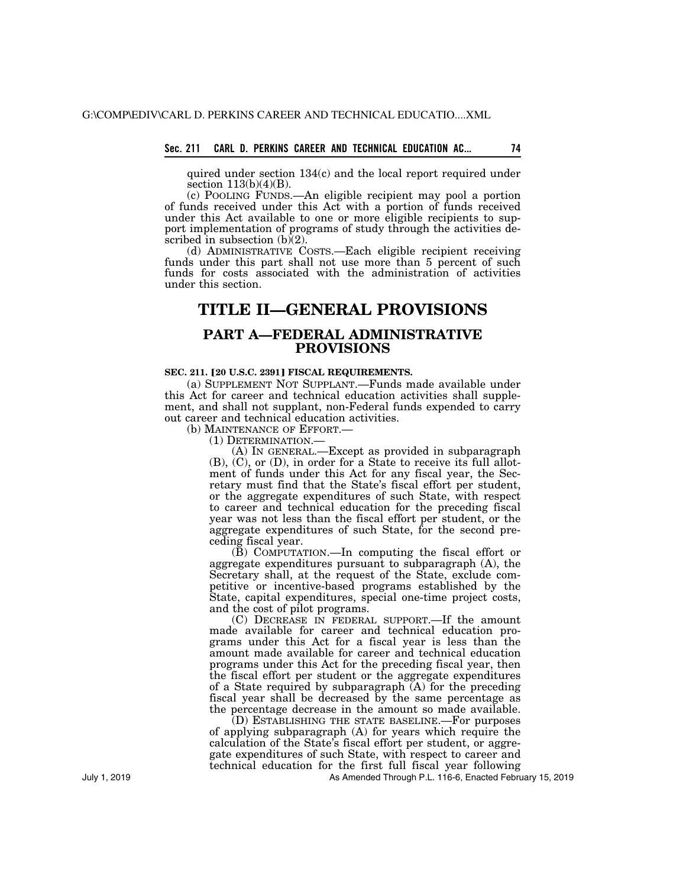## Sec. 211 CARL D. PERKINS CAREER AND TECHNICAL EDUCATION AC... **74**

quired under section 134(c) and the local report required under section 113(b)(4)(B).

(c) POOLING FUNDS.—An eligible recipient may pool a portion of funds received under this Act with a portion of funds received under this Act available to one or more eligible recipients to support implementation of programs of study through the activities described in subsection  $(b)(2)$ .

(d) ADMINISTRATIVE COSTS.—Each eligible recipient receiving funds under this part shall not use more than 5 percent of such funds for costs associated with the administration of activities under this section.

# **TITLE II—GENERAL PROVISIONS**

# **PART A—FEDERAL ADMINISTRATIVE PROVISIONS**

#### **SEC. 211. [20 U.S.C. 2391] FISCAL REQUIREMENTS.**

(a) SUPPLEMENT NOT SUPPLANT.—Funds made available under this Act for career and technical education activities shall supplement, and shall not supplant, non-Federal funds expended to carry out career and technical education activities.<br>(b) MAINTENANCE OF EFFORT.—

(1) DETERMINATION.—<br>(A) IN GENERAL.—Except as provided in subparagraph (B), (C), or (D), in order for a State to receive its full allotment of funds under this Act for any fiscal year, the Secretary must find that the State's fiscal effort per student, or the aggregate expenditures of such State, with respect to career and technical education for the preceding fiscal year was not less than the fiscal effort per student, or the aggregate expenditures of such State, for the second preceding fiscal year.

(B) COMPUTATION.—In computing the fiscal effort or aggregate expenditures pursuant to subparagraph (A), the Secretary shall, at the request of the State, exclude competitive or incentive-based programs established by the State, capital expenditures, special one-time project costs, and the cost of pilot programs.

(C) DECREASE IN FEDERAL SUPPORT.—If the amount made available for career and technical education programs under this Act for a fiscal year is less than the amount made available for career and technical education programs under this Act for the preceding fiscal year, then the fiscal effort per student or the aggregate expenditures of a State required by subparagraph  $(A)$  for the preceding fiscal year shall be decreased by the same percentage as the percentage decrease in the amount so made available.

(D) ESTABLISHING THE STATE BASELINE.—For purposes of applying subparagraph (A) for years which require the calculation of the State's fiscal effort per student, or aggregate expenditures of such State, with respect to career and technical education for the first full fiscal year following

As Amended Through P.L. 116-6, Enacted February 15, 2019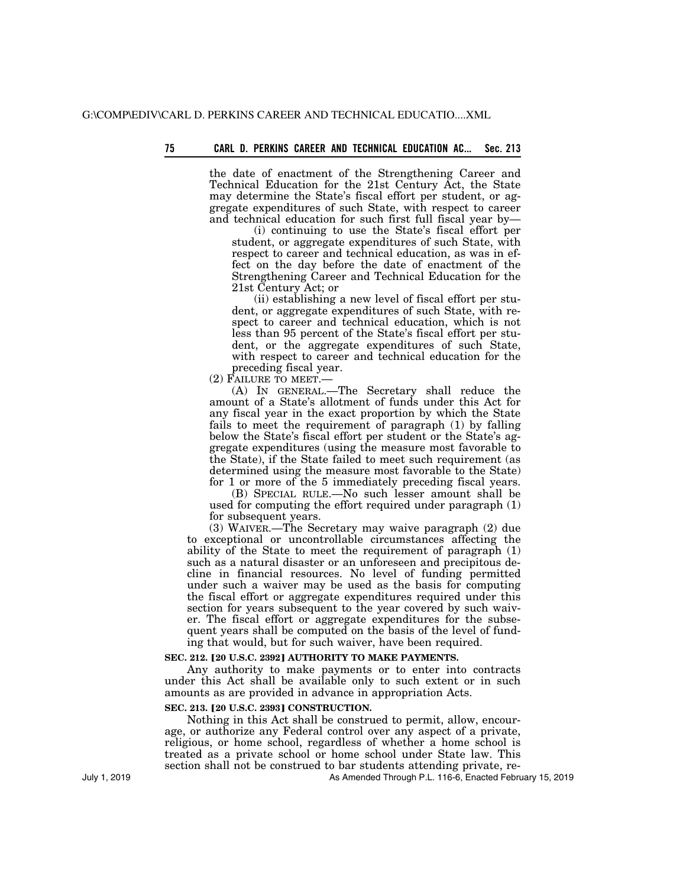# **75 CARL D. PERKINS CAREER AND TECHNICAL EDUCATION AC... Sec. 213**

the date of enactment of the Strengthening Career and Technical Education for the 21st Century Act, the State may determine the State's fiscal effort per student, or aggregate expenditures of such State, with respect to career and technical education for such first full fiscal year by—

(i) continuing to use the State's fiscal effort per student, or aggregate expenditures of such State, with respect to career and technical education, as was in effect on the day before the date of enactment of the Strengthening Career and Technical Education for the 21st Century Act; or

(ii) establishing a new level of fiscal effort per student, or aggregate expenditures of such State, with respect to career and technical education, which is not less than 95 percent of the State's fiscal effort per student, or the aggregate expenditures of such State, with respect to career and technical education for the preceding fiscal year.

(2) FAILURE TO MEET.—

(A) IN GENERAL.—The Secretary shall reduce the amount of a State's allotment of funds under this Act for any fiscal year in the exact proportion by which the State fails to meet the requirement of paragraph (1) by falling below the State's fiscal effort per student or the State's aggregate expenditures (using the measure most favorable to the State), if the State failed to meet such requirement (as determined using the measure most favorable to the State) for 1 or more of the 5 immediately preceding fiscal years.

(B) SPECIAL RULE.—No such lesser amount shall be used for computing the effort required under paragraph (1) for subsequent years.

(3) WAIVER.—The Secretary may waive paragraph (2) due to exceptional or uncontrollable circumstances affecting the ability of the State to meet the requirement of paragraph (1) such as a natural disaster or an unforeseen and precipitous decline in financial resources. No level of funding permitted under such a waiver may be used as the basis for computing the fiscal effort or aggregate expenditures required under this section for years subsequent to the year covered by such waiver. The fiscal effort or aggregate expenditures for the subsequent years shall be computed on the basis of the level of funding that would, but for such waiver, have been required.

#### **SEC. 212. [20 U.S.C. 2392] AUTHORITY TO MAKE PAYMENTS.**

Any authority to make payments or to enter into contracts under this Act shall be available only to such extent or in such amounts as are provided in advance in appropriation Acts.

### **SEC. 213. [20 U.S.C. 2393] CONSTRUCTION.**

Nothing in this Act shall be construed to permit, allow, encourage, or authorize any Federal control over any aspect of a private, religious, or home school, regardless of whether a home school is treated as a private school or home school under State law. This section shall not be construed to bar students attending private, re-

As Amended Through P.L. 116-6, Enacted February 15, 2019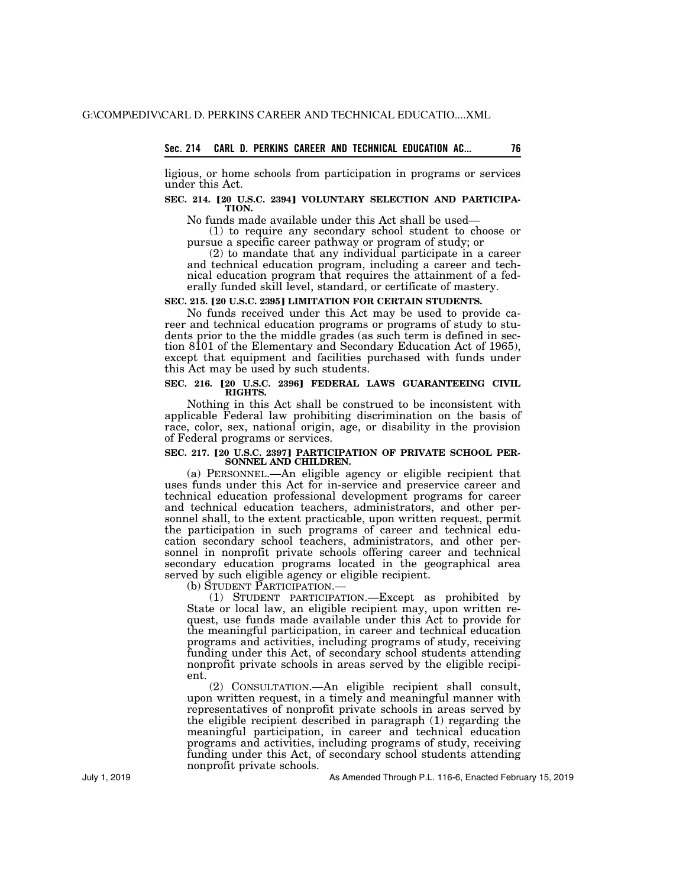ligious, or home schools from participation in programs or services under this Act.

## SEC. 214. [20 U.S.C. 2394] VOLUNTARY SELECTION AND PARTICIPA-**TION.**

No funds made available under this Act shall be used—

(1) to require any secondary school student to choose or pursue a specific career pathway or program of study; or

(2) to mandate that any individual participate in a career and technical education program, including a career and technical education program that requires the attainment of a federally funded skill level, standard, or certificate of mastery.

#### **SEC. 215. [20 U.S.C. 2395] LIMITATION FOR CERTAIN STUDENTS.**

No funds received under this Act may be used to provide career and technical education programs or programs of study to students prior to the the middle grades (as such term is defined in section 8101 of the Elementary and Secondary Education Act of 1965), except that equipment and facilities purchased with funds under this Act may be used by such students.

#### SEC. 216. <sup>[20 U.S.C. 2396] FEDERAL LAWS GUARANTEEING CIVIL</sup> **RIGHTS.**

Nothing in this Act shall be construed to be inconsistent with applicable Federal law prohibiting discrimination on the basis of race, color, sex, national origin, age, or disability in the provision of Federal programs or services.

#### SEC. 217. [20 U.S.C. 2397] PARTICIPATION OF PRIVATE SCHOOL PER-**SONNEL AND CHILDREN.**

(a) PERSONNEL.—An eligible agency or eligible recipient that uses funds under this Act for in-service and preservice career and technical education professional development programs for career and technical education teachers, administrators, and other personnel shall, to the extent practicable, upon written request, permit the participation in such programs of career and technical education secondary school teachers, administrators, and other personnel in nonprofit private schools offering career and technical secondary education programs located in the geographical area served by such eligible agency or eligible recipient.

(b) STUDENT PARTICIPATION.—

(1) STUDENT PARTICIPATION.—Except as prohibited by State or local law, an eligible recipient may, upon written request, use funds made available under this Act to provide for the meaningful participation, in career and technical education programs and activities, including programs of study, receiving funding under this Act, of secondary school students attending nonprofit private schools in areas served by the eligible recipient.

(2) CONSULTATION.—An eligible recipient shall consult, upon written request, in a timely and meaningful manner with representatives of nonprofit private schools in areas served by the eligible recipient described in paragraph (1) regarding the meaningful participation, in career and technical education programs and activities, including programs of study, receiving funding under this Act, of secondary school students attending nonprofit private schools.

As Amended Through P.L. 116-6, Enacted February 15, 2019

July 1, 2019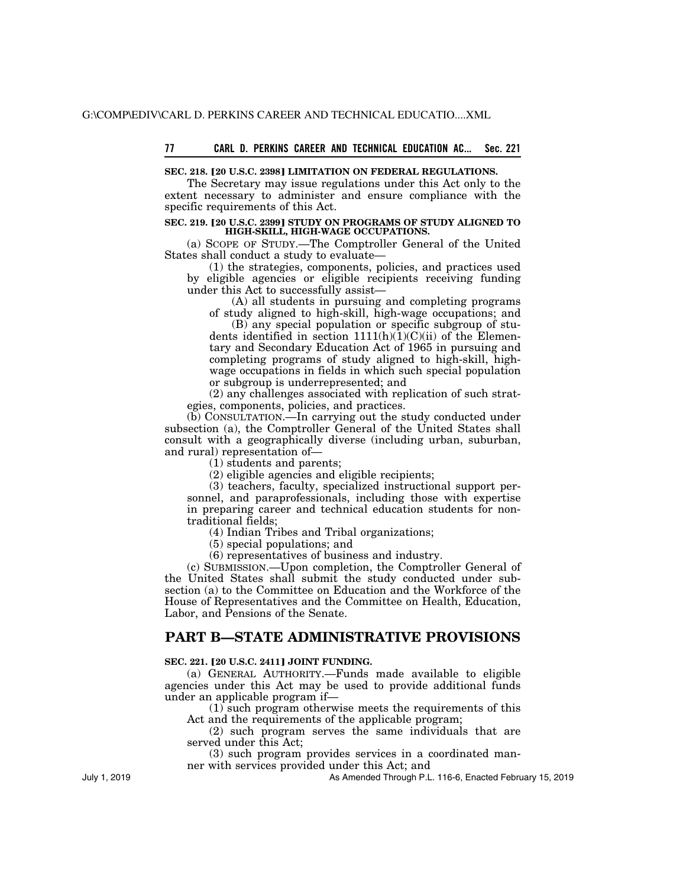# **77 CARL D. PERKINS CAREER AND TECHNICAL EDUCATION AC... Sec. 221**

#### **SEC. 218. [20 U.S.C. 2398] LIMITATION ON FEDERAL REGULATIONS.**

The Secretary may issue regulations under this Act only to the extent necessary to administer and ensure compliance with the specific requirements of this Act.

#### **SEC. 219. [20 U.S.C. 2399] STUDY ON PROGRAMS OF STUDY ALIGNED TO HIGH-SKILL, HIGH-WAGE OCCUPATIONS.**

(a) SCOPE OF STUDY.—The Comptroller General of the United States shall conduct a study to evaluate—

(1) the strategies, components, policies, and practices used by eligible agencies or eligible recipients receiving funding under this Act to successfully assist—

(A) all students in pursuing and completing programs of study aligned to high-skill, high-wage occupations; and

(B) any special population or specific subgroup of students identified in section  $1111(h)(1)(C(i))$  of the Elementary and Secondary Education Act of 1965 in pursuing and completing programs of study aligned to high-skill, highwage occupations in fields in which such special population or subgroup is underrepresented; and

(2) any challenges associated with replication of such strategies, components, policies, and practices.

(b) CONSULTATION.—In carrying out the study conducted under subsection (a), the Comptroller General of the United States shall consult with a geographically diverse (including urban, suburban, and rural) representation of—

(1) students and parents;

(2) eligible agencies and eligible recipients;

(3) teachers, faculty, specialized instructional support personnel, and paraprofessionals, including those with expertise in preparing career and technical education students for nontraditional fields;

(4) Indian Tribes and Tribal organizations;

(5) special populations; and

(6) representatives of business and industry.

(c) SUBMISSION.—Upon completion, the Comptroller General of the United States shall submit the study conducted under subsection (a) to the Committee on Education and the Workforce of the House of Representatives and the Committee on Health, Education, Labor, and Pensions of the Senate.

# **PART B—STATE ADMINISTRATIVE PROVISIONS**

**SEC. 221. [20 U.S.C. 2411] JOINT FUNDING.** 

(a) GENERAL AUTHORITY.—Funds made available to eligible agencies under this Act may be used to provide additional funds under an applicable program if—

(1) such program otherwise meets the requirements of this Act and the requirements of the applicable program;

(2) such program serves the same individuals that are served under this Act;

(3) such program provides services in a coordinated manner with services provided under this Act; and

As Amended Through P.L. 116-6, Enacted February 15, 2019

July 1, 2019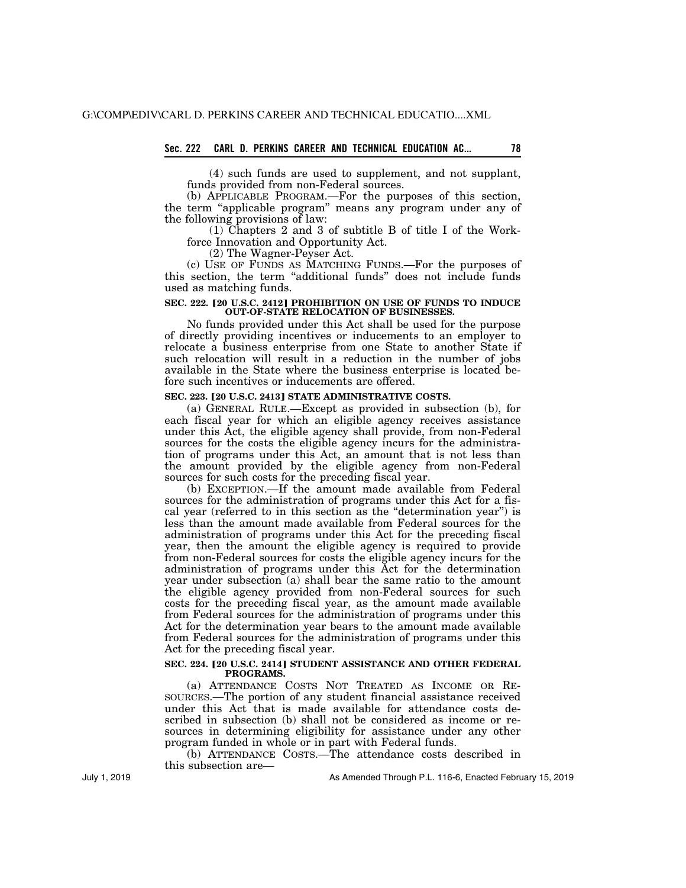# Sec. 222 CARL D. PERKINS CAREER AND TECHNICAL EDUCATION AC... **78**

(4) such funds are used to supplement, and not supplant, funds provided from non-Federal sources.

(b) APPLICABLE PROGRAM.—For the purposes of this section, the term "applicable program" means any program under any of the following provisions of law:

(1) Chapters 2 and 3 of subtitle B of title I of the Workforce Innovation and Opportunity Act.

(2) The Wagner-Peyser Act.

(c) USE OF FUNDS AS MATCHING FUNDS.—For the purposes of this section, the term ''additional funds'' does not include funds used as matching funds.

#### **SEC. 222. [20 U.S.C. 2412] PROHIBITION ON USE OF FUNDS TO INDUCE OUT-OF-STATE RELOCATION OF BUSINESSES.**

No funds provided under this Act shall be used for the purpose of directly providing incentives or inducements to an employer to relocate a business enterprise from one State to another State if such relocation will result in a reduction in the number of jobs available in the State where the business enterprise is located before such incentives or inducements are offered.

#### **SEC. 223. [20 U.S.C. 2413] STATE ADMINISTRATIVE COSTS.**

(a) GENERAL RULE.—Except as provided in subsection (b), for each fiscal year for which an eligible agency receives assistance under this Act, the eligible agency shall provide, from non-Federal sources for the costs the eligible agency incurs for the administration of programs under this Act, an amount that is not less than the amount provided by the eligible agency from non-Federal sources for such costs for the preceding fiscal year.

(b) EXCEPTION.—If the amount made available from Federal sources for the administration of programs under this Act for a fiscal year (referred to in this section as the ''determination year'') is less than the amount made available from Federal sources for the administration of programs under this Act for the preceding fiscal year, then the amount the eligible agency is required to provide from non-Federal sources for costs the eligible agency incurs for the administration of programs under this Act for the determination year under subsection (a) shall bear the same ratio to the amount the eligible agency provided from non-Federal sources for such costs for the preceding fiscal year, as the amount made available from Federal sources for the administration of programs under this Act for the determination year bears to the amount made available from Federal sources for the administration of programs under this Act for the preceding fiscal year.

#### **SEC. 224. [20 U.S.C. 2414] STUDENT ASSISTANCE AND OTHER FEDERAL PROGRAMS.**

(a) ATTENDANCE COSTS NOT TREATED AS INCOME OR RE-SOURCES.—The portion of any student financial assistance received under this Act that is made available for attendance costs described in subsection (b) shall not be considered as income or resources in determining eligibility for assistance under any other program funded in whole or in part with Federal funds.

(b) ATTENDANCE COSTS.—The attendance costs described in this subsection are—

As Amended Through P.L. 116-6, Enacted February 15, 2019

July 1, 2019